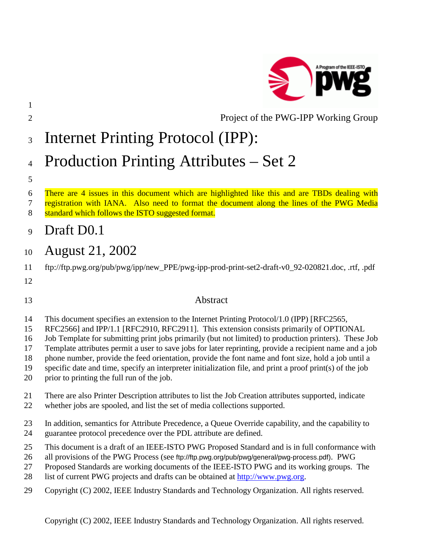

# 2 Project of the PWG-IPP Working Group

# 3 Internet Printing Protocol (IPP):

# 4 Production Printing Attributes – Set 2

5

1

### 6 There are 4 issues in this document which are highlighted like this and are TBDs dealing with

- 7 registration with IANA. Also need to format the document along the lines of the PWG Media 8 standard which follows the ISTO suggested format.
- 9 Draft D0.1

# 10 August 21, 2002

- 11 ftp://ftp.pwg.org/pub/pwg/ipp/new\_PPE/pwg-ipp-prod-print-set2-draft-v0\_92-020821.doc, .rtf, .pdf
- 12

# 13 Abstract

- 14 This document specifies an extension to the Internet Printing Protocol/1.0 (IPP) [RFC2565,
- 15 RFC2566] and IPP/1.1 [RFC2910, RFC2911]. This extension consists primarily of OPTIONAL
- 16 Job Template for submitting print jobs primarily (but not limited) to production printers). These Job
- 17 Template attributes permit a user to save jobs for later reprinting, provide a recipient name and a job
- 18 phone number, provide the feed orientation, provide the font name and font size, hold a job until a
- 19 specific date and time, specify an interpreter initialization file, and print a proof print(s) of the job
- 20 prior to printing the full run of the job.

# 21 There are also Printer Description attributes to list the Job Creation attributes supported, indicate

- 22 whether jobs are spooled, and list the set of media collections supported.
- 23 In addition, semantics for Attribute Precedence, a Queue Override capability, and the capability to 24 guarantee protocol precedence over the PDL attribute are defined.
- 25 This document is a draft of an IEEE-ISTO PWG Proposed Standard and is in full conformance with
- 26 all provisions of the PWG Process (see ftp://ftp.pwg.org/pub/pwg/general/pwg-process.pdf). PWG
- 27 Proposed Standards are working documents of the IEEE-ISTO PWG and its working groups. The
- 28 list of current PWG projects and drafts can be obtained at [http://www.pwg.org.](http://www.pwg.org/)
- 29 Copyright (C) 2002, IEEE Industry Standards and Technology Organization. All rights reserved.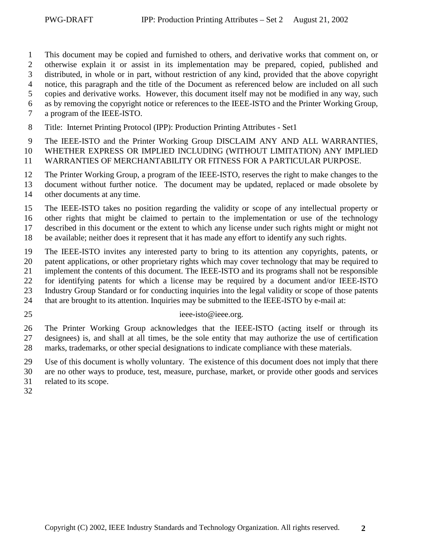1 This document may be copied and furnished to others, and derivative works that comment on, or 2 otherwise explain it or assist in its implementation may be prepared, copied, published and 3 distributed, in whole or in part, without restriction of any kind, provided that the above copyright 4 notice, this paragraph and the title of the Document as referenced below are included on all such 5 copies and derivative works. However, this document itself may not be modified in any way, such 6 as by removing the copyright notice or references to the IEEE-ISTO and the Printer Working Group,

7 a program of the IEEE-ISTO.

8 Title: Internet Printing Protocol (IPP): Production Printing Attributes - Set1

9 The IEEE-ISTO and the Printer Working Group DISCLAIM ANY AND ALL WARRANTIES,

10 WHETHER EXPRESS OR IMPLIED INCLUDING (WITHOUT LIMITATION) ANY IMPLIED

11 WARRANTIES OF MERCHANTABILITY OR FITNESS FOR A PARTICULAR PURPOSE.

12 The Printer Working Group, a program of the IEEE-ISTO, reserves the right to make changes to the

13 document without further notice. The document may be updated, replaced or made obsolete by

14 other documents at any time.

15 The IEEE-ISTO takes no position regarding the validity or scope of any intellectual property or

16 other rights that might be claimed to pertain to the implementation or use of the technology 17 described in this document or the extent to which any license under such rights might or might not

18 be available; neither does it represent that it has made any effort to identify any such rights.

19 The IEEE-ISTO invites any interested party to bring to its attention any copyrights, patents, or 20 patent applications, or other proprietary rights which may cover technology that may be required to 21 implement the contents of this document. The IEEE-ISTO and its programs shall not be responsible

22 for identifying patents for which a license may be required by a document and/or IEEE-ISTO

23 Industry Group Standard or for conducting inquiries into the legal validity or scope of those patents

- 24 that are brought to its attention. Inquiries may be submitted to the IEEE-ISTO by e-mail at:
- 

#### 25 ieee-isto@ieee.org.

26 The Printer Working Group acknowledges that the IEEE-ISTO (acting itself or through its 27 designees) is, and shall at all times, be the sole entity that may authorize the use of certification 28 marks, trademarks, or other special designations to indicate compliance with these materials.

29 Use of this document is wholly voluntary. The existence of this document does not imply that there

30 are no other ways to produce, test, measure, purchase, market, or provide other goods and services

- 31 related to its scope.
- 32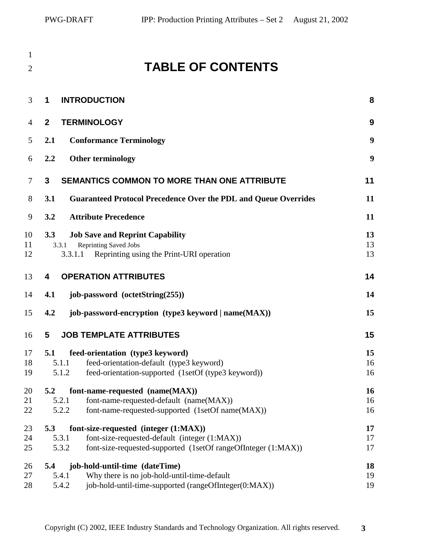| 1              |                         | <b>TABLE OF CONTENTS</b>                                                                                                                                |                |
|----------------|-------------------------|---------------------------------------------------------------------------------------------------------------------------------------------------------|----------------|
| $\overline{2}$ |                         |                                                                                                                                                         |                |
| 3              | 1                       | <b>INTRODUCTION</b>                                                                                                                                     | 8              |
| 4              | $\mathbf{2}$            | <b>TERMINOLOGY</b>                                                                                                                                      | 9              |
| 5              | 2.1                     | <b>Conformance Terminology</b>                                                                                                                          | 9              |
| 6              | 2.2                     | <b>Other terminology</b>                                                                                                                                | 9              |
| 7              | 3                       | SEMANTICS COMMON TO MORE THAN ONE ATTRIBUTE                                                                                                             | 11             |
| 8              | 3.1                     | <b>Guaranteed Protocol Precedence Over the PDL and Queue Overrides</b>                                                                                  | 11             |
| 9              | 3.2                     | <b>Attribute Precedence</b>                                                                                                                             | 11             |
| 10<br>11<br>12 | 3.3<br>3.3.1<br>3.3.1.1 | <b>Job Save and Reprint Capability</b><br><b>Reprinting Saved Jobs</b><br>Reprinting using the Print-URI operation                                      | 13<br>13<br>13 |
| 13             | 4                       | <b>OPERATION ATTRIBUTES</b>                                                                                                                             | 14             |
| 14             | 4.1                     | job-password (octetString(255))                                                                                                                         | 14             |
| 15             | 4.2                     | job-password-encryption (type3 keyword   name(MAX))                                                                                                     | 15             |
| 16             | 5                       | <b>JOB TEMPLATE ATTRIBUTES</b>                                                                                                                          | 15             |
| 17<br>18<br>19 | 5.1<br>5.1.1<br>5.1.2   | feed-orientation (type3 keyword)<br>feed-orientation-default (type3 keyword)<br>feed-orientation-supported (1setOf (type3 keyword))                     | 15<br>16<br>16 |
| 20<br>21<br>22 | 5.2<br>5.2.1<br>5.2.2   | font-name-requested (name(MAX))<br>font-name-requested-default (name(MAX))<br>font-name-requested-supported (1setOf name(MAX))                          | 16<br>16<br>16 |
| 23<br>24<br>25 | 5.3<br>5.3.1<br>5.3.2   | font-size-requested (integer (1:MAX))<br>font-size-requested-default (integer (1:MAX))<br>font-size-requested-supported (1setOf rangeOfInteger (1:MAX)) | 17<br>17<br>17 |
| 26<br>27<br>28 | 5.4<br>5.4.1<br>5.4.2   | job-hold-until-time (dateTime)<br>Why there is no job-hold-until-time-default<br>job-hold-until-time-supported (rangeOfInteger(0:MAX))                  | 18<br>19<br>19 |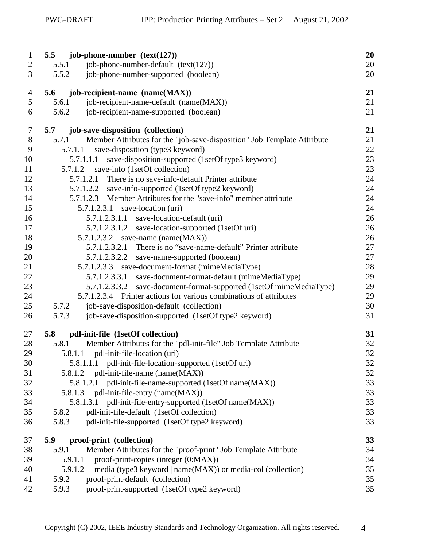| $\mathbf{1}$   | job-phone-number $(text(127))$<br>5.5                                            | 20 |
|----------------|----------------------------------------------------------------------------------|----|
| $\overline{c}$ | job-phone-number-default (text(127))<br>5.5.1                                    | 20 |
| 3              | 5.5.2<br>job-phone-number-supported (boolean)                                    | 20 |
| $\overline{4}$ | job-recipient-name (name(MAX))<br>5.6                                            | 21 |
| 5              | job-recipient-name-default (name(MAX))<br>5.6.1                                  | 21 |
| 6              | job-recipient-name-supported (boolean)<br>5.6.2                                  | 21 |
| 7              | job-save-disposition (collection)<br>5.7                                         | 21 |
| $8\,$          | Member Attributes for the "job-save-disposition" Job Template Attribute<br>5.7.1 | 21 |
| 9              | save-disposition (type3 keyword)<br>5.7.1.1                                      | 22 |
| 10             | save-disposition-supported (1setOf type3 keyword)<br>5.7.1.1.1                   | 23 |
| 11             | save-info (1setOf collection)<br>5.7.1.2                                         | 23 |
| 12             | 5.7.1.2.1 There is no save-info-default Printer attribute                        | 24 |
| 13             | 5.7.1.2.2 save-info-supported (1setOf type2 keyword)                             | 24 |
| 14             | Member Attributes for the "save-info" member attribute<br>5.7.1.2.3              | 24 |
| 15             | $5.7.1.2.3.1$ save-location (uri)                                                | 24 |
| 16             | 5.7.1.2.3.1.1<br>save-location-default (uri)                                     | 26 |
| 17             | save-location-supported (1setOf uri)<br>5.7.1.2.3.1.2                            | 26 |
| 18             | 5.7.1.2.3.2 save-name (name( $MAX$ ))                                            | 26 |
| 19             | 5.7.1.2.3.2.1 There is no "save-name-default" Printer attribute                  | 27 |
| 20             | 5.7.1.2.3.2.2 save-name-supported (boolean)                                      | 27 |
| 21             | 5.7.1.2.3.3 save-document-format (mimeMediaType)                                 | 28 |
| 22             | save-document-format-default (mimeMediaType)<br>5.7.1.2.3.3.1                    | 29 |
| 23             | save-document-format-supported (1setOf mimeMediaType)<br>5.7.1.2.3.3.2           | 29 |
| 24             | 5.7.1.2.3.4 Printer actions for various combinations of attributes               | 29 |
| 25             | job-save-disposition-default (collection)<br>5.7.2                               | 30 |
| 26             | job-save-disposition-supported (1setOf type2 keyword)<br>5.7.3                   | 31 |
| 27             | pdl-init-file (1setOf collection)<br>5.8                                         | 31 |
| 28             | Member Attributes for the "pdl-init-file" Job Template Attribute<br>5.8.1        | 32 |
| 29             | 5.8.1.1<br>pdl-init-file-location (uri)                                          | 32 |
| 30             | 5.8.1.1.1 pdl-init-file-location-supported (1setOf uri)                          | 32 |
| 31             | pdl-init-file-name (name(MAX))<br>5.8.1.2                                        | 32 |
| 32             | 5.8.1.2.1 pdl-init-file-name-supported (1setOf name(MAX))                        | 33 |
| 33             | 5.8.1.3 pdl-init-file-entry (name(MAX))                                          | 33 |
| 34             | 5.8.1.3.1 pdl-init-file-entry-supported (1setOf name(MAX))                       | 33 |
| 35             | pdl-init-file-default (1setOf collection)<br>5.8.2                               | 33 |
| 36             | pdl-init-file-supported (1setOf type2 keyword)<br>5.8.3                          | 33 |
| 37             | proof-print (collection)<br>5.9                                                  | 33 |
| 38             | Member Attributes for the "proof-print" Job Template Attribute<br>5.9.1          | 34 |
| 39             | proof-print-copies (integer (0:MAX))<br>5.9.1.1                                  | 34 |
| 40             | 5.9.1.2<br>media (type3 keyword   name(MAX)) or media-col (collection)           | 35 |
| 41             | 5.9.2<br>proof-print-default (collection)                                        | 35 |
| 42             | proof-print-supported (1setOf type2 keyword)<br>5.9.3                            | 35 |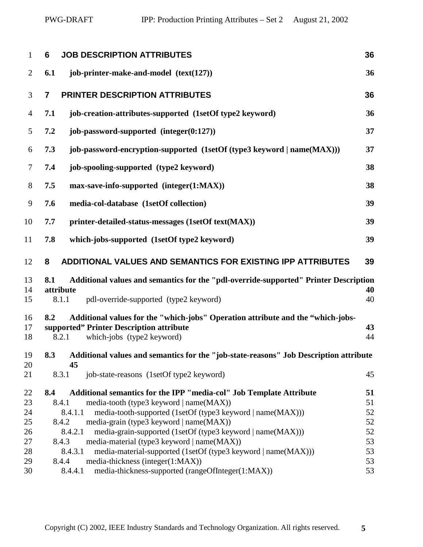| $\mathbf{1}$   | 6              | <b>JOB DESCRIPTION ATTRIBUTES</b>                                                                                           | 36       |
|----------------|----------------|-----------------------------------------------------------------------------------------------------------------------------|----------|
| $\overline{2}$ | 6.1            | job-printer-make-and-model (text(127))                                                                                      | 36       |
| 3              | $\overline{7}$ | PRINTER DESCRIPTION ATTRIBUTES                                                                                              | 36       |
| $\overline{4}$ | 7.1            | job-creation-attributes-supported (1setOf type2 keyword)                                                                    | 36       |
| 5              | 7.2            | job-password-supported $(integer(0:127))$                                                                                   | 37       |
| 6              | 7.3            | job-password-encryption-supported (1setOf (type3 keyword   name(MAX)))                                                      | 37       |
| $\tau$         | 7.4            | job-spooling-supported (type2 keyword)                                                                                      | 38       |
| 8              | 7.5            | max-save-info-supported (integer(1:MAX))                                                                                    | 38       |
| 9              | 7.6            | media-col-database (1setOf collection)                                                                                      | 39       |
| 10             | 7.7            | printer-detailed-status-messages (1setOf text(MAX))                                                                         | 39       |
| 11             | 7.8            | which-jobs-supported (1setOf type2 keyword)                                                                                 | 39       |
| 12             | 8              | ADDITIONAL VALUES AND SEMANTICS FOR EXISTING IPP ATTRIBUTES                                                                 | 39       |
| 13<br>14       | 8.1            | Additional values and semantics for the "pdl-override-supported" Printer Description<br>attribute                           | 40       |
| 15             |                | pdl-override-supported (type2 keyword)<br>8.1.1                                                                             | 40       |
| 16<br>17       | 8.2            | Additional values for the "which-jobs" Operation attribute and the "which-jobs-<br>supported" Printer Description attribute | 43       |
| 18             |                | 8.2.1<br>which-jobs (type2 keyword)                                                                                         | 44       |
| 19             | 8.3            | Additional values and semantics for the "job-state-reasons" Job Description attribute                                       |          |
| 20<br>21       |                | 45<br>8.3.1<br>job-state-reasons (1setOf type2 keyword)                                                                     | 45       |
| 22             | 8.4            | Additional semantics for the IPP "media-col" Job Template Attribute                                                         | 51       |
| 23             |                | 8.4.1<br>media-tooth (type3 keyword   name(MAX))<br>8.4.1.1                                                                 | 51       |
| 24<br>25       |                | media-tooth-supported (1setOf (type3 keyword   name(MAX)))<br>media-grain (type3 keyword   name(MAX))<br>8.4.2              | 52<br>52 |
| 26             |                | 8.4.2.1<br>media-grain-supported (1setOf (type3 keyword   name(MAX)))                                                       | 52       |
| 27             |                | media-material (type3 keyword   name(MAX))<br>8.4.3                                                                         | 53       |
| 28             |                | 8.4.3.1<br>media-material-supported (1setOf (type3 keyword   name(MAX)))                                                    | 53       |
| 29             |                | media-thickness (integer(1:MAX))<br>8.4.4                                                                                   | 53       |
| 30             |                | media-thickness-supported (rangeOfInteger(1:MAX))<br>8.4.4.1                                                                | 53       |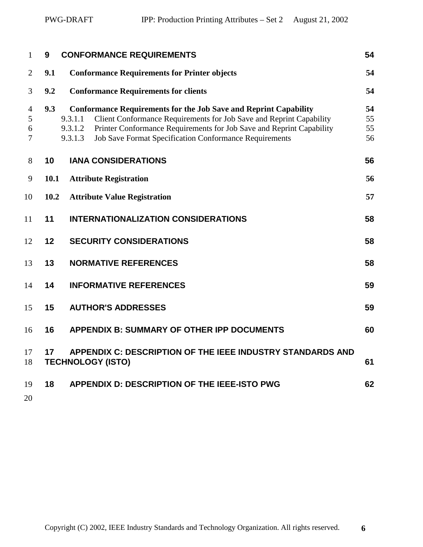| 1                             | 9    | <b>CONFORMANCE REQUIREMENTS</b>                                                                                                                                                                                                                                                                                   | 54                   |
|-------------------------------|------|-------------------------------------------------------------------------------------------------------------------------------------------------------------------------------------------------------------------------------------------------------------------------------------------------------------------|----------------------|
| $\overline{2}$                | 9.1  | <b>Conformance Requirements for Printer objects</b>                                                                                                                                                                                                                                                               | 54                   |
| 3                             | 9.2  | <b>Conformance Requirements for clients</b>                                                                                                                                                                                                                                                                       | 54                   |
| $\overline{4}$<br>5<br>6<br>7 | 9.3  | <b>Conformance Requirements for the Job Save and Reprint Capability</b><br>Client Conformance Requirements for Job Save and Reprint Capability<br>9.3.1.1<br>Printer Conformance Requirements for Job Save and Reprint Capability<br>9.3.1.2<br>Job Save Format Specification Conformance Requirements<br>9.3.1.3 | 54<br>55<br>55<br>56 |
| 8                             | 10   | <b>IANA CONSIDERATIONS</b>                                                                                                                                                                                                                                                                                        | 56                   |
| 9                             | 10.1 | <b>Attribute Registration</b>                                                                                                                                                                                                                                                                                     | 56                   |
| 10                            | 10.2 | <b>Attribute Value Registration</b>                                                                                                                                                                                                                                                                               | 57                   |
| 11                            | 11   | <b>INTERNATIONALIZATION CONSIDERATIONS</b>                                                                                                                                                                                                                                                                        | 58                   |
| 12                            | 12   | <b>SECURITY CONSIDERATIONS</b>                                                                                                                                                                                                                                                                                    | 58                   |
| 13                            | 13   | <b>NORMATIVE REFERENCES</b>                                                                                                                                                                                                                                                                                       | 58                   |
| 14                            | 14   | <b>INFORMATIVE REFERENCES</b>                                                                                                                                                                                                                                                                                     | 59                   |
| 15                            | 15   | <b>AUTHOR'S ADDRESSES</b>                                                                                                                                                                                                                                                                                         | 59                   |
| 16                            | 16   | <b>APPENDIX B: SUMMARY OF OTHER IPP DOCUMENTS</b>                                                                                                                                                                                                                                                                 | 60                   |
| 17<br>18                      | 17   | APPENDIX C: DESCRIPTION OF THE IEEE INDUSTRY STANDARDS AND<br><b>TECHNOLOGY (ISTO)</b>                                                                                                                                                                                                                            | 61                   |
| 19<br>20                      | 18   | APPENDIX D: DESCRIPTION OF THE IEEE-ISTO PWG                                                                                                                                                                                                                                                                      | 62                   |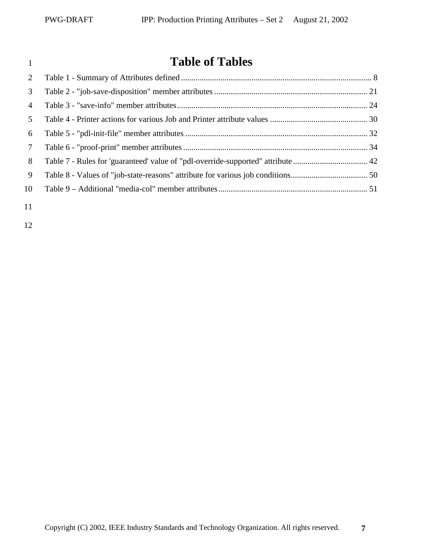# **Table of Tables**

| 2              |  |
|----------------|--|
| 3              |  |
| $\overline{4}$ |  |
| 5              |  |
| 6              |  |
| $\tau$         |  |
| 8              |  |
| 9              |  |
| 10             |  |
| 11             |  |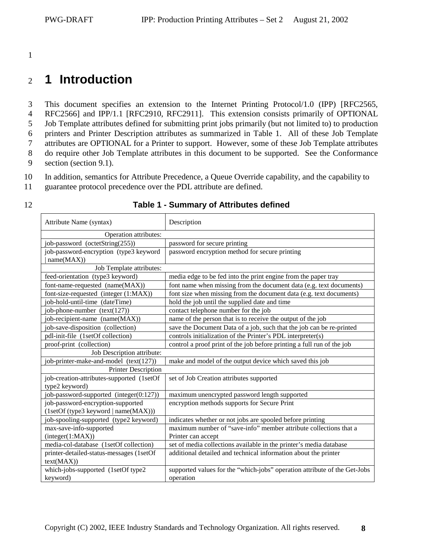<span id="page-7-0"></span>1

# <sup>2</sup>**1 Introduction**

3 This document specifies an extension to the Internet Printing Protocol/1.0 (IPP) [RFC2565, 4 RFC2566] and IPP/1.1 [RFC2910, RFC2911]. This extension consists primarily of OPTIONAL 5 Job Template attributes defined for submitting print jobs primarily (but not limited to) to production 6 printers and Printer Description attributes as summarized in Table 1. All of these Job Template 7 attributes are OPTIONAL for a Printer to support. However, some of these Job Template attributes 8 do require other Job Template attributes in this document to be supported. See the Conformance 9 section (section [9.1\)](#page-53-0).

10 In addition, semantics for Attribute Precedence, a Queue Override capability, and the capability to

11 guarantee protocol precedence over the PDL attribute are defined.

| Attribute Name (syntax)                   | Description                                                               |  |
|-------------------------------------------|---------------------------------------------------------------------------|--|
| Operation attributes:                     |                                                                           |  |
| job-password (octetString(255))           | password for secure printing                                              |  |
| job-password-encryption (type3 keyword    | password encryption method for secure printing                            |  |
| name(MAX))                                |                                                                           |  |
| Job Template attributes:                  |                                                                           |  |
| feed-orientation (type3 keyword)          | media edge to be fed into the print engine from the paper tray            |  |
| font-name-requested (name(MAX))           | font name when missing from the document data (e.g. text documents)       |  |
| font-size-requested (integer (1:MAX))     | font size when missing from the document data (e.g. text documents)       |  |
| job-hold-until-time (dateTime)            | hold the job until the supplied date and time                             |  |
| job-phone-number (text(127))              | contact telephone number for the job                                      |  |
| job-recipient-name (name(MAX))            | name of the person that is to receive the output of the job               |  |
| job-save-disposition (collection)         | save the Document Data of a job, such that the job can be re-printed      |  |
| pdl-init-file (1setOf collection)         | controls initialization of the Printer's PDL interpreter(s)               |  |
| proof-print (collection)                  | control a proof print of the job before printing a full run of the job    |  |
| Job Description attribute:                |                                                                           |  |
| job-printer-make-and-model (text(127))    | make and model of the output device which saved this job                  |  |
| <b>Printer Description</b>                |                                                                           |  |
| job-creation-attributes-supported (1setOf | set of Job Creation attributes supported                                  |  |
| type2 keyword)                            |                                                                           |  |
| job-password-supported (integer(0:127))   | maximum unencrypted password length supported                             |  |
| job-password-encryption-supported         | encryption methods supports for Secure Print                              |  |
| (1setOf (type3 keyword   name(MAX)))      |                                                                           |  |
| job-spooling-supported (type2 keyword)    | indicates whether or not jobs are spooled before printing                 |  |
| max-save-info-supported                   | maximum number of "save-info" member attribute collections that a         |  |
| interger(1:MAX))                          | Printer can accept                                                        |  |
| media-col-database (1setOf collection)    | set of media collections available in the printer's media database        |  |
| printer-detailed-status-messages (1setOf  | additional detailed and technical information about the printer           |  |
| text(MAX))                                |                                                                           |  |
| which-jobs-supported (1setOf type2        | supported values for the "which-jobs" operation attribute of the Get-Jobs |  |
| keyword)                                  | operation                                                                 |  |

#### 12 **Table 1 - Summary of Attributes defined**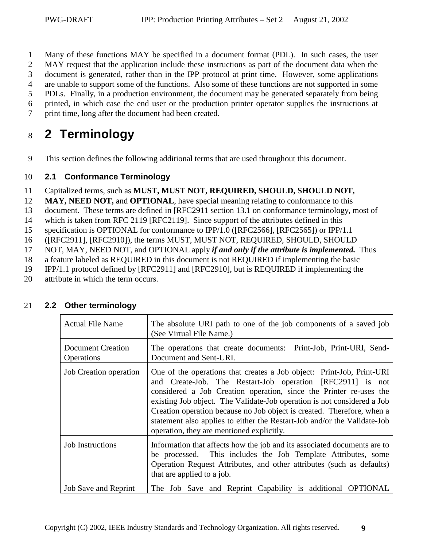<span id="page-8-0"></span>1 Many of these functions MAY be specified in a document format (PDL). In such cases, the user

2 MAY request that the application include these instructions as part of the document data when the

3 document is generated, rather than in the IPP protocol at print time. However, some applications

4 are unable to support some of the functions. Also some of these functions are not supported in some

5 PDLs. Finally, in a production environment, the document may be generated separately from being

6 printed, in which case the end user or the production printer operator supplies the instructions at

7 print time, long after the document had been created.

# <sup>8</sup>**2 Terminology**

9 This section defines the following additional terms that are used throughout this document.

### 10 **2.1 Conformance Terminology**

- 11 Capitalized terms, such as **MUST, MUST NOT, REQUIRED, SHOULD, SHOULD NOT,**
- 12 **MAY, NEED NOT, and OPTIONAL**, have special meaning relating to conformance to this
- 13 document. These terms are defined in [RFC2911 section 13.1 on conformance terminology, most of
- 14 which is taken from RFC 2119 [RFC2119]. Since support of the attributes defined in this
- 15 specification is OPTIONAL for conformance to IPP/1.0 ([RFC2566], [RFC2565]) or IPP/1.1
- 16 ([RFC2911], [RFC2910]), the terms MUST, MUST NOT, REQUIRED, SHOULD, SHOULD
- 17 NOT, MAY, NEED NOT, and OPTIONAL apply *if and only if the attribute is implemented.* Thus
- 18 a feature labeled as REQUIRED in this document is not REQUIRED if implementing the basic
- 19 IPP/1.1 protocol defined by [RFC2911] and [RFC2910], but is REQUIRED if implementing the
- 20 attribute in which the term occurs.

| <b>Actual File Name</b>                                                                                                                                                                                                                                                     | The absolute URI path to one of the job components of a saved job<br>(See Virtual File Name.)                                                                                                                                                                                                                                                                                                                                                                                           |  |  |
|-----------------------------------------------------------------------------------------------------------------------------------------------------------------------------------------------------------------------------------------------------------------------------|-----------------------------------------------------------------------------------------------------------------------------------------------------------------------------------------------------------------------------------------------------------------------------------------------------------------------------------------------------------------------------------------------------------------------------------------------------------------------------------------|--|--|
| <b>Document Creation</b><br><b>Operations</b>                                                                                                                                                                                                                               | The operations that create documents: Print-Job, Print-URI, Send-<br>Document and Sent-URI.                                                                                                                                                                                                                                                                                                                                                                                             |  |  |
| <b>Job Creation operation</b>                                                                                                                                                                                                                                               | One of the operations that creates a Job object: Print-Job, Print-URI<br>and Create-Job. The Restart-Job operation [RFC2911] is not<br>considered a Job Creation operation, since the Printer re-uses the<br>existing Job object. The Validate-Job operation is not considered a Job<br>Creation operation because no Job object is created. Therefore, when a<br>statement also applies to either the Restart-Job and/or the Validate-Job<br>operation, they are mentioned explicitly. |  |  |
| <b>Job Instructions</b><br>Information that affects how the job and its associated documents are to<br>be processed. This includes the Job Template Attributes, some<br>Operation Request Attributes, and other attributes (such as defaults)<br>that are applied to a job. |                                                                                                                                                                                                                                                                                                                                                                                                                                                                                         |  |  |
| <b>Job Save and Reprint</b>                                                                                                                                                                                                                                                 | The Job Save and Reprint Capability is additional OPTIONAL                                                                                                                                                                                                                                                                                                                                                                                                                              |  |  |

### 21 **2.2 Other terminology**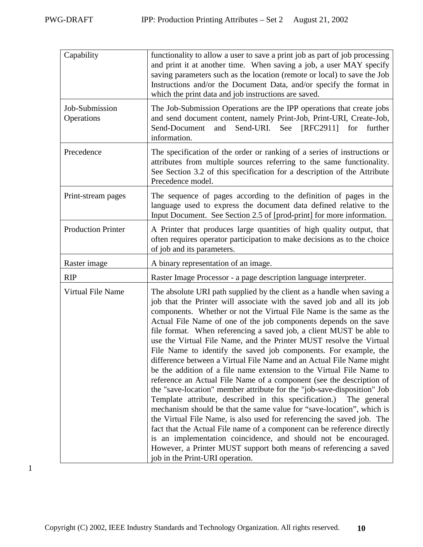| Capability                   | functionality to allow a user to save a print job as part of job processing<br>and print it at another time. When saving a job, a user MAY specify<br>saving parameters such as the location (remote or local) to save the Job<br>Instructions and/or the Document Data, and/or specify the format in<br>which the print data and job instructions are saved.                                                                                                                                                                                                                                                                                                                                                                                                                                                                                                                                                                                                                                                                                                                                                                                                                                                                                                   |  |  |
|------------------------------|-----------------------------------------------------------------------------------------------------------------------------------------------------------------------------------------------------------------------------------------------------------------------------------------------------------------------------------------------------------------------------------------------------------------------------------------------------------------------------------------------------------------------------------------------------------------------------------------------------------------------------------------------------------------------------------------------------------------------------------------------------------------------------------------------------------------------------------------------------------------------------------------------------------------------------------------------------------------------------------------------------------------------------------------------------------------------------------------------------------------------------------------------------------------------------------------------------------------------------------------------------------------|--|--|
| Job-Submission<br>Operations | The Job-Submission Operations are the IPP operations that create jobs<br>and send document content, namely Print-Job, Print-URI, Create-Job,<br>[RFC2911]<br>Send-URI. See<br>for<br>Send-Document<br>and<br>further<br>information.                                                                                                                                                                                                                                                                                                                                                                                                                                                                                                                                                                                                                                                                                                                                                                                                                                                                                                                                                                                                                            |  |  |
| Precedence                   | The specification of the order or ranking of a series of instructions or<br>attributes from multiple sources referring to the same functionality.<br>See Section 3.2 of this specification for a description of the Attribute<br>Precedence model.                                                                                                                                                                                                                                                                                                                                                                                                                                                                                                                                                                                                                                                                                                                                                                                                                                                                                                                                                                                                              |  |  |
| Print-stream pages           | The sequence of pages according to the definition of pages in the<br>language used to express the document data defined relative to the<br>Input Document. See Section 2.5 of [prod-print] for more information.                                                                                                                                                                                                                                                                                                                                                                                                                                                                                                                                                                                                                                                                                                                                                                                                                                                                                                                                                                                                                                                |  |  |
| <b>Production Printer</b>    | A Printer that produces large quantities of high quality output, that<br>often requires operator participation to make decisions as to the choice<br>of job and its parameters.                                                                                                                                                                                                                                                                                                                                                                                                                                                                                                                                                                                                                                                                                                                                                                                                                                                                                                                                                                                                                                                                                 |  |  |
| Raster image                 | A binary representation of an image.                                                                                                                                                                                                                                                                                                                                                                                                                                                                                                                                                                                                                                                                                                                                                                                                                                                                                                                                                                                                                                                                                                                                                                                                                            |  |  |
| <b>RIP</b>                   | Raster Image Processor - a page description language interpreter.                                                                                                                                                                                                                                                                                                                                                                                                                                                                                                                                                                                                                                                                                                                                                                                                                                                                                                                                                                                                                                                                                                                                                                                               |  |  |
| Virtual File Name            | The absolute URI path supplied by the client as a handle when saving a<br>job that the Printer will associate with the saved job and all its job<br>components. Whether or not the Virtual File Name is the same as the<br>Actual File Name of one of the job components depends on the save<br>file format. When referencing a saved job, a client MUST be able to<br>use the Virtual File Name, and the Printer MUST resolve the Virtual<br>File Name to identify the saved job components. For example, the<br>difference between a Virtual File Name and an Actual File Name might<br>be the addition of a file name extension to the Virtual File Name to<br>reference an Actual File Name of a component (see the description of<br>the "save-location" member attribute for the "job-save-disposition" Job<br>Template attribute, described in this specification.)<br>The general<br>mechanism should be that the same value for "save-location", which is<br>the Virtual File Name, is also used for referencing the saved job. The<br>fact that the Actual File name of a component can be reference directly<br>is an implementation coincidence, and should not be encouraged.<br>However, a Printer MUST support both means of referencing a saved |  |  |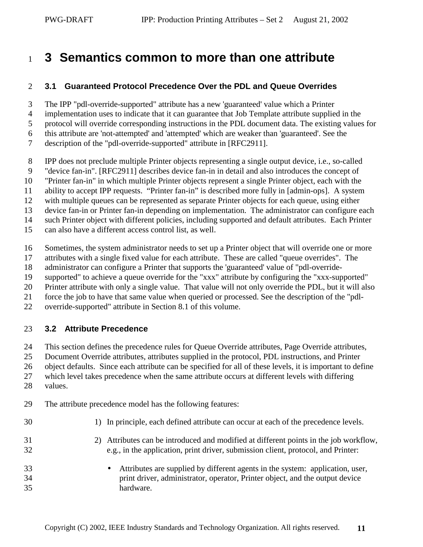# <span id="page-10-0"></span><sup>1</sup>**3 Semantics common to more than one attribute**

#### 2 **3.1 Guaranteed Protocol Precedence Over the PDL and Queue Overrides**

3 The IPP "pdl-override-supported" attribute has a new 'guaranteed' value which a Printer

- 4 implementation uses to indicate that it can guarantee that Job Template attribute supplied in the
- 5 protocol will override corresponding instructions in the PDL document data. The existing values for
- 6 this attribute are 'not-attempted' and 'attempted' which are weaker than 'guaranteed'. See the
- 7 description of the "pdl-override-supported" attribute in [RFC2911].
- 8 IPP does not preclude multiple Printer objects representing a single output device, i.e., so-called
- 9 "device fan-in". [RFC2911] describes device fan-in in detail and also introduces the concept of
- 10 "Printer fan-in" in which multiple Printer objects represent a single Printer object, each with the
- 11 ability to accept IPP requests. "Printer fan-in" is described more fully in [admin-ops]. A system
- 12 with multiple queues can be represented as separate Printer objects for each queue, using either
- 13 device fan-in or Printer fan-in depending on implementation. The administrator can configure each
- 14 such Printer object with different policies, including supported and default attributes. Each Printer
- 15 can also have a different access control list, as well.
- 16 Sometimes, the system administrator needs to set up a Printer object that will override one or more
- 17 attributes with a single fixed value for each attribute. These are called "queue overrides". The
- 18 administrator can configure a Printer that supports the 'guaranteed' value of "pdl-override-
- 19 supported" to achieve a queue override for the "xxx" attribute by configuring the "xxx-supported"
- 20 Printer attribute with only a single value. That value will not only override the PDL, but it will also
- 21 force the job to have that same value when queried or processed. See the description of the "pdl-
- 22 override-supported" attribute in Section [8.1](#page-39-0) of this volume.

### 23 **3.2 Attribute Precedence**

24 This section defines the precedence rules for Queue Override attributes, Page Override attributes,

- 25 Document Override attributes, attributes supplied in the protocol, PDL instructions, and Printer
- 26 object defaults. Since each attribute can be specified for all of these levels, it is important to define
- 27 which level takes precedence when the same attribute occurs at different levels with differing
- 28 values.
- 29 The attribute precedence model has the following features:
- 30 1) In principle, each defined attribute can occur at each of the precedence levels.
- 31 2) Attributes can be introduced and modified at different points in the job workflow, 32 e.g., in the application, print driver, submission client, protocol, and Printer:
- 33 Attributes are supplied by different agents in the system: application, user, 34 print driver, administrator, operator, Printer object, and the output device 35 hardware.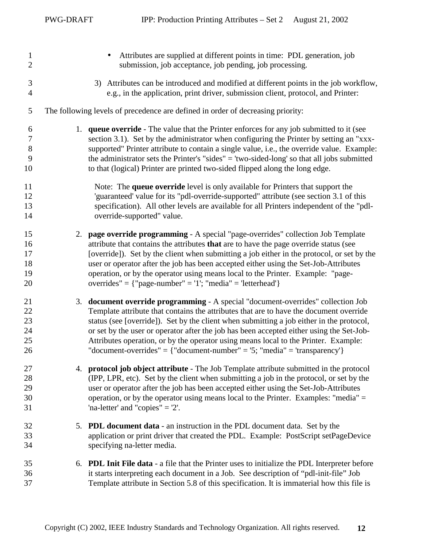| $\mathbf{1}$<br>$\mathbf{2}$          | Attributes are supplied at different points in time: PDL generation, job<br>submission, job acceptance, job pending, job processing.                                                                                                                                                                                                                                                                                                                                                                                                   |
|---------------------------------------|----------------------------------------------------------------------------------------------------------------------------------------------------------------------------------------------------------------------------------------------------------------------------------------------------------------------------------------------------------------------------------------------------------------------------------------------------------------------------------------------------------------------------------------|
| $\mathfrak{Z}$<br>$\overline{4}$      | 3) Attributes can be introduced and modified at different points in the job workflow,<br>e.g., in the application, print driver, submission client, protocol, and Printer:                                                                                                                                                                                                                                                                                                                                                             |
| 5                                     | The following levels of precedence are defined in order of decreasing priority:                                                                                                                                                                                                                                                                                                                                                                                                                                                        |
| 6<br>$\boldsymbol{7}$<br>8<br>9<br>10 | 1. <b>queue override</b> - The value that the Printer enforces for any job submitted to it (see<br>section 3.1). Set by the administrator when configuring the Printer by setting an "xxx-<br>supported" Printer attribute to contain a single value, i.e., the override value. Example:<br>the administrator sets the Printer's "sides" = 'two-sided-long' so that all jobs submitted<br>to that (logical) Printer are printed two-sided flipped along the long edge.                                                                 |
| 11<br>12<br>13<br>14                  | Note: The queue override level is only available for Printers that support the<br>'guaranteed' value for its "pdl-override-supported" attribute (see section 3.1 of this<br>specification). All other levels are available for all Printers independent of the "pdl-<br>override-supported" value.                                                                                                                                                                                                                                     |
| 15<br>16<br>17<br>18<br>19<br>20      | 2. page override programming - A special "page-overrides" collection Job Template<br>attribute that contains the attributes that are to have the page override status (see<br>[override]). Set by the client when submitting a job either in the protocol, or set by the<br>user or operator after the job has been accepted either using the Set-Job-Attributes<br>operation, or by the operator using means local to the Printer. Example: "page-<br>overrides" = {"page-number" = '1'; "media" = 'letterhead'}                      |
| 21<br>22<br>23<br>24<br>25<br>26      | 3. document override programming - A special "document-overrides" collection Job<br>Template attribute that contains the attributes that are to have the document override<br>status (see [override]). Set by the client when submitting a job either in the protocol,<br>or set by the user or operator after the job has been accepted either using the Set-Job-<br>Attributes operation, or by the operator using means local to the Printer. Example:<br>"document-overrides" = {"document-number" = '5; "media" = 'transparency'} |
| 27<br>28<br>29<br>30<br>31            | 4. protocol job object attribute - The Job Template attribute submitted in the protocol<br>(IPP, LPR, etc). Set by the client when submitting a job in the protocol, or set by the<br>user or operator after the job has been accepted either using the Set-Job-Attributes<br>operation, or by the operator using means local to the Printer. Examples: "media" =<br>'na-letter' and "copies" $=$ '2'.                                                                                                                                 |
| 32<br>33<br>34                        | 5. PDL document data - an instruction in the PDL document data. Set by the<br>application or print driver that created the PDL. Example: PostScript setPageDevice<br>specifying na-letter media.                                                                                                                                                                                                                                                                                                                                       |
| 35<br>36<br>37                        | 6. PDL Init File data - a file that the Printer uses to initialize the PDL Interpreter before<br>it starts interpreting each document in a Job. See description of "pdl-init-file" Job<br>Template attribute in Section 5.8 of this specification. It is immaterial how this file is                                                                                                                                                                                                                                                   |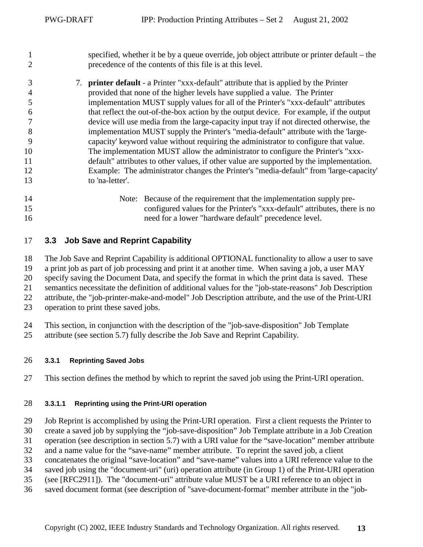<span id="page-12-0"></span>

| 2  | precedence of the contents of this file is at this level. | specified, whether it be by a queue override, job object attribute or printer default – the  |
|----|-----------------------------------------------------------|----------------------------------------------------------------------------------------------|
| 3  |                                                           | 7. <b>printer default</b> - a Printer "xxx-default" attribute that is applied by the Printer |
| 4  |                                                           | provided that none of the higher levels have supplied a value. The Printer                   |
| 5  |                                                           | implementation MUST supply values for all of the Printer's "xxx-default" attributes          |
| 6  |                                                           | that reflect the out-of-the-box action by the output device. For example, if the output      |
|    |                                                           | device will use media from the large-capacity input tray if not directed otherwise, the      |
| 8  |                                                           | implementation MUST supply the Printer's "media-default" attribute with the 'large-          |
| 9  |                                                           | capacity' keyword value without requiring the administrator to configure that value.         |
| 10 |                                                           | The implementation MUST allow the administrator to configure the Printer's "xxx-             |
| 11 |                                                           | default" attributes to other values, if other value are supported by the implementation.     |
| 12 |                                                           | Example: The administrator changes the Printer's "media-default" from 'large-capacity'       |
| 13 | to 'na-letter'.                                           |                                                                                              |
| 14 |                                                           | Note: Because of the requirement that the implementation supply pre-                         |
| 15 |                                                           | configured values for the Printer's "xxx-default" attributes, there is no                    |
| 16 |                                                           | need for a lower "hardware default" precedence level.                                        |

### 17 **3.3 Job Save and Reprint Capability**

18 The Job Save and Reprint Capability is additional OPTIONAL functionality to allow a user to save 19 a print job as part of job processing and print it at another time. When saving a job, a user MAY 20 specify saving the Document Data, and specify the format in which the print data is saved. These 21 semantics necessitate the definition of additional values for the "job-state-reasons" Job Description

22 attribute, the "job-printer-make-and-model" Job Description attribute, and the use of the Print-URI

23 operation to print these saved jobs.

24 This section, in conjunction with the description of the "job-save-disposition" Job Template

25 attribute (see section [5.7\)](#page-20-0) fully describe the Job Save and Reprint Capability.

#### 26 **3.3.1 Reprinting Saved Jobs**

27 This section defines the method by which to reprint the saved job using the Print-URI operation.

#### 28 **3.3.1.1 Reprinting using the Print-URI operation**

29 Job Reprint is accomplished by using the Print-URI operation. First a client requests the Printer to

30 create a saved job by supplying the "job-save-disposition" Job Template attribute in a Job Creation

31 operation (see description in section [5.7\)](#page-20-0) with a URI value for the "save-location" member attribute

32 and a name value for the "save-name" member attribute. To reprint the saved job, a client

33 concatenates the original "save-location" and "save-name" values into a URI reference value to the

34 saved job using the "document-uri" (uri) operation attribute (in Group 1) of the Print-URI operation

35 (see [RFC2911]). The "document-uri" attribute value MUST be a URI reference to an object in

36 saved document format (see description of "save-document-format" member attribute in the "job-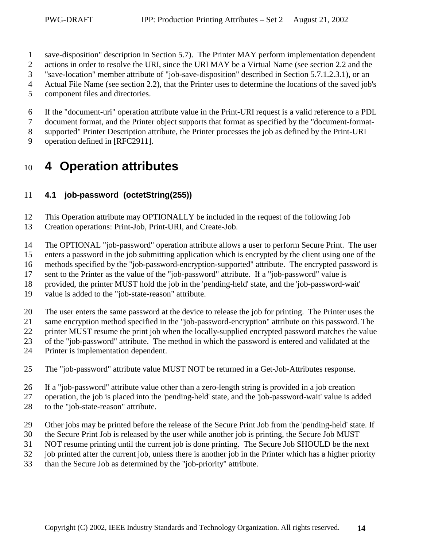- <span id="page-13-0"></span>1 save-disposition" description in Section [5.7\)](#page-20-0). The Printer MAY perform implementation dependent
- 2 actions in order to resolve the URI, since the URI MAY be a Virtual Name (see section [2.2](#page-8-0) and the
- 3 "save-location" member attribute of "job-save-disposition" described in Section [5.7.1.2.3.1\)](#page-23-0), or an
- 4 Actual File Name (see section [2.2\)](#page-8-0), that the Printer uses to determine the locations of the saved job's
- 5 component files and directories.
- 6 If the "document-uri" operation attribute value in the Print-URI request is a valid reference to a PDL
- 7 document format, and the Printer object supports that format as specified by the "document-format-
- 8 supported" Printer Description attribute, the Printer processes the job as defined by the Print-URI
- 9 operation defined in [RFC2911].

# <sup>10</sup>**4 Operation attributes**

# 11 **4.1 job-password (octetString(255))**

- 12 This Operation attribute may OPTIONALLY be included in the request of the following Job
- 13 Creation operations: Print-Job, Print-URI, and Create-Job.
- 14 The OPTIONAL "job-password" operation attribute allows a user to perform Secure Print. The user
- 15 enters a password in the job submitting application which is encrypted by the client using one of the
- 16 methods specified by the "job-password-encryption-supported" attribute. The encrypted password is
- 17 sent to the Printer as the value of the "job-password" attribute. If a "job-password" value is
- 18 provided, the printer MUST hold the job in the 'pending-held' state, and the 'job-password-wait'
- 19 value is added to the "job-state-reason" attribute.
- 20 The user enters the same password at the device to release the job for printing. The Printer uses the
- 21 same encryption method specified in the "job-password-encryption" attribute on this password. The
- 22 printer MUST resume the print job when the locally-supplied encrypted password matches the value
- 23 of the "job-password" attribute. The method in which the password is entered and validated at the
- 24 Printer is implementation dependent.
- 25 The "job-password" attribute value MUST NOT be returned in a Get-Job-Attributes response.
- 26 If a "job-password" attribute value other than a zero-length string is provided in a job creation
- 27 operation, the job is placed into the 'pending-held' state, and the 'job-password-wait' value is added 28 to the "job-state-reason" attribute.
- 29 Other jobs may be printed before the release of the Secure Print Job from the 'pending-held' state. If
- 30 the Secure Print Job is released by the user while another job is printing, the Secure Job MUST
- 31 NOT resume printing until the current job is done printing. The Secure Job SHOULD be the next
- 32 job printed after the current job, unless there is another job in the Printer which has a higher priority
- 33 than the Secure Job as determined by the "job-priority" attribute.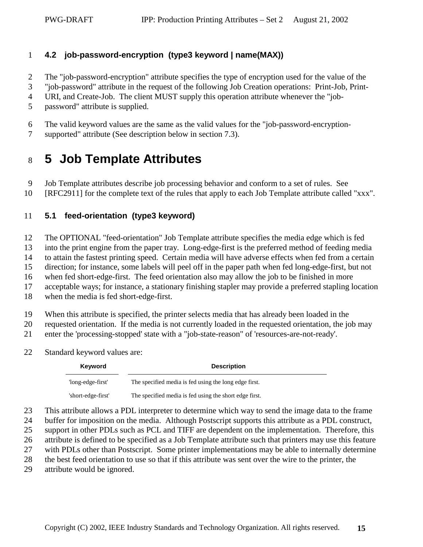### <span id="page-14-0"></span>1 **4.2 job-password-encryption (type3 keyword | name(MAX))**

- 2 The "job-password-encryption" attribute specifies the type of encryption used for the value of the
- 3 "job-password" attribute in the request of the following Job Creation operations: Print-Job, Print-
- 4 URI, and Create-Job. The client MUST supply this operation attribute whenever the "job-
- 5 password" attribute is supplied.
- 6 The valid keyword values are the same as the valid values for the "job-password-encryption-
- 7 supported" attribute (See description below in section [7.3\)](#page-36-0).

# <sup>8</sup>**5 Job Template Attributes**

- 9 Job Template attributes describe job processing behavior and conform to a set of rules. See
- 10 [RFC2911] for the complete text of the rules that apply to each Job Template attribute called "xxx".

### 11 **5.1 feed-orientation (type3 keyword)**

12 The OPTIONAL "feed-orientation" Job Template attribute specifies the media edge which is fed

13 into the print engine from the paper tray. Long-edge-first is the preferred method of feeding media

14 to attain the fastest printing speed. Certain media will have adverse effects when fed from a certain

15 direction; for instance, some labels will peel off in the paper path when fed long-edge-first, but not

16 when fed short-edge-first. The feed orientation also may allow the job to be finished in more

17 acceptable ways; for instance, a stationary finishing stapler may provide a preferred stapling location

- 18 when the media is fed short-edge-first.
- 19 When this attribute is specified, the printer selects media that has already been loaded in the

20 requested orientation. If the media is not currently loaded in the requested orientation, the job may

21 enter the 'processing-stopped' state with a "job-state-reason" of 'resources-are-not-ready'.

22 Standard keyword values are:

| Keyword            | <b>Description</b>                                     |
|--------------------|--------------------------------------------------------|
| 'long-edge-first'  | The specified media is fed using the long edge first.  |
| 'short-edge-first' | The specified media is fed using the short edge first. |

23 This attribute allows a PDL interpreter to determine which way to send the image data to the frame

24 buffer for imposition on the media. Although Postscript supports this attribute as a PDL construct,

- 25 support in other PDLs such as PCL and TIFF are dependent on the implementation. Therefore, this
- 26 attribute is defined to be specified as a Job Template attribute such that printers may use this feature
- 27 with PDLs other than Postscript. Some printer implementations may be able to internally determine

28 the best feed orientation to use so that if this attribute was sent over the wire to the printer, the

29 attribute would be ignored.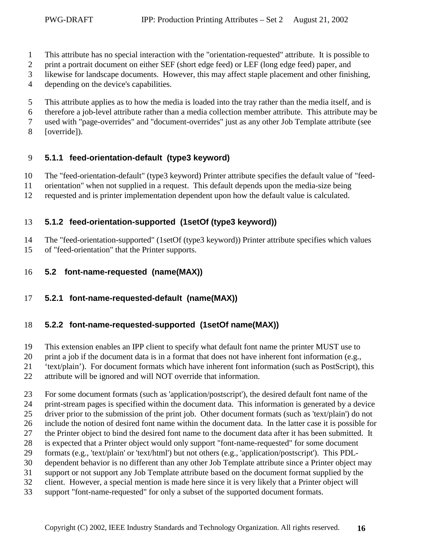- <span id="page-15-0"></span>1 This attribute has no special interaction with the "orientation-requested" attribute. It is possible to
- 2 print a portrait document on either SEF (short edge feed) or LEF (long edge feed) paper, and
- 3 likewise for landscape documents. However, this may affect staple placement and other finishing,
- 4 depending on the device's capabilities.
- 5 This attribute applies as to how the media is loaded into the tray rather than the media itself, and is
- 6 therefore a job-level attribute rather than a media collection member attribute. This attribute may be
- 7 used with "page-overrides" and "document-overrides" just as any other Job Template attribute (see
- 8 [override]).

# 9 **5.1.1 feed-orientation-default (type3 keyword)**

10 The "feed-orientation-default" (type3 keyword) Printer attribute specifies the default value of "feed-

- 11 orientation" when not supplied in a request. This default depends upon the media-size being
- 12 requested and is printer implementation dependent upon how the default value is calculated.

# 13 **5.1.2 feed-orientation-supported (1setOf (type3 keyword))**

14 The "feed-orientation-supported" (1setOf (type3 keyword)) Printer attribute specifies which values 15 of "feed-orientation" that the Printer supports.

- 16 **5.2 font-name-requested (name(MAX))**
- 17 **5.2.1 font-name-requested-default (name(MAX))**

### 18 **5.2.2 font-name-requested-supported (1setOf name(MAX))**

19 This extension enables an IPP client to specify what default font name the printer MUST use to

- 20 print a job if the document data is in a format that does not have inherent font information (e.g.,
- 21 'text/plain'). For document formats which have inherent font information (such as PostScript), this

22 attribute will be ignored and will NOT override that information.

23 For some document formats (such as 'application/postscript'), the desired default font name of the

- 24 print-stream pages is specified within the document data. This information is generated by a device
- 25 driver prior to the submission of the print job. Other document formats (such as 'text/plain') do not
- 26 include the notion of desired font name within the document data. In the latter case it is possible for
- 27 the Printer object to bind the desired font name to the document data after it has been submitted. It
- 28 is expected that a Printer object would only support "font-name-requested" for some document
- 29 formats (e.g., 'text/plain' or 'text/html') but not others (e.g., 'application/postscript'). This PDL-
- 30 dependent behavior is no different than any other Job Template attribute since a Printer object may
- 31 support or not support any Job Template attribute based on the document format supplied by the
- 32 client. However, a special mention is made here since it is very likely that a Printer object will
- 33 support "font-name-requested" for only a subset of the supported document formats.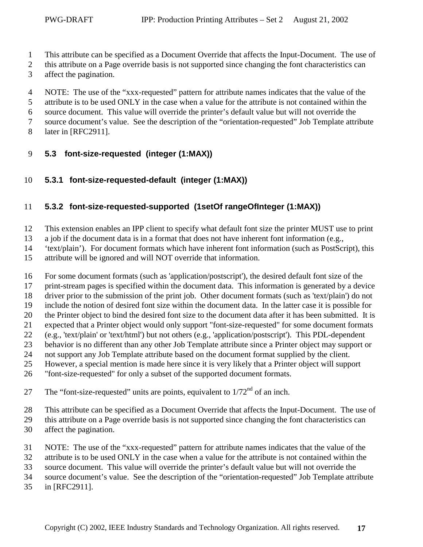- <span id="page-16-0"></span>1 This attribute can be specified as a Document Override that affects the Input-Document. The use of
- 2 this attribute on a Page override basis is not supported since changing the font characteristics can
- 3 affect the pagination.
- 4 NOTE: The use of the "xxx-requested" pattern for attribute names indicates that the value of the
- 5 attribute is to be used ONLY in the case when a value for the attribute is not contained within the
- 6 source document. This value will override the printer's default value but will not override the
- 7 source document's value. See the description of the "orientation-requested" Job Template attribute
- 8 later in [RFC2911].
- 9 **5.3 font-size-requested (integer (1:MAX))**
- 10 **5.3.1 font-size-requested-default (integer (1:MAX))**

# 11 **5.3.2 font-size-requested-supported (1setOf rangeOfInteger (1:MAX))**

- 12 This extension enables an IPP client to specify what default font size the printer MUST use to print
- 13 a job if the document data is in a format that does not have inherent font information (e.g.,
- 14 'text/plain'). For document formats which have inherent font information (such as PostScript), this
- 15 attribute will be ignored and will NOT override that information.
- 16 For some document formats (such as 'application/postscript'), the desired default font size of the
- 17 print-stream pages is specified within the document data. This information is generated by a device
- 18 driver prior to the submission of the print job. Other document formats (such as 'text/plain') do not
- 19 include the notion of desired font size within the document data. In the latter case it is possible for
- 20 the Printer object to bind the desired font size to the document data after it has been submitted. It is
- 21 expected that a Printer object would only support "font-size-requested" for some document formats
- 22 (e.g., 'text/plain' or 'text/html') but not others (e.g., 'application/postscript'). This PDL-dependent
- 23 behavior is no different than any other Job Template attribute since a Printer object may support or
- 24 not support any Job Template attribute based on the document format supplied by the client.
- 25 However, a special mention is made here since it is very likely that a Printer object will support
- 26 "font-size-requested" for only a subset of the supported document formats.
- 27 The "font-size-requested" units are points, equivalent to  $1/72<sup>nd</sup>$  of an inch.
- 28 This attribute can be specified as a Document Override that affects the Input-Document. The use of
- 29 this attribute on a Page override basis is not supported since changing the font characteristics can
- 30 affect the pagination.
- 31 NOTE: The use of the "xxx-requested" pattern for attribute names indicates that the value of the
- 32 attribute is to be used ONLY in the case when a value for the attribute is not contained within the
- 33 source document. This value will override the printer's default value but will not override the
- 34 source document's value. See the description of the "orientation-requested" Job Template attribute
- 35 in [RFC2911].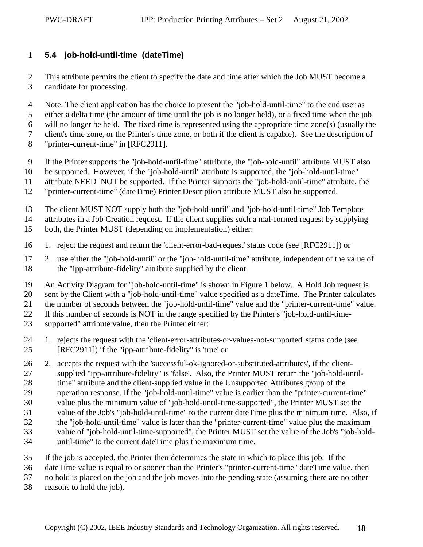### <span id="page-17-0"></span>1 **5.4 job-hold-until-time (dateTime)**

2 This attribute permits the client to specify the date and time after which the Job MUST become a 3 candidate for processing.

4 Note: The client application has the choice to present the "job-hold-until-time" to the end user as

5 either a delta time (the amount of time until the job is no longer held), or a fixed time when the job

6 will no longer be held. The fixed time is represented using the appropriate time zone(s) (usually the

7 client's time zone, or the Printer's time zone, or both if the client is capable). See the description of

8 "printer-current-time" in [RFC2911].

9 If the Printer supports the "job-hold-until-time" attribute, the "job-hold-until" attribute MUST also

10 be supported. However, if the "job-hold-until" attribute is supported, the "job-hold-until-time"

11 attribute NEED NOT be supported. If the Printer supports the "job-hold-until-time" attribute, the

12 "printer-current-time" (dateTime) Printer Description attribute MUST also be supported.

13 The client MUST NOT supply both the "job-hold-until" and "job-hold-until-time" Job Template

14 attributes in a Job Creation request. If the client supplies such a mal-formed request by supplying

- 15 both, the Printer MUST (depending on implementation) either:
- 16 1. reject the request and return the 'client-error-bad-request' status code (see [RFC2911]) or

17 2. use either the "job-hold-until" or the "job-hold-until-time" attribute, independent of the value of 18 the "ipp-attribute-fidelity" attribute supplied by the client.

19 An Activity Diagram for "job-hold-until-time" is shown in Figure 1 below. A Hold Job request is

20 sent by the Client with a "job-hold-until-time" value specified as a dateTime. The Printer calculates

21 the number of seconds between the "job-hold-until-time" value and the "printer-current-time" value.

22 If this number of seconds is NOT in the range specified by the Printer's "job-hold-until-time-

- 23 supported" attribute value, then the Printer either:
- 24 1. rejects the request with the 'client-error-attributes-or-values-not-supported' status code (see 25 [RFC2911]) if the "ipp-attribute-fidelity" is 'true' or

26 2. accepts the request with the 'successful-ok-ignored-or-substituted-attributes', if the client-27 supplied "ipp-attribute-fidelity" is 'false'. Also, the Printer MUST return the "job-hold-until-28 time" attribute and the client-supplied value in the Unsupported Attributes group of the

29 operation response. If the "job-hold-until-time" value is earlier than the "printer-current-time"

30 value plus the minimum value of "job-hold-until-time-supported", the Printer MUST set the

31 value of the Job's "job-hold-until-time" to the current dateTime plus the minimum time. Also, if

32 the "job-hold-until-time" value is later than the "printer-current-time" value plus the maximum

33 value of "job-hold-until-time-supported", the Printer MUST set the value of the Job's "job-hold-

34 until-time" to the current dateTime plus the maximum time.

35 If the job is accepted, the Printer then determines the state in which to place this job. If the

36 dateTime value is equal to or sooner than the Printer's "printer-current-time" dateTime value, then

37 no hold is placed on the job and the job moves into the pending state (assuming there are no other

38 reasons to hold the job).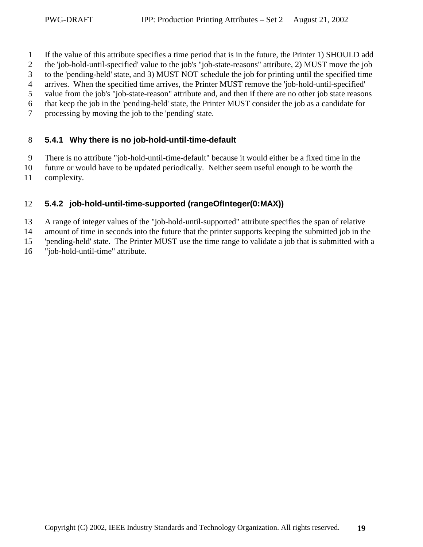- <span id="page-18-0"></span>1 If the value of this attribute specifies a time period that is in the future, the Printer 1) SHOULD add
- 2 the 'job-hold-until-specified' value to the job's "job-state-reasons" attribute, 2) MUST move the job
- 3 to the 'pending-held' state, and 3) MUST NOT schedule the job for printing until the specified time
- 4 arrives. When the specified time arrives, the Printer MUST remove the 'job-hold-until-specified'
- 5 value from the job's "job-state-reason" attribute and, and then if there are no other job state reasons
- 6 that keep the job in the 'pending-held' state, the Printer MUST consider the job as a candidate for
- 7 processing by moving the job to the 'pending' state.

### 8 **5.4.1 Why there is no job-hold-until-time-default**

- 9 There is no attribute "job-hold-until-time-default" because it would either be a fixed time in the
- 10 future or would have to be updated periodically. Neither seem useful enough to be worth the
- 11 complexity.

# 12 **5.4.2 job-hold-until-time-supported (rangeOfInteger(0:MAX))**

- 13 A range of integer values of the "job-hold-until-supported" attribute specifies the span of relative
- 14 amount of time in seconds into the future that the printer supports keeping the submitted job in the
- 15 'pending-held' state. The Printer MUST use the time range to validate a job that is submitted with a
- 16 "job-hold-until-time" attribute.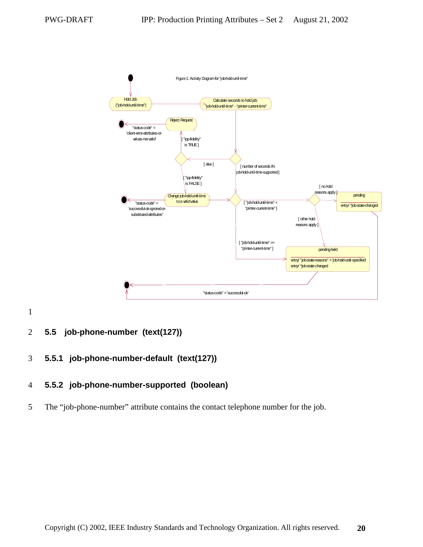<span id="page-19-0"></span>

1

### 2 **5.5 job-phone-number (text(127))**

### 3 **5.5.1 job-phone-number-default (text(127))**

### 4 **5.5.2 job-phone-number-supported (boolean)**

5 The "job-phone-number" attribute contains the contact telephone number for the job.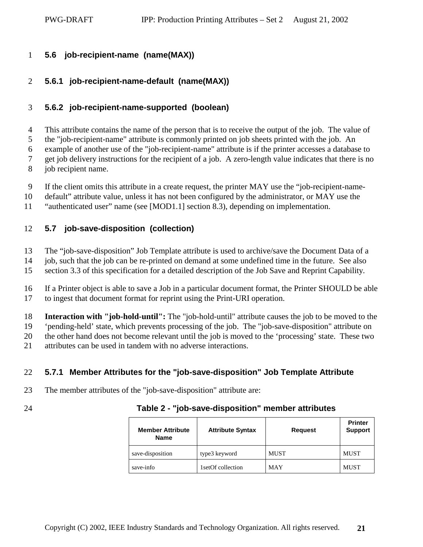#### <span id="page-20-0"></span>1 **5.6 job-recipient-name (name(MAX))**

# 2 **5.6.1 job-recipient-name-default (name(MAX))**

# 3 **5.6.2 job-recipient-name-supported (boolean)**

4 This attribute contains the name of the person that is to receive the output of the job. The value of 5 the "job-recipient-name" attribute is commonly printed on job sheets printed with the job. An 6 example of another use of the "job-recipient-name" attribute is if the printer accesses a database to 7 get job delivery instructions for the recipient of a job. A zero-length value indicates that there is no

- 8 job recipient name.
- 9 If the client omits this attribute in a create request, the printer MAY use the "job-recipient-name-
- 10 default" attribute value, unless it has not been configured by the administrator, or MAY use the
- 11 "authenticated user" name (see [MOD1.1] section 8.3), depending on implementation.

# 12 **5.7 job-save-disposition (collection)**

- 13 The "job-save-disposition" Job Template attribute is used to archive/save the Document Data of a
- 14 job, such that the job can be re-printed on demand at some undefined time in the future. See also
- 15 section [3.3](#page-12-0) of this specification for a detailed description of the Job Save and Reprint Capability.
- 16 If a Printer object is able to save a Job in a particular document format, the Printer SHOULD be able 17 to ingest that document format for reprint using the Print-URI operation.

18 **Interaction with "job-hold-until":** The "job-hold-until" attribute causes the job to be moved to the 19 'pending-held' state, which prevents processing of the job. The "job-save-disposition" attribute on

- 20 the other hand does not become relevant until the job is moved to the 'processing' state. These two
- 21 attributes can be used in tandem with no adverse interactions.

# 22 **5.7.1 Member Attributes for the "job-save-disposition" Job Template Attribute**

- 23 The member attributes of the "job-save-disposition" attribute are:
- 

| 24 | Table 2 - "job-save-disposition" member attributes |  |
|----|----------------------------------------------------|--|
|----|----------------------------------------------------|--|

| <b>Member Attribute</b><br><b>Name</b> | <b>Attribute Syntax</b> | <b>Request</b> | <b>Printer</b><br><b>Support</b> |
|----------------------------------------|-------------------------|----------------|----------------------------------|
| save-disposition                       | type3 keyword           | <b>MUST</b>    | <b>MUST</b>                      |
| save-info                              | 1setOf collection       | <b>MAY</b>     | <b>MUST</b>                      |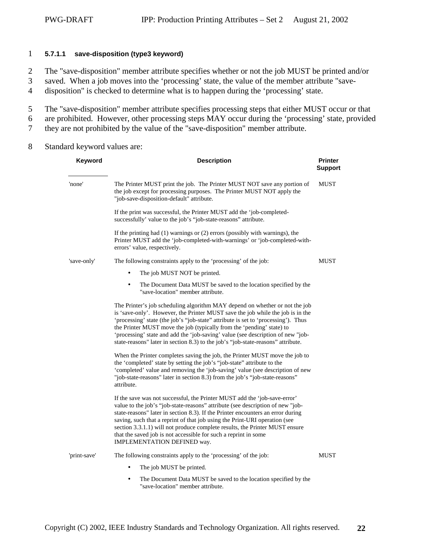#### <span id="page-21-0"></span>1 **5.7.1.1 save-disposition (type3 keyword)**

2 The "save-disposition" member attribute specifies whether or not the job MUST be printed and/or

- 3 saved. When a job moves into the 'processing' state, the value of the member attribute "save-
- 4 disposition" is checked to determine what is to happen during the 'processing' state.
- 5 The "save-disposition" member attribute specifies processing steps that either MUST occur or that
- 6 are prohibited. However, other processing steps MAY occur during the 'processing' state, provided
- 7 they are not prohibited by the value of the "save-disposition" member attribute.
- 8 Standard keyword values are:

| Keyword      | <b>Description</b>                                                                                                                                                                                                                                                                                                                                                                                                                                                                                            | <b>Printer</b><br><b>Support</b> |
|--------------|---------------------------------------------------------------------------------------------------------------------------------------------------------------------------------------------------------------------------------------------------------------------------------------------------------------------------------------------------------------------------------------------------------------------------------------------------------------------------------------------------------------|----------------------------------|
| 'none'       | The Printer MUST print the job. The Printer MUST NOT save any portion of<br>the job except for processing purposes. The Printer MUST NOT apply the<br>"job-save-disposition-default" attribute.                                                                                                                                                                                                                                                                                                               | <b>MUST</b>                      |
|              | If the print was successful, the Printer MUST add the 'job-completed-<br>successfully' value to the job's "job-state-reasons" attribute.                                                                                                                                                                                                                                                                                                                                                                      |                                  |
|              | If the printing had $(1)$ warnings or $(2)$ errors (possibly with warnings), the<br>Printer MUST add the 'job-completed-with-warnings' or 'job-completed-with-<br>errors' value, respectively.                                                                                                                                                                                                                                                                                                                |                                  |
| 'save-only'  | The following constraints apply to the 'processing' of the job:                                                                                                                                                                                                                                                                                                                                                                                                                                               | <b>MUST</b>                      |
|              | The job MUST NOT be printed.                                                                                                                                                                                                                                                                                                                                                                                                                                                                                  |                                  |
|              | The Document Data MUST be saved to the location specified by the<br>$\bullet$<br>"save-location" member attribute.                                                                                                                                                                                                                                                                                                                                                                                            |                                  |
|              | The Printer's job scheduling algorithm MAY depend on whether or not the job<br>is 'save-only'. However, the Printer MUST save the job while the job is in the<br>'processing' state (the job's "job-state" attribute is set to 'processing'). Thus<br>the Printer MUST move the job (typically from the 'pending' state) to<br>'processing' state and add the 'job-saving' value (see description of new "job-<br>state-reasons" later in section 8.3) to the job's "job-state-reasons" attribute.            |                                  |
|              | When the Printer completes saving the job, the Printer MUST move the job to<br>the 'completed' state by setting the job's "job-state" attribute to the<br>'completed' value and removing the 'job-saving' value (see description of new<br>"job-state-reasons" later in section 8.3) from the job's "job-state-reasons"<br>attribute.                                                                                                                                                                         |                                  |
|              | If the save was not successful, the Printer MUST add the 'job-save-error'<br>value to the job's "job-state-reasons" attribute (see description of new "job-<br>state-reasons" later in section 8.3). If the Printer encounters an error during<br>saving, such that a reprint of that job using the Print-URI operation (see<br>section 3.3.1.1) will not produce complete results, the Printer MUST ensure<br>that the saved job is not accessible for such a reprint in some<br>IMPLEMENTATION DEFINED way. |                                  |
| 'print-save' | The following constraints apply to the 'processing' of the job:                                                                                                                                                                                                                                                                                                                                                                                                                                               | <b>MUST</b>                      |
|              | The job MUST be printed.                                                                                                                                                                                                                                                                                                                                                                                                                                                                                      |                                  |
|              | The Document Data MUST be saved to the location specified by the<br>$\bullet$<br>"save-location" member attribute.                                                                                                                                                                                                                                                                                                                                                                                            |                                  |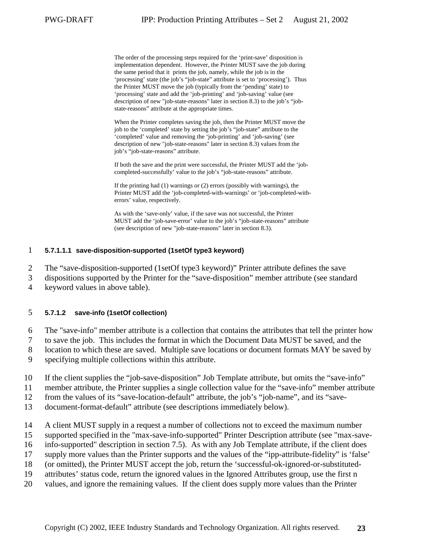<span id="page-22-0"></span>The order of the processing steps required for the 'print-save' disposition is implementation dependent. However, the Printer MUST save the job during the same period that it prints the job, namely, while the job is in the 'processing' state (the job's "job-state" attribute is set to 'processing'). Thus the Printer MUST move the job (typically from the 'pending' state) to 'processing' state and add the 'job-printing' and 'job-saving' value (see description of new "job-state-reasons" later in section [8.3\)](#page-44-0) to the job's "jobstate-reasons" attribute at the appropriate times.

When the Printer completes saving the job, then the Printer MUST move the job to the 'completed' state by setting the job's "job-state" attribute to the 'completed' value and removing the 'job-printing' and 'job-saving' (see description of new "job-state-reasons" later in section [8.3\)](#page-44-0) values from the job's "job-state-reasons" attribute.

If both the save and the print were successful, the Printer MUST add the 'jobcompleted-successfully' value to the job's "job-state-reasons" attribute.

If the printing had (1) warnings or (2) errors (possibly with warnings), the Printer MUST add the 'job-completed-with-warnings' or 'job-completed-witherrors' value, respectively.

As with the 'save-only' value, if the save was not successful, the Printer MUST add the 'job-save-error' value to the job's "job-state-reasons" attribute (see description of new "job-state-reasons" later in section [8.3\)](#page-44-0).

#### 1 **5.7.1.1.1 save-disposition-supported (1setOf type3 keyword)**

2 The "save-disposition-supported (1setOf type3 keyword)" Printer attribute defines the save

3 dispositions supported by the Printer for the "save-disposition" member attribute (see standard

4 keyword values in above table).

#### 5 **5.7.1.2 save-info (1setOf collection)**

6 The "save-info" member attribute is a collection that contains the attributes that tell the printer how

7 to save the job. This includes the format in which the Document Data MUST be saved, and the

8 location to which these are saved. Multiple save locations or document formats MAY be saved by

9 specifying multiple collections within this attribute.

- 10 If the client supplies the "job-save-disposition" Job Template attribute, but omits the "save-info"
- 11 member attribute, the Printer supplies a single collection value for the "save-info" member attribute

12 from the values of its "save-location-default" attribute, the job's "job-name", and its "save-

13 document-format-default" attribute (see descriptions immediately below).

- 14 A client MUST supply in a request a number of collections not to exceed the maximum number
- 15 supported specified in the "max-save-info-supported" Printer Description attribute (see "max-save-
- 16 info-supported" description in section [7.5\)](#page-37-0). As with any Job Template attribute, if the client does
- 17 supply more values than the Printer supports and the values of the "ipp-attribute-fidelity" is 'false'
- 18 (or omitted), the Printer MUST accept the job, return the 'successful-ok-ignored-or-substituted-
- 19 attributes' status code, return the ignored values in the Ignored Attributes group, use the first n
- 20 values, and ignore the remaining values. If the client does supply more values than the Printer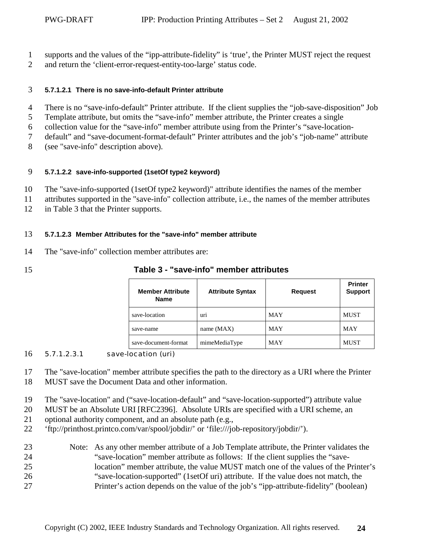- <span id="page-23-0"></span>1 supports and the values of the "ipp-attribute-fidelity" is 'true', the Printer MUST reject the request
- 2 and return the 'client-error-request-entity-too-large' status code.

#### 3 **5.7.1.2.1 There is no save-info-default Printer attribute**

- 4 There is no "save-info-default" Printer attribute. If the client supplies the "job-save-disposition" Job
- 5 Template attribute, but omits the "save-info" member attribute, the Printer creates a single
- 6 collection value for the "save-info" member attribute using from the Printer's "save-location-
- 7 default" and "save-document-format-default" Printer attributes and the job's "job-name" attribute
- 8 (see "save-info" description above).

#### 9 **5.7.1.2.2 save-info-supported (1setOf type2 keyword)**

- 10 The "save-info-supported (1setOf type2 keyword)" attribute identifies the names of the member
- 11 attributes supported in the "save-info" collection attribute, i.e., the names of the member attributes
- 12 in Table 3 that the Printer supports.

#### 13 **5.7.1.2.3 Member Attributes for the "save-info" member attribute**

- 14 The "save-info" collection member attributes are:
- 

| 15 | Table 3 - "save-info" member attributes |  |
|----|-----------------------------------------|--|
|    |                                         |  |

| <b>Member Attribute</b><br><b>Name</b> | <b>Attribute Syntax</b> | <b>Request</b> | <b>Printer</b><br><b>Support</b> |
|----------------------------------------|-------------------------|----------------|----------------------------------|
| save-location                          | uri                     | <b>MAY</b>     | <b>MUST</b>                      |
| save-name                              | name $(MAX)$            | <b>MAY</b>     | <b>MAY</b>                       |
| save-document-format                   | mimeMediaType           | <b>MAY</b>     | <b>MUST</b>                      |

#### 16 5.7.1.2.3.1 save-location (uri)

17 The "save-location" member attribute specifies the path to the directory as a URI where the Printer

- 18 MUST save the Document Data and other information.
- 19 The "save-location" and ("save-location-default" and "save-location-supported") attribute value
- 20 MUST be an Absolute URI [RFC2396]. Absolute URIs are specified with a URI scheme, an
- 21 optional authority component, and an absolute path (e.g.,
- 22 'ftp://printhost.printco.com/var/spool/jobdir/' or 'file:///job-repository/jobdir/').
- 23 Note: As any other member attribute of a Job Template attribute, the Printer validates the 24 "save-location" member attribute as follows: If the client supplies the "save-25 location" member attribute, the value MUST match one of the values of the Printer's 26 "save-location-supported" (1setOf uri) attribute. If the value does not match, the 27 Printer's action depends on the value of the job's "ipp-attribute-fidelity" (boolean)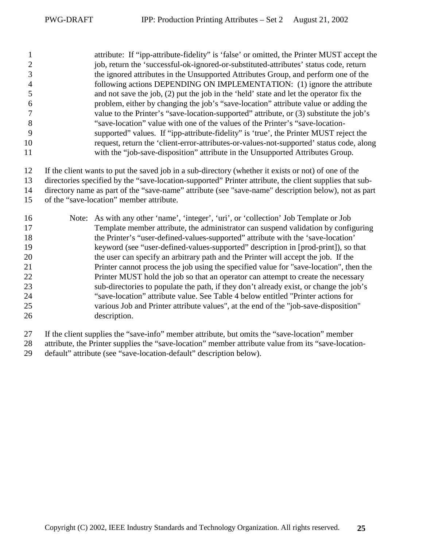1 attribute: If "ipp-attribute-fidelity" is 'false' or omitted, the Printer MUST accept the 2 iob, return the 'successful-ok-ignored-or-substituted-attributes' status code, return 3 the ignored attributes in the Unsupported Attributes Group, and perform one of the 4 following actions DEPENDING ON IMPLEMENTATION: (1) ignore the attribute 5 and not save the job, (2) put the job in the 'held' state and let the operator fix the 6 problem, either by changing the job's "save-location" attribute value or adding the 7 value to the Printer's "save-location-supported" attribute, or (3) substitute the job's 8 "save-location" value with one of the values of the Printer's "save-location-9 supported" values. If "ipp-attribute-fidelity" is 'true', the Printer MUST reject the 10 request, return the 'client-error-attributes-or-values-not-supported' status code, along 11 with the "job-save-disposition" attribute in the Unsupported Attributes Group.

12 If the client wants to put the saved job in a sub-directory (whether it exists or not) of one of the

13 directories specified by the "save-location-supported" Printer attribute, the client supplies that sub-

14 directory name as part of the "save-name" attribute (see "save-name" description below), not as part

- 15 of the "save-location" member attribute.
- 16 Note: As with any other 'name', 'integer', 'uri', or 'collection' Job Template or Job 17 Template member attribute, the administrator can suspend validation by configuring 18 the Printer's "user-defined-values-supported" attribute with the 'save-location' 19 keyword (see "user-defined-values-supported" description in [prod-print]), so that 20 the user can specify an arbitrary path and the Printer will accept the job. If the 21 Printer cannot process the job using the specified value for "save-location", then the 22 Printer MUST hold the job so that an operator can attempt to create the necessary 23 sub-directories to populate the path, if they don't already exist, or change the job's 24 "save-location" attribute value. See [Table 4](#page-29-0) below entitled "Printer actions for 25 various Job and Printer attribute values", at the end of the "job-save-disposition" 26 description.
- 27 If the client supplies the "save-info" member attribute, but omits the "save-location" member
- 28 attribute, the Printer supplies the "save-location" member attribute value from its "save-location-
- 29 default" attribute (see "save-location-default" description below).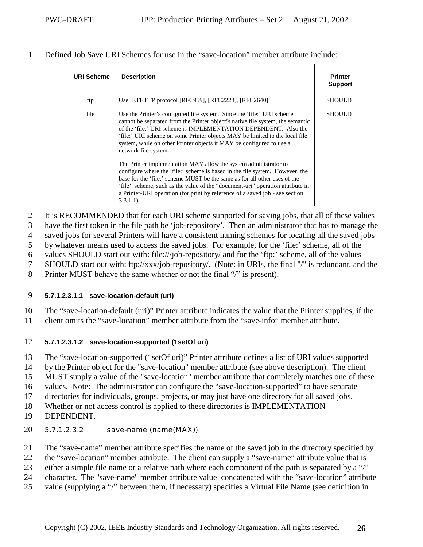<span id="page-25-0"></span>1 Defined Job Save URI Schemes for use in the "save-location" member attribute include:

| <b>URI Scheme</b> | <b>Description</b>                                                                                                                                                                                                                                                                                                                                                                                                                                                                                                                                                                                                                                                                                                                                                                                                            | <b>Printer</b><br><b>Support</b> |
|-------------------|-------------------------------------------------------------------------------------------------------------------------------------------------------------------------------------------------------------------------------------------------------------------------------------------------------------------------------------------------------------------------------------------------------------------------------------------------------------------------------------------------------------------------------------------------------------------------------------------------------------------------------------------------------------------------------------------------------------------------------------------------------------------------------------------------------------------------------|----------------------------------|
| ftp               | Use IETF FTP protocol [RFC959], [RFC2228], [RFC2640]                                                                                                                                                                                                                                                                                                                                                                                                                                                                                                                                                                                                                                                                                                                                                                          | <b>SHOULD</b>                    |
| file              | Use the Printer's configured file system. Since the 'file:' URI scheme<br>cannot be separated from the Printer object's native file system, the semantic<br>of the 'file:' URI scheme is IMPLEMENTATION DEPENDENT. Also the<br>'file:' URI scheme on some Printer objects MAY be limited to the local file<br>system, while on other Printer objects it MAY be configured to use a<br>network file system.<br>The Printer implementation MAY allow the system administrator to<br>configure where the 'file:' scheme is based in the file system. However, the<br>base for the 'file:' scheme MUST be the same as for all other uses of the<br>'file': scheme, such as the value of the "document-uri" operation attribute in<br>a Printer-URI operation (for print by reference of a saved job - see section<br>$3.3.1.1$ ). | <b>SHOULD</b>                    |

2 It is RECOMMENDED that for each URI scheme supported for saving jobs, that all of these values

3 have the first token in the file path be 'job-repository'. Then an administrator that has to manage the

4 saved jobs for several Printers will have a consistent naming schemes for locating all the saved jobs

5 by whatever means used to access the saved jobs. For example, for the 'file:' scheme, all of the

6 values SHOULD start out with: file:///job-repository/ and for the 'ftp:' scheme, all of the values

7 SHOULD start out with: ftp://xxx/job-repository/. (Note: in URIs, the final "/" is redundant, and the

8 Printer MUST behave the same whether or not the final "/" is present).

### 9 **5.7.1.2.3.1.1 save-location-default (uri)**

10 The "save-location-default (uri)" Printer attribute indicates the value that the Printer supplies, if the

11 client omits the "save-location" member attribute from the "save-info" member attribute.

### 12 **5.7.1.2.3.1.2 save-location-supported (1setOf uri)**

13 The "save-location-supported (1setOf uri)" Printer attribute defines a list of URI values supported

14 by the Printer object for the "save-location" member attribute (see above description). The client

15 MUST supply a value of the "save-location" member attribute that completely matches one of these

16 values. Note: The administrator can configure the "save-location-supported" to have separate

17 directories for individuals, groups, projects, or may just have one directory for all saved jobs.

18 Whether or not access control is applied to these directories is IMPLEMENTATION

- 19 DEPENDENT.
- 20 5.7.1.2.3.2 save-name (name(MAX))
- 21 The "save-name" member attribute specifies the name of the saved job in the directory specified by
- 22 the "save-location" member attribute. The client can supply a "save-name" attribute value that is
- 23 either a simple file name or a relative path where each component of the path is separated by a "/"
- 24 character. The "save-name" member attribute value concatenated with the "save-location" attribute
- 25 value (supplying a "/" between them, if necessary) specifies a Virtual File Name (see definition in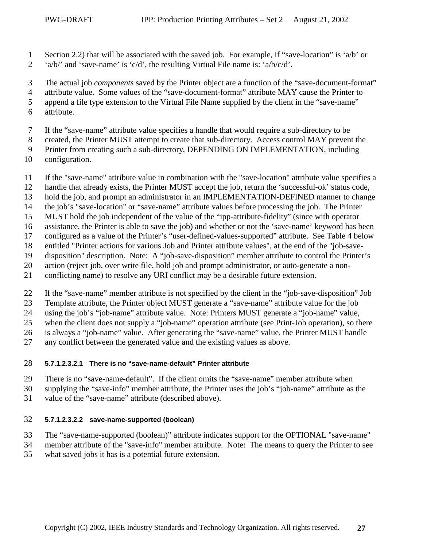- <span id="page-26-0"></span>1 Section [2.2\)](#page-8-0) that will be associated with the saved job. For example, if "save-location" is 'a/b' or
- 2 'a/b/' and 'save-name' is 'c/d', the resulting Virtual File name is: 'a/b/c/d'.

3 The actual job *components* saved by the Printer object are a function of the "save-document-format"

4 attribute value. Some values of the "save-document-format" attribute MAY cause the Printer to

5 append a file type extension to the Virtual File Name supplied by the client in the "save-name"

- 6 attribute.
- 7 If the "save-name" attribute value specifies a handle that would require a sub-directory to be
- 8 created, the Printer MUST attempt to create that sub-directory. Access control MAY prevent the

9 Printer from creating such a sub-directory, DEPENDING ON IMPLEMENTATION, including

- 10 configuration.
- 11 If the "save-name" attribute value in combination with the "save-location" attribute value specifies a
- 12 handle that already exists, the Printer MUST accept the job, return the 'successful-ok' status code,
- 13 hold the job, and prompt an administrator in an IMPLEMENTATION-DEFINED manner to change
- 14 the job's "save-location" or "save-name" attribute values before processing the job. The Printer
- 15 MUST hold the job independent of the value of the "ipp-attribute-fidelity" (since with operator
- 16 assistance, the Printer is able to save the job) and whether or not the 'save-name' keyword has been
- 17 configured as a value of the Printer's "user-defined-values-supported" attribute. See [Table 4](#page-29-0) below
- 18 entitled "Printer actions for various Job and Printer attribute values", at the end of the "job-save-
- 19 disposition" description. Note: A "job-save-disposition" member attribute to control the Printer's
- 20 action (reject job, over write file, hold job and prompt administrator, or auto-generate a non-
- 21 conflicting name) to resolve any URI conflict may be a desirable future extension.
- 22 If the "save-name" member attribute is not specified by the client in the "job-save-disposition" Job
- 23 Template attribute, the Printer object MUST generate a "save-name" attribute value for the job
- 24 using the job's "job-name" attribute value. Note: Printers MUST generate a "job-name" value,
- 25 when the client does not supply a "job-name" operation attribute (see Print-Job operation), so there

26 is always a "job-name" value. After generating the "save-name" value, the Printer MUST handle

27 any conflict between the generated value and the existing values as above.

#### 28 **5.7.1.2.3.2.1 There is no "save-name-default" Printer attribute**

29 There is no "save-name-default". If the client omits the "save-name" member attribute when

- 30 supplying the "save-info" member attribute, the Printer uses the job's "job-name" attribute as the
- 31 value of the "save-name" attribute (described above).

### 32 **5.7.1.2.3.2.2 save-name-supported (boolean)**

33 The "save-name-supported (boolean)" attribute indicates support for the OPTIONAL "save-name"

34 member attribute of the "save-info" member attribute. Note: The means to query the Printer to see 35 what saved jobs it has is a potential future extension.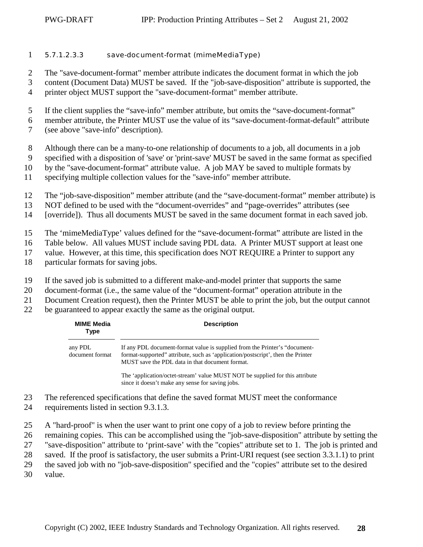- <span id="page-27-0"></span>1 5.7.1.2.3.3 save-document-format (mimeMediaType)
- 2 The "save-document-format" member attribute indicates the document format in which the job
- 3 content (Document Data) MUST be saved. If the "job-save-disposition" attribute is supported, the
- 4 printer object MUST support the "save-document-format" member attribute.
- 5 If the client supplies the "save-info" member attribute, but omits the "save-document-format"
- 6 member attribute, the Printer MUST use the value of its "save-document-format-default" attribute
- 7 (see above "save-info" description).
- 8 Although there can be a many-to-one relationship of documents to a job, all documents in a job
- 9 specified with a disposition of 'save' or 'print-save' MUST be saved in the same format as specified
- 10 by the "save-document-format" attribute value. A job MAY be saved to multiple formats by
- 11 specifying multiple collection values for the "save-info" member attribute.
- 12 The "job-save-disposition" member attribute (and the "save-document-format" member attribute) is
- 13 NOT defined to be used with the "document-overrides" and "page-overrides" attributes (see
- 14 [override]). Thus all documents MUST be saved in the same document format in each saved job.
- 15 The 'mimeMediaType' values defined for the "save-document-format" attribute are listed in the
- 16 Table below. All values MUST include saving PDL data. A Printer MUST support at least one
- 17 value. However, at this time, this specification does NOT REQUIRE a Printer to support any
- 18 particular formats for saving jobs.
- 19 If the saved job is submitted to a different make-and-model printer that supports the same
- 20 document-format (i.e., the same value of the "document-format" operation attribute in the
- 21 Document Creation request), then the Printer MUST be able to print the job, but the output cannot
- 22 be guaranteed to appear exactly the same as the original output.

| <b>MIME Media</b><br>Type  | <b>Description</b>                                                                                                                                                                                               |
|----------------------------|------------------------------------------------------------------------------------------------------------------------------------------------------------------------------------------------------------------|
| any PDL<br>document format | If any PDL document-format value is supplied from the Printer's "document-<br>format-supported" attribute, such as 'application/postscript', then the Printer<br>MUST save the PDL data in that document format. |
|                            | The 'application/octet-stream' value MUST NOT be supplied for this attribute                                                                                                                                     |

The 'application/octet-stream' value MUST NOT be supplied for this attribute since it doesn't make any sense for saving jobs.

- 23 The referenced specifications that define the saved format MUST meet the conformance
- 24 requirements listed in section [9.3.1.3.](#page-55-0)
- 25 A "hard-proof" is when the user want to print one copy of a job to review before printing the
- 26 remaining copies. This can be accomplished using the "job-save-disposition" attribute by setting the
- 27 "save-disposition" attribute to 'print-save' with the "copies" attribute set to 1. The job is printed and
- 28 saved. If the proof is satisfactory, the user submits a Print-URI request (see section [3.3.1.1\)](#page-12-0) to print
- 29 the saved job with no "job-save-disposition" specified and the "copies" attribute set to the desired
- 30 value.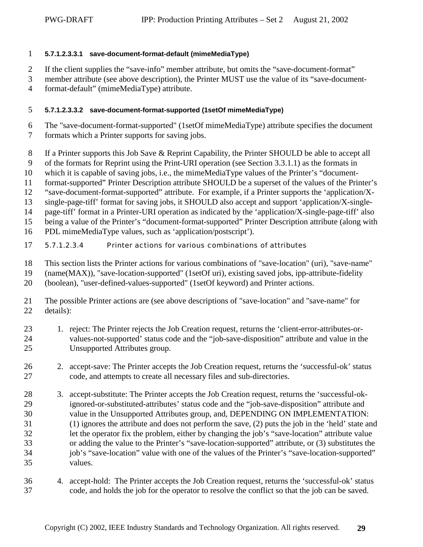#### <span id="page-28-0"></span>1 **5.7.1.2.3.3.1 save-document-format-default (mimeMediaType)**

- 2 If the client supplies the "save-info" member attribute, but omits the "save-document-format"
- 3 member attribute (see above description), the Printer MUST use the value of its "save-document-
- 4 format-default" (mimeMediaType) attribute.

#### 5 **5.7.1.2.3.3.2 save-document-format-supported (1setOf mimeMediaType)**

- 6 The "save-document-format-supported" (1setOf mimeMediaType) attribute specifies the document 7 formats which a Printer supports for saving jobs.
- 8 If a Printer supports this Job Save & Reprint Capability, the Printer SHOULD be able to accept all
- 9 of the formats for Reprint using the Print-URI operation (see Section [3.3.1.1\)](#page-12-0) as the formats in
- 10 which it is capable of saving jobs, i.e., the mimeMediaType values of the Printer's "document-
- 11 format-supported" Printer Description attribute SHOULD be a superset of the values of the Printer's
- 12 "save-document-format-supported" attribute. For example, if a Printer supports the 'application/X-
- 13 single-page-tiff' format for saving jobs, it SHOULD also accept and support 'application/X-single-
- 14 page-tiff' format in a Printer-URI operation as indicated by the 'application/X-single-page-tiff' also
- 15 being a value of the Printer's "document-format-supported" Printer Description attribute (along with
- 16 PDL mimeMediaType values, such as 'application/postscript').
- 17 5.7.1.2.3.4 Printer actions for various combinations of attributes
- 18 This section lists the Printer actions for various combinations of "save-location" (uri), "save-name"
- 19 (name(MAX)), "save-location-supported" (1setOf uri), existing saved jobs, ipp-attribute-fidelity
- 20 (boolean), "user-defined-values-supported" (1setOf keyword) and Printer actions.
- 21 The possible Printer actions are (see above descriptions of "save-location" and "save-name" for 22 details):
- 23 1. reject: The Printer rejects the Job Creation request, returns the 'client-error-attributes-or-24 values-not-supported' status code and the "job-save-disposition" attribute and value in the 25 Unsupported Attributes group.
- 26 2. accept-save: The Printer accepts the Job Creation request, returns the 'successful-ok' status 27 code, and attempts to create all necessary files and sub-directories.
- 28 3. accept-substitute: The Printer accepts the Job Creation request, returns the 'successful-ok-29 ignored-or-substituted-attributes' status code and the "job-save-disposition" attribute and 30 value in the Unsupported Attributes group, and, DEPENDING ON IMPLEMENTATION: 31 (1) ignores the attribute and does not perform the save, (2) puts the job in the 'held' state and 32 let the operator fix the problem, either by changing the job's "save-location" attribute value 33 or adding the value to the Printer's "save-location-supported" attribute, or (3) substitutes the 34 job's "save-location" value with one of the values of the Printer's "save-location-supported" 35 values.
- 36 4. accept-hold: The Printer accepts the Job Creation request, returns the 'successful-ok' status 37 code, and holds the job for the operator to resolve the conflict so that the job can be saved.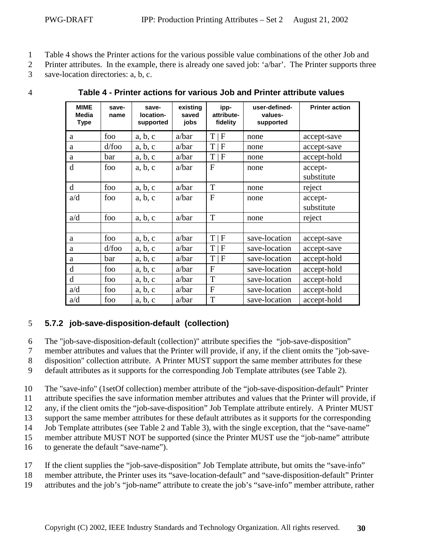- <span id="page-29-0"></span>1 Table 4 shows the Printer actions for the various possible value combinations of the other Job and
- 2 Printer attributes. In the example, there is already one saved job: 'a/bar'. The Printer supports three
- 3 save-location directories: a, b, c.

| <b>MIME</b><br><b>Media</b><br><b>Type</b> | save-<br>name | save-<br>location-<br>supported | existing<br>saved<br>jobs | ipp-<br>attribute-<br>fidelity | user-defined-<br>values-<br>supported | <b>Printer action</b> |
|--------------------------------------------|---------------|---------------------------------|---------------------------|--------------------------------|---------------------------------------|-----------------------|
| a                                          | foo           | a, b, c                         | a/bar                     | $T \mid F$                     | none                                  | accept-save           |
| a                                          | $d$ /foo      | a, b, c                         | a/bar                     | T<br>$\mathsf{F}% _{0}$        | none                                  | accept-save           |
| a                                          | bar           | a, b, c                         | a/bar                     | T<br>$\mathbf F$               | none                                  | accept-hold           |
| d                                          | foo           | a, b, c                         | a/bar                     | $\mathbf{F}$                   | none                                  | accept-<br>substitute |
| d                                          | foo           | a, b, c                         | a/bar                     | T                              | none                                  | reject                |
| a/d                                        | foo           | a, b, c                         | a/bar                     | $\mathbf{F}$                   | none                                  | accept-<br>substitute |
| a/d                                        | foo           | a, b, c                         | a/bar                     | T                              | none                                  | reject                |
|                                            |               |                                 |                           |                                |                                       |                       |
| a                                          | foo           | a, b, c                         | a/bar                     | $T \mid F$                     | save-location                         | accept-save           |
| a                                          | $d$ /foo      | a, b, c                         | a/bar                     | $T \mid F$                     | save-location                         | accept-save           |
| a                                          | bar           | a, b, c                         | a/bar                     | T<br>$\overline{F}$            | save-location                         | accept-hold           |
| d                                          | foo           | a, b, c                         | a/bar                     | $\mathbf{F}$                   | save-location                         | accept-hold           |
| d                                          | foo           | a, b, c                         | a/bar                     | T                              | save-location                         | accept-hold           |
| a/d                                        | foo           | a, b, c                         | a/bar                     | $\overline{F}$                 | save-location                         | accept-hold           |
| a/d                                        | foo           | a, b, c                         | a/bar                     | T                              | save-location                         | accept-hold           |

4 **Table 4 - Printer actions for various Job and Printer attribute values** 

# 5 **5.7.2 job-save-disposition-default (collection)**

6 The "job-save-disposition-default (collection)" attribute specifies the "job-save-disposition"

7 member attributes and values that the Printer will provide, if any, if the client omits the "job-save-

8 disposition" collection attribute. A Printer MUST support the same member attributes for these

9 default attributes as it supports for the corresponding Job Template attributes (see [Table 2\)](#page-20-0).

10 The "save-info" (1setOf collection) member attribute of the "job-save-disposition-default" Printer

11 attribute specifies the save information member attributes and values that the Printer will provide, if

12 any, if the client omits the "job-save-disposition" Job Template attribute entirely. A Printer MUST

13 support the same member attributes for these default attributes as it supports for the corresponding

14 Job Template attributes (see [Table 2](#page-20-0) and [Table 3\)](#page-23-0), with the single exception, that the "save-name"

15 member attribute MUST NOT be supported (since the Printer MUST use the "job-name" attribute

- 16 to generate the default "save-name").
- 17 If the client supplies the "job-save-disposition" Job Template attribute, but omits the "save-info"
- 18 member attribute, the Printer uses its "save-location-default" and "save-disposition-default" Printer
- 19 attributes and the job's "job-name" attribute to create the job's "save-info" member attribute, rather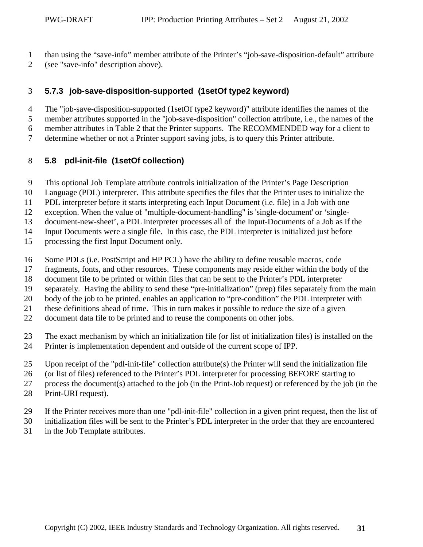- <span id="page-30-0"></span>1 than using the "save-info" member attribute of the Printer's "job-save-disposition-default" attribute
- 2 (see "save-info" description above).

### 3 **5.7.3 job-save-disposition-supported (1setOf type2 keyword)**

4 The "job-save-disposition-supported (1setOf type2 keyword)" attribute identifies the names of the 5 member attributes supported in the "job-save-disposition" collection attribute, i.e., the names of the

6 member attributes in [Table 2](#page-20-0) that the Printer supports. The RECOMMENDED way for a client to

7 determine whether or not a Printer support saving jobs, is to query this Printer attribute.

### 8 **5.8 pdl-init-file (1setOf collection)**

- 9 This optional Job Template attribute controls initialization of the Printer's Page Description
- 10 Language (PDL) interpreter. This attribute specifies the files that the Printer uses to initialize the
- 11 PDL interpreter before it starts interpreting each Input Document (i.e. file) in a Job with one
- 12 exception. When the value of "multiple-document-handling" is 'single-document' or 'single-

13 document-new-sheet', a PDL interpreter processes all of the Input-Documents of a Job as if the

14 Input Documents were a single file. In this case, the PDL interpreter is initialized just before

- 15 processing the first Input Document only.
- 16 Some PDLs (i.e. PostScript and HP PCL) have the ability to define reusable macros, code
- 17 fragments, fonts, and other resources. These components may reside either within the body of the
- 18 document file to be printed or within files that can be sent to the Printer's PDL interpreter
- 19 separately. Having the ability to send these "pre-initialization" (prep) files separately from the main
- 20 body of the job to be printed, enables an application to "pre-condition" the PDL interpreter with
- 21 these definitions ahead of time. This in turn makes it possible to reduce the size of a given
- 22 document data file to be printed and to reuse the components on other jobs.
- 23 The exact mechanism by which an initialization file (or list of initialization files) is installed on the 24 Printer is implementation dependent and outside of the current scope of IPP.
- 25 Upon receipt of the "pdl-init-file" collection attribute(s) the Printer will send the initialization file
- 26 (or list of files) referenced to the Printer's PDL interpreter for processing BEFORE starting to
- 27 process the document(s) attached to the job (in the Print-Job request) or referenced by the job (in the
- 28 Print-URI request).
- 29 If the Printer receives more than one "pdl-init-file" collection in a given print request, then the list of
- 30 initialization files will be sent to the Printer's PDL interpreter in the order that they are encountered
- 31 in the Job Template attributes.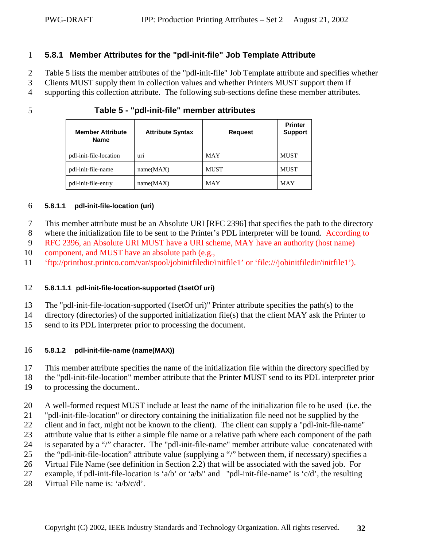#### <span id="page-31-0"></span>1 **5.8.1 Member Attributes for the "pdl-init-file" Job Template Attribute**

2 Table 5 lists the member attributes of the "pdl-init-file" Job Template attribute and specifies whether

3 Clients MUST supply them in collection values and whether Printers MUST support them if

4 supporting this collection attribute. The following sub-sections define these member attributes.

5 **Table 5 - "pdl-init-file" member attributes** 

| <b>Member Attribute</b><br><b>Name</b> | <b>Attribute Syntax</b> | <b>Request</b> | <b>Printer</b><br><b>Support</b> |
|----------------------------------------|-------------------------|----------------|----------------------------------|
| pdl-init-file-location                 | uri                     | <b>MAY</b>     | <b>MUST</b>                      |
| pdl-init-file-name                     | name(MAX)               | <b>MUST</b>    | <b>MUST</b>                      |
| pdl-init-file-entry                    | name(MAX)               | <b>MAY</b>     | <b>MAY</b>                       |

#### 6 **5.8.1.1 pdl-init-file-location (uri)**

7 This member attribute must be an Absolute URI [RFC 2396] that specifies the path to the directory

8 where the initialization file to be sent to the Printer's PDL interpreter will be found. According to

9 RFC 2396, an Absolute URI MUST have a URI scheme, MAY have an authority (host name)

10 component, and MUST have an absolute path (e.g.,

11 'ftp://printhost.printco.com/var/spool/jobinitfiledir/initfile1' or 'file:///jobinitfiledir/initfile1').

#### 12 **5.8.1.1.1 pdl-init-file-location-supported (1setOf uri)**

- 13 The "pdl-init-file-location-supported (1setOf uri)" Printer attribute specifies the path(s) to the
- 14 directory (directories) of the supported initialization file(s) that the client MAY ask the Printer to
- 15 send to its PDL interpreter prior to processing the document.

#### 16 **5.8.1.2 pdl-init-file-name (name(MAX))**

17 This member attribute specifies the name of the initialization file within the directory specified by

18 the "pdl-init-file-location" member attribute that the Printer MUST send to its PDL interpreter prior

- 19 to processing the document..
- 20 A well-formed request MUST include at least the name of the initialization file to be used (i.e. the
- 21 "pdl-init-file-location" or directory containing the initialization file need not be supplied by the
- 22 client and in fact, might not be known to the client). The client can supply a "pdl-init-file-name"
- 23 attribute value that is either a simple file name or a relative path where each component of the path
- 24 is separated by a "/" character. The "pdl-init-file-name" member attribute value concatenated with
- 25 the "pdl-init-file-location" attribute value (supplying a "/" between them, if necessary) specifies a

26 Virtual File Name (see definition in Section [2.2\)](#page-8-0) that will be associated with the saved job. For

27 example, if pdl-init-file-location is 'a/b' or 'a/b/' and "pdl-init-file-name" is 'c/d', the resulting

28 Virtual File name is:  $a/b/c/d$ .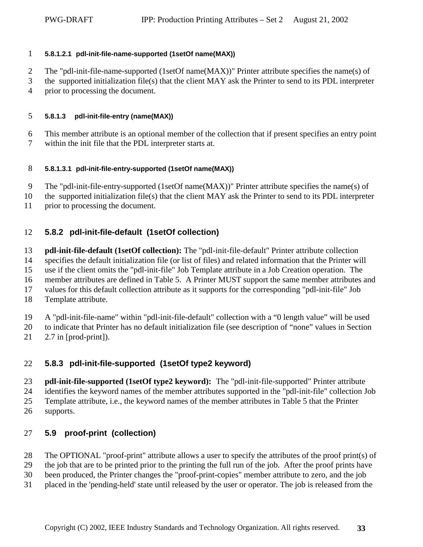#### <span id="page-32-0"></span>1 **5.8.1.2.1 pdl-init-file-name-supported (1setOf name(MAX))**

- 2 The "pdl-init-file-name-supported (1setOf name(MAX))" Printer attribute specifies the name(s) of
- 3 the supported initialization file(s) that the client MAY ask the Printer to send to its PDL interpreter 4 prior to processing the document.

#### 5 **5.8.1.3 pdl-init-file-entry (name(MAX))**

- 6 This member attribute is an optional member of the collection that if present specifies an entry point
- 7 within the init file that the PDL interpreter starts at.

#### 8 **5.8.1.3.1 pdl-init-file-entry-supported (1setOf name(MAX))**

- 9 The "pdl-init-file-entry-supported (1setOf name(MAX))" Printer attribute specifies the name(s) of
- 10 the supported initialization file(s) that the client MAY ask the Printer to send to its PDL interpreter
- 11 prior to processing the document.

### 12 **5.8.2 pdl-init-file-default (1setOf collection)**

- 13 **pdl-init-file-default (1setOf collection):** The "pdl-init-file-default" Printer attribute collection 14 specifies the default initialization file (or list of files) and related information that the Printer will
- 15 use if the client omits the "pdl-init-file" Job Template attribute in a Job Creation operation. The

16 member attributes are defined in [Table 5.](#page-31-0) A Printer MUST support the same member attributes and

17 values for this default collection attribute as it supports for the corresponding "pdl-init-file" Job

- 18 Template attribute.
- 19 A "pdl-init-file-name" within "pdl-init-file-default" collection with a "0 length value" will be used
- 20 to indicate that Printer has no default initialization file (see description of "none" values in Section
- 21 2.7 in [prod-print]).

# 22 **5.8.3 pdl-init-file-supported (1setOf type2 keyword)**

- 23 **pdl-init-file-supported (1setOf type2 keyword):** The "pdl-init-file-supported" Printer attribute 24 identifies the keyword names of the member attributes supported in the "pdl-init-file" collection Job 25 Template attribute, i.e., the keyword names of the member attributes in [Table 5](#page-31-0) that the Printer 26 supports.
- 

### 27 **5.9 proof-print (collection)**

- 28 The OPTIONAL "proof-print" attribute allows a user to specify the attributes of the proof print(s) of
- 29 the job that are to be printed prior to the printing the full run of the job. After the proof prints have
- 30 been produced, the Printer changes the "proof-print-copies" member attribute to zero, and the job
- 31 placed in the 'pending-held' state until released by the user or operator. The job is released from the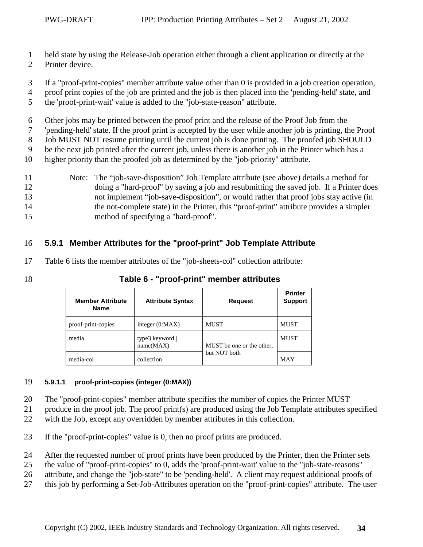- <span id="page-33-0"></span>1 held state by using the Release-Job operation either through a client application or directly at the
- 2 Printer device.
- 3 If a "proof-print-copies" member attribute value other than 0 is provided in a job creation operation,
- 4 proof print copies of the job are printed and the job is then placed into the 'pending-held' state, and
- 5 the 'proof-print-wait' value is added to the "job-state-reason" attribute.
- 6 Other jobs may be printed between the proof print and the release of the Proof Job from the

7 'pending-held' state. If the proof print is accepted by the user while another job is printing, the Proof

8 Job MUST NOT resume printing until the current job is done printing. The proofed job SHOULD

9 be the next job printed after the current job, unless there is another job in the Printer which has a

- 10 higher priority than the proofed job as determined by the "job-priority" attribute.
- 11 Note: The "job-save-disposition" Job Template attribute (see above) details a method for 12 doing a "hard-proof" by saving a job and resubmitting the saved job. If a Printer does 13 not implement "job-save-disposition", or would rather that proof jobs stay active (in 14 the not-complete state) in the Printer, this "proof-print" attribute provides a simpler 15 method of specifying a "hard-proof".

# 16 **5.9.1 Member Attributes for the "proof-print" Job Template Attribute**

- 17 Table 6 lists the member attributes of the "job-sheets-col" collection attribute:
- 

| 18 |  | Table 6 - "proof-print" member attributes |  |  |
|----|--|-------------------------------------------|--|--|
|----|--|-------------------------------------------|--|--|

| <b>Member Attribute</b><br><b>Name</b> | <b>Attribute Syntax</b>      | <b>Request</b>            | <b>Printer</b><br><b>Support</b> |
|----------------------------------------|------------------------------|---------------------------|----------------------------------|
| proof-print-copies                     | integer $(0:MAX)$            | <b>MUST</b>               | <b>MUST</b>                      |
| media                                  | type3 keyword  <br>name(MAX) | MUST be one or the other, | <b>MUST</b>                      |
| media-col                              | collection                   | but NOT both              | <b>MAY</b>                       |

#### 19 **5.9.1.1 proof-print-copies (integer (0:MAX))**

- 20 The "proof-print-copies" member attribute specifies the number of copies the Printer MUST
- 21 produce in the proof job. The proof print(s) are produced using the Job Template attributes specified
- 22 with the Job, except any overridden by member attributes in this collection.
- 23 If the "proof-print-copies" value is 0, then no proof prints are produced.
- 24 After the requested number of proof prints have been produced by the Printer, then the Printer sets
- 25 the value of "proof-print-copies" to 0, adds the 'proof-print-wait' value to the "job-state-reasons"
- 26 attribute, and change the "job-state" to be 'pending-held'. A client may request additional proofs of
- 27 this job by performing a Set-Job-Attributes operation on the "proof-print-copies" attribute. The user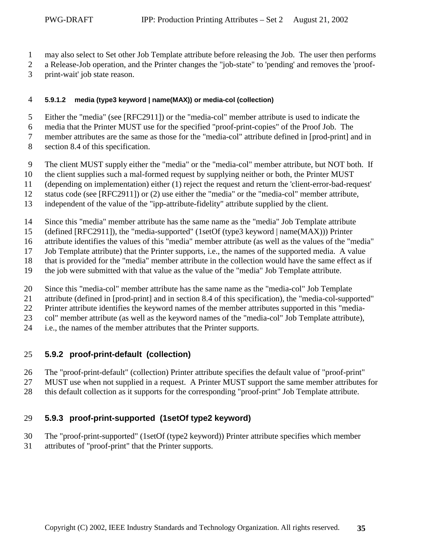- <span id="page-34-0"></span>1 may also select to Set other Job Template attribute before releasing the Job. The user then performs
- 2 a Release-Job operation, and the Printer changes the "job-state" to 'pending' and removes the 'proof-
- 3 print-wait' job state reason.

#### 4 **5.9.1.2 media (type3 keyword | name(MAX)) or media-col (collection)**

5 Either the "media" (see [RFC2911]) or the "media-col" member attribute is used to indicate the

6 media that the Printer MUST use for the specified "proof-print-copies" of the Proof Job. The

7 member attributes are the same as those for the "media-col" attribute defined in [prod-print] and in

- 8 section [8.4](#page-49-0) of this specification.
- 9 The client MUST supply either the "media" or the "media-col" member attribute, but NOT both. If
- 10 the client supplies such a mal-formed request by supplying neither or both, the Printer MUST
- 11 (depending on implementation) either (1) reject the request and return the 'client-error-bad-request'
- 12 status code (see [RFC2911]) or (2) use either the "media" or the "media-col" member attribute,
- 13 independent of the value of the "ipp-attribute-fidelity" attribute supplied by the client.
- 14 Since this "media" member attribute has the same name as the "media" Job Template attribute
- 15 (defined [RFC2911]), the "media-supported" (1setOf (type3 keyword | name(MAX))) Printer
- 16 attribute identifies the values of this "media" member attribute (as well as the values of the "media"
- 17 Job Template attribute) that the Printer supports, i.e., the names of the supported media. A value
- 18 that is provided for the "media" member attribute in the collection would have the same effect as if
- 19 the job were submitted with that value as the value of the "media" Job Template attribute.
- 20 Since this "media-col" member attribute has the same name as the "media-col" Job Template
- 21 attribute (defined in [prod-print] and in section [8.4](#page-49-0) of this specification), the "media-col-supported"
- 22 Printer attribute identifies the keyword names of the member attributes supported in this "media-
- 23 col" member attribute (as well as the keyword names of the "media-col" Job Template attribute),
- 24 i.e., the names of the member attributes that the Printer supports.

### 25 **5.9.2 proof-print-default (collection)**

- 26 The "proof-print-default" (collection) Printer attribute specifies the default value of "proof-print"
- 27 MUST use when not supplied in a request. A Printer MUST support the same member attributes for
- 28 this default collection as it supports for the corresponding "proof-print" Job Template attribute.

# 29 **5.9.3 proof-print-supported (1setOf type2 keyword)**

- 30 The "proof-print-supported" (1setOf (type2 keyword)) Printer attribute specifies which member
- 31 attributes of "proof-print" that the Printer supports.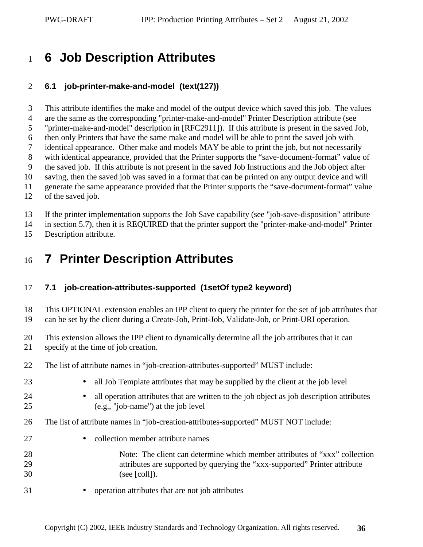# <span id="page-35-0"></span><sup>1</sup>**6 Job Description Attributes**

#### 2 **6.1 job-printer-make-and-model (text(127))**

3 This attribute identifies the make and model of the output device which saved this job. The values

4 are the same as the corresponding "printer-make-and-model" Printer Description attribute (see

5 "printer-make-and-model" description in [RFC2911]). If this attribute is present in the saved Job,

6 then only Printers that have the same make and model will be able to print the saved job with 7 identical appearance. Other make and models MAY be able to print the job, but not necessarily

8 with identical appearance, provided that the Printer supports the "save-document-format" value of

9 the saved job. If this attribute is not present in the saved Job Instructions and the Job object after

10 saving, then the saved job was saved in a format that can be printed on any output device and will

11 generate the same appearance provided that the Printer supports the "save-document-format" value

12 of the saved job.

13 If the printer implementation supports the Job Save capability (see "job-save-disposition" attribute

14 in section [5.7\)](#page-20-0), then it is REQUIRED that the printer support the "printer-make-and-model" Printer

15 Description attribute.

# <sup>16</sup>**7 Printer Description Attributes**

# 17 **7.1 job-creation-attributes-supported (1setOf type2 keyword)**

18 This OPTIONAL extension enables an IPP client to query the printer for the set of job attributes that 19 can be set by the client during a Create-Job, Print-Job, Validate-Job, or Print-URI operation.

20 This extension allows the IPP client to dynamically determine all the job attributes that it can

- 21 specify at the time of job creation.
- 22 The list of attribute names in "job-creation-attributes-supported" MUST include:
- 23 all Job Template attributes that may be supplied by the client at the job level
- 24 all operation attributes that are written to the job object as job description attributes 25 (e.g., "job-name") at the job level
- 26 The list of attribute names in "job-creation-attributes-supported" MUST NOT include:
- 27 collection member attribute names
- 28 Note: The client can determine which member attributes of "xxx" collection 29 attributes are supported by querying the "xxx-supported" Printer attribute 30 (see [coll]).
- 31 operation attributes that are not job attributes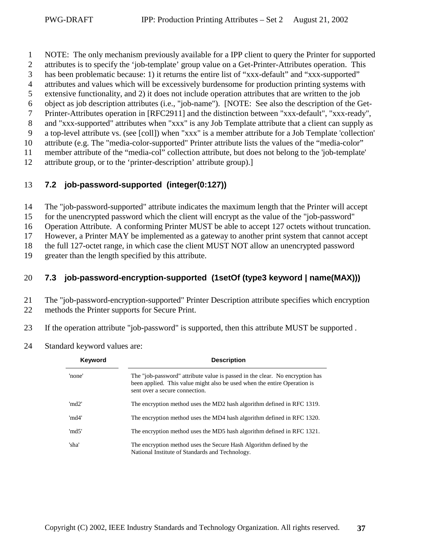- <span id="page-36-0"></span>1 NOTE: The only mechanism previously available for a IPP client to query the Printer for supported
- 2 attributes is to specify the 'job-template' group value on a Get-Printer-Attributes operation. This
- 3 has been problematic because: 1) it returns the entire list of "xxx-default" and "xxx-supported"
- 4 attributes and values which will be excessively burdensome for production printing systems with
- 5 extensive functionality, and 2) it does not include operation attributes that are written to the job
- 6 object as job description attributes (i.e., "job-name"). [NOTE: See also the description of the Get-
- 7 Printer-Attributes operation in [RFC2911] and the distinction between "xxx-default", "xxx-ready",
- 8 and "xxx-supported" attributes when "xxx" is any Job Template attribute that a client can supply as

9 a top-level attribute vs. (see [coll]) when "xxx" is a member attribute for a Job Template 'collection' 10 attribute (e.g. The "media-color-supported" Printer attribute lists the values of the "media-color"

11 member attribute of the "media-col" collection attribute, but does not belong to the 'job-template'

12 attribute group, or to the 'printer-description' attribute group).]

### 13 **7.2 job-password-supported (integer(0:127))**

14 The "job-password-supported" attribute indicates the maximum length that the Printer will accept

15 for the unencrypted password which the client will encrypt as the value of the "job-password"

16 Operation Attribute. A conforming Printer MUST be able to accept 127 octets without truncation.

17 However, a Printer MAY be implemented as a gateway to another print system that cannot accept

18 the full 127-octet range, in which case the client MUST NOT allow an unencrypted password

19 greater than the length specified by this attribute.

### 20 **7.3 job-password-encryption-supported (1setOf (type3 keyword | name(MAX)))**

21 The "job-password-encryption-supported" Printer Description attribute specifies which encryption 22 methods the Printer supports for Secure Print.

23 If the operation attribute "job-password" is supported, then this attribute MUST be supported .

24 Standard keyword values are:

| Keyword | <b>Description</b>                                                                                                                                                                         |
|---------|--------------------------------------------------------------------------------------------------------------------------------------------------------------------------------------------|
| 'none'  | The "job-password" attribute value is passed in the clear. No encryption has<br>been applied. This value might also be used when the entire Operation is<br>sent over a secure connection. |
| 'md2'   | The encryption method uses the MD2 hash algorithm defined in RFC 1319.                                                                                                                     |
| 'md4'   | The encryption method uses the MD4 hash algorithm defined in RFC 1320.                                                                                                                     |
| 'md5'   | The encryption method uses the MD5 hash algorithm defined in RFC 1321.                                                                                                                     |
| 'sha'   | The encryption method uses the Secure Hash Algorithm defined by the<br>National Institute of Standards and Technology.                                                                     |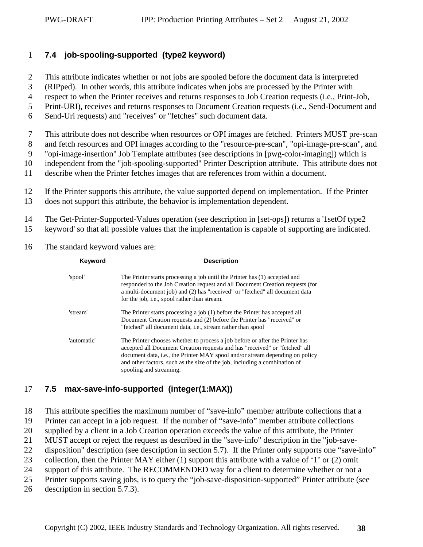### <span id="page-37-0"></span>1 **7.4 job-spooling-supported (type2 keyword)**

- 2 This attribute indicates whether or not jobs are spooled before the document data is interpreted
- 3 (RIPped). In other words, this attribute indicates when jobs are processed by the Printer with
- 4 respect to when the Printer receives and returns responses to Job Creation requests (i.e., Print-Job,
- 5 Print-URI), receives and returns responses to Document Creation requests (i.e., Send-Document and
- 6 Send-Uri requests) and "receives" or "fetches" such document data.
- 7 This attribute does not describe when resources or OPI images are fetched. Printers MUST pre-scan
- 8 and fetch resources and OPI images according to the "resource-pre-scan", "opi-image-pre-scan", and
- 9 "opi-image-insertion" Job Template attributes (see descriptions in [pwg-color-imaging]) which is
- 10 independent from the "job-spooling-supported" Printer Description attribute. This attribute does not
- 11 describe when the Printer fetches images that are references from within a document.
- 12 If the Printer supports this attribute, the value supported depend on implementation. If the Printer
- 13 does not support this attribute, the behavior is implementation dependent.
- 14 The Get-Printer-Supported-Values operation (see description in [set-ops]) returns a '1setOf type2
- 15 keyword' so that all possible values that the implementation is capable of supporting are indicated.
- 16 The standard keyword values are:

| Keyword     | <b>Description</b>                                                                                                                                                                                                                                                                                                                                   |
|-------------|------------------------------------------------------------------------------------------------------------------------------------------------------------------------------------------------------------------------------------------------------------------------------------------------------------------------------------------------------|
| 'spool'     | The Printer starts processing a job until the Printer has (1) accepted and<br>responded to the Job Creation request and all Document Creation requests (for<br>a multi-document job) and (2) has "received" or "fetched" all document data<br>for the job, i.e., spool rather than stream.                                                           |
| 'stream'    | The Printer starts processing a job (1) before the Printer has accepted all<br>Document Creation requests and (2) before the Printer has "received" or<br>"fetched" all document data, <i>i.e.</i> , stream rather than spool                                                                                                                        |
| 'automatic' | The Printer chooses whether to process a job before or after the Printer has<br>accepted all Document Creation requests and has "received" or "fetched" all<br>document data, i.e., the Printer MAY spool and/or stream depending on policy<br>and other factors, such as the size of the job, including a combination of<br>spooling and streaming. |

# 17 **7.5 max-save-info-supported (integer(1:MAX))**

18 This attribute specifies the maximum number of "save-info" member attribute collections that a

- 19 Printer can accept in a job request. If the number of "save-info" member attribute collections
- 20 supplied by a client in a Job Creation operation exceeds the value of this attribute, the Printer
- 21 MUST accept or reject the request as described in the "save-info" description in the "job-save-
- 22 disposition" description (see description in section [5.7\)](#page-20-0). If the Printer only supports one "save-info"
- 23 collection, then the Printer MAY either (1) support this attribute with a value of '1' or (2) omit
- 24 support of this attribute. The RECOMMENDED way for a client to determine whether or not a
- 25 Printer supports saving jobs, is to query the "job-save-disposition-supported" Printer attribute (see
- 26 description in section [5.7.3\)](#page-30-0).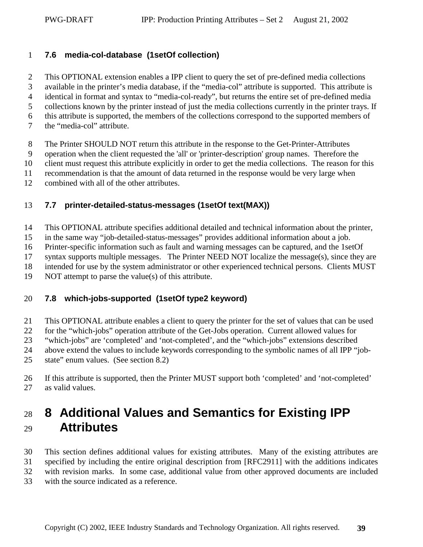### <span id="page-38-0"></span>1 **7.6 media-col-database (1setOf collection)**

- 2 This OPTIONAL extension enables a IPP client to query the set of pre-defined media collections 3 available in the printer's media database, if the "media-col" attribute is supported. This attribute is
- 4 identical in format and syntax to "media-col-ready", but returns the entire set of pre-defined media
- 5 collections known by the printer instead of just the media collections currently in the printer trays. If
- 6 this attribute is supported, the members of the collections correspond to the supported members of
- 7 the "media-col" attribute.
- 8 The Printer SHOULD NOT return this attribute in the response to the Get-Printer-Attributes
- 9 operation when the client requested the 'all' or 'printer-description' group names. Therefore the
- 10 client must request this attribute explicitly in order to get the media collections. The reason for this
- 11 recommendation is that the amount of data returned in the response would be very large when
- 12 combined with all of the other attributes.

#### 13 **7.7 printer-detailed-status-messages (1setOf text(MAX))**

- 14 This OPTIONAL attribute specifies additional detailed and technical information about the printer,
- 15 in the same way "job-detailed-status-messages" provides additional information about a job.
- 16 Printer-specific information such as fault and warning messages can be captured, and the 1setOf
- 17 syntax supports multiple messages. The Printer NEED NOT localize the message(s), since they are
- 18 intended for use by the system administrator or other experienced technical persons. Clients MUST
- 19 NOT attempt to parse the value(s) of this attribute.

### 20 **7.8 which-jobs-supported (1setOf type2 keyword)**

- 21 This OPTIONAL attribute enables a client to query the printer for the set of values that can be used
- 22 for the "which-jobs" operation attribute of the Get-Jobs operation. Current allowed values for
- 23 "which-jobs" are 'completed' and 'not-completed', and the "which-jobs" extensions described
- 24 above extend the values to include keywords corresponding to the symbolic names of all IPP "job-
- 25 state" enum values. (See section [8.2\)](#page-42-0)
- 26 If this attribute is supported, then the Printer MUST support both 'completed' and 'not-completed' 27 as valid values.

# <sup>28</sup>**8 Additional Values and Semantics for Existing IPP**  <sup>29</sup>**Attributes**

- 30 This section defines additional values for existing attributes. Many of the existing attributes are 31 specified by including the entire original description from [RFC2911] with the additions indicates 32 with revision marks. In some case, additional value from other approved documents are included
- 33 with the source indicated as a reference.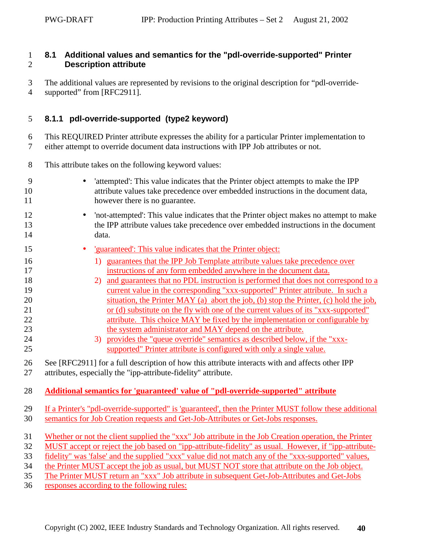### <span id="page-39-0"></span>1 **8.1 Additional values and semantics for the "pdl-override-supported" Printer**  2 **Description attribute**

- 3 The additional values are represented by revisions to the original description for "pdl-override-
- 4 supported" from [RFC2911].

### 5 **8.1.1 pdl-override-supported (type2 keyword)**

6 This REQUIRED Printer attribute expresses the ability for a particular Printer implementation to 7 either attempt to override document data instructions with IPP Job attributes or not.

- 8 This attribute takes on the following keyword values:
- 9 'attempted': This value indicates that the Printer object attempts to make the IPP 10 attribute values take precedence over embedded instructions in the document data, 11 however there is no guarantee.
- 12 'not-attempted': This value indicates that the Printer object makes no attempt to make 13 the IPP attribute values take precedence over embedded instructions in the document 14 data.
- 15 'guaranteed': This value indicates that the Printer object:
- 16 16 1) guarantees that the IPP Job Template attribute values take precedence over 17 instructions of any form embedded anywhere in the document data.
- 18 2) and guarantees that no PDL instruction is performed that does not correspond to a 19 current value in the corresponding "xxx-supported" Printer attribute. In such a 20 situation, the Printer MAY (a) abort the job, (b) stop the Printer, (c) hold the job, 21 or (d) substitute on the fly with one of the current values of its "xxx-supported" 22 attribute. This choice MAY be fixed by the implementation or configurable by 23 the system administrator and MAY depend on the attribute.
- 24 3) provides the "queue override" semantics as described below, if the "xxx-25 supported" Printer attribute is configured with only a single value.
- 26 See [RFC2911] for a full description of how this attribute interacts with and affects other IPP
- 27 attributes, especially the "ipp-attribute-fidelity" attribute.

### 28 **Additional semantics for 'guaranteed' value of "pdl-override-supported" attribute**

- 29 If a Printer's "pdl-override-supported" is 'guaranteed', then the Printer MUST follow these additional 30 semantics for Job Creation requests and Get-Job-Attributes or Get-Jobs responses.
- 31 Whether or not the client supplied the "xxx" Job attribute in the Job Creation operation, the Printer
- 32 MUST accept or reject the job based on "ipp-attribute-fidelity" as usual. However, if "ipp-attribute-
- 33 fidelity" was 'false' and the supplied "xxx" value did not match any of the "xxx-supported" values,
- 34 the Printer MUST accept the job as usual, but MUST NOT store that attribute on the Job object.
- 35 The Printer MUST return an "xxx" Job attribute in subsequent Get-Job-Attributes and Get-Jobs
- 36 responses according to the following rules: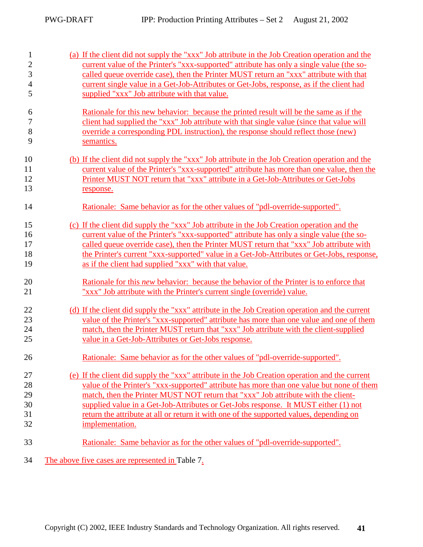| $\mathbf{1}$   | (a) If the client did not supply the "xxx" Job attribute in the Job Creation operation and the |
|----------------|------------------------------------------------------------------------------------------------|
| $\mathbf{2}$   | current value of the Printer's "xxx-supported" attribute has only a single value (the so-      |
| 3              | called queue override case), then the Printer MUST return an "xxx" attribute with that         |
| $\overline{4}$ | current single value in a Get-Job-Attributes or Get-Jobs, response, as if the client had       |
| 5              | supplied "xxx" Job attribute with that value.                                                  |
| 6              | Rationale for this new behavior: because the printed result will be the same as if the         |
| 7              | client had supplied the "xxx" Job attribute with that single value (since that value will      |
| 8              | override a corresponding PDL instruction), the response should reflect those (new)             |
| 9              | semantics.                                                                                     |
| 10             | (b) If the client did not supply the "xxx" Job attribute in the Job Creation operation and the |
| 11             | current value of the Printer's "xxx-supported" attribute has more than one value, then the     |
| 12             | Printer MUST NOT return that "xxx" attribute in a Get-Job-Attributes or Get-Jobs               |
| 13             | response.                                                                                      |
| 14             | Rationale: Same behavior as for the other values of "pdl-override-supported".                  |
| 15             | (c) If the client did supply the "xxx" Job attribute in the Job Creation operation and the     |
| 16             | current value of the Printer's "xxx-supported" attribute has only a single value (the so-      |
| 17             | called queue override case), then the Printer MUST return that "xxx" Job attribute with        |
| 18             | the Printer's current "xxx-supported" value in a Get-Job-Attributes or Get-Jobs, response,     |
| 19             | as if the client had supplied "xxx" with that value.                                           |
| 20             | Rationale for this <i>new</i> behavior: because the behavior of the Printer is to enforce that |
| 21             | "xxx" Job attribute with the Printer's current single (override) value.                        |
| 22             | (d) If the client did supply the "xxx" attribute in the Job Creation operation and the current |
| 23             | value of the Printer's "xxx-supported" attribute has more than one value and one of them       |
| 24             | match, then the Printer MUST return that "xxx" Job attribute with the client-supplied          |
| 25             | value in a Get-Job-Attributes or Get-Jobs response.                                            |
| 26             | <u>Rationale: Same behavior as for the other values of "pdl-override-supported".</u>           |
| 27             | (e) If the client did supply the "xxx" attribute in the Job Creation operation and the current |
| 28             | value of the Printer's "xxx-supported" attribute has more than one value but none of them      |
| 29             | match, then the Printer MUST NOT return that "xxx" Job attribute with the client-              |
| 30             | supplied value in a Get-Job-Attributes or Get-Jobs response. It MUST either (1) not            |
| 31             | return the attribute at all or return it with one of the supported values, depending on        |
| 32             | implementation.                                                                                |
| 33             | Rationale: Same behavior as for the other values of "pdl-override-supported".                  |
| 34             | The above five cases are represented in Table 7.                                               |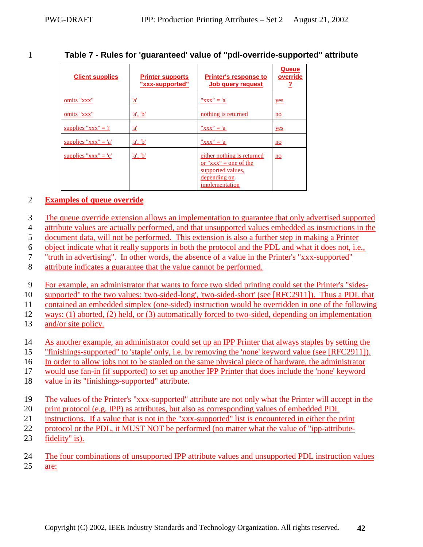<span id="page-41-0"></span>

### 1 **Table 7 - Rules for 'guaranteed' value of "pdl-override-supported" attribute**

| <b>Client supplies</b>   | <b>Printer supports</b><br>"xxx-supported" | <b>Printer's response to</b><br>Job query request                                                                   | Queue<br>override         |
|--------------------------|--------------------------------------------|---------------------------------------------------------------------------------------------------------------------|---------------------------|
| omits "xxx"              | <u>'a'</u>                                 | $"xxx" = 'a'$                                                                                                       | yes                       |
| omits "xxx"              | 'a', 'b'                                   | nothing is returned                                                                                                 | $\underline{\mathbf{no}}$ |
| supplies " $xxx" = ?$    | $\underline{a}$                            | $"xxx" = 'a'$                                                                                                       | yes                       |
| supplies " $xxx'' = 'a'$ | 'a', b'                                    | $"xxx" = 'a'$                                                                                                       | $\underline{\mathbf{no}}$ |
| supplies " $xxx'' = 'c'$ | 'a', b'                                    | either nothing is returned<br>or " $\bf{xxx}$ " = one of the<br>supported values,<br>depending on<br>implementation | $\underline{\mathbf{no}}$ |

#### 2 **Examples of queue override**

- 3 The queue override extension allows an implementation to guarantee that only advertised supported
- 4 attribute values are actually performed, and that unsupported values embedded as instructions in the
- 5 document data, will not be performed. This extension is also a further step in making a Printer

6 object indicate what it really supports in both the protocol and the PDL and what it does not, i.e.,

- 7 "truth in advertising". In other words, the absence of a value in the Printer's "xxx-supported"
- 8 attribute indicates a guarantee that the value cannot be performed.
- 9 For example, an administrator that wants to force two sided printing could set the Printer's "sides-
- 10 supported" to the two values: 'two-sided-long', 'two-sided-short' (see [RFC2911]). Thus a PDL that
- 11 contained an embedded simplex (one-sided) instruction would be overridden in one of the following
- 12 ways: (1) aborted, (2) held, or (3) automatically forced to two-sided, depending on implementation
- 13 and/or site policy.
- 14 As another example, an administrator could set up an IPP Printer that always staples by setting the
- 15 "finishings-supported" to 'staple' only, i.e. by removing the 'none' keyword value (see [RFC2911]).
- 16 In order to allow jobs not to be stapled on the same physical piece of hardware, the administrator
- 17 would use fan-in (if supported) to set up another IPP Printer that does include the 'none' keyword
- 18 value in its "finishings-supported" attribute.
- 19 The values of the Printer's "xxx-supported" attribute are not only what the Printer will accept in the
- 20 print protocol (e.g. IPP) as attributes, but also as corresponding values of embedded PDL
- 21 instructions. If a value that is not in the "xxx-supported" list is encountered in either the print
- 22 protocol or the PDL, it MUST NOT be performed (no matter what the value of "ipp-attribute-
- 23 fidelity" is).
- 24 The four combinations of unsupported IPP attribute values and unsupported PDL instruction values 25 are: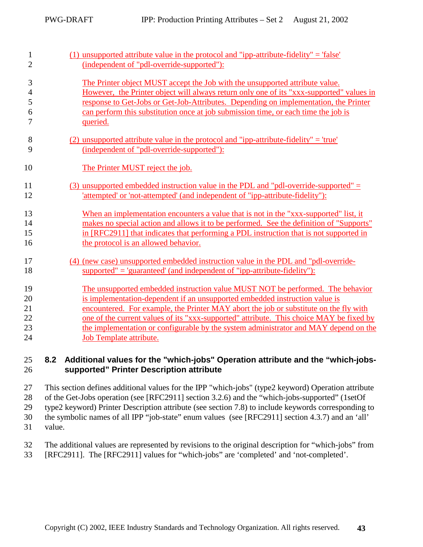<span id="page-42-0"></span>

| $\mathbf{1}$   | $(1)$ unsupported attribute value in the protocol and "ipp-attribute-fidelity" = 'false' |
|----------------|------------------------------------------------------------------------------------------|
| $\overline{2}$ | (independent of "pdl-override-supported"):                                               |
| 3              | The Printer object MUST accept the Job with the unsupported attribute value.             |
| $\overline{4}$ | However, the Printer object will always return only one of its "xxx-supported" values in |
| 5              | response to Get-Jobs or Get-Job-Attributes. Depending on implementation, the Printer     |
| 6              | can perform this substitution once at job submission time, or each time the job is       |
| 7              | queried.                                                                                 |
| 8              | $(2)$ unsupported attribute value in the protocol and "ipp-attribute-fidelity" = 'true'  |
| 9              | (independent of "pdl-override-supported"):                                               |
| 10             | The Printer MUST reject the job.                                                         |
| 11             | (3) unsupported embedded instruction value in the PDL and "pdl-override-supported" $=$   |
| 12             | 'attempted' or 'not-attempted' (and independent of "ipp-attribute-fidelity"):            |
| 13             | When an implementation encounters a value that is not in the "xxx-supported" list, it    |
| 14             | makes no special action and allows it to be performed. See the definition of "Supports"  |
| 15             | in [RFC2911] that indicates that performing a PDL instruction that is not supported in   |
| 16             | the protocol is an allowed behavior.                                                     |
| 17             | (4) (new case) unsupported embedded instruction value in the PDL and "pdl-override-      |
| 18             | $supported" = 'guaranteed' (and independent of "ipp-attribute-fidelity")$ :              |
| 19             | The unsupported embedded instruction value MUST NOT be performed. The behavior           |
| 20             | is implementation-dependent if an unsupported embedded instruction value is              |
| 21             | encountered. For example, the Printer MAY abort the job or substitute on the fly with    |
| 22             | one of the current values of its "xxx-supported" attribute. This choice MAY be fixed by  |
| 23             | the implementation or configurable by the system administrator and MAY depend on the     |
| 24             | <b>Job Template attribute.</b>                                                           |

#### 25 **8.2 Additional values for the "which-jobs" Operation attribute and the "which-jobs-**26 **supported" Printer Description attribute**

27 This section defines additional values for the IPP "which-jobs" (type2 keyword) Operation attribute 28 of the Get-Jobs operation (see [RFC2911] section 3.2.6) and the "which-jobs-supported" (1setOf 29 type2 keyword) Printer Description attribute (see section [7.8\)](#page-38-0) to include keywords corresponding to 30 the symbolic names of all IPP "job-state" enum values (see [RFC2911] section 4.3.7) and an 'all' 31 value.

32 The additional values are represented by revisions to the original description for "which-jobs" from 33 [RFC2911]. The [RFC2911] values for "which-jobs" are 'completed' and 'not-completed'.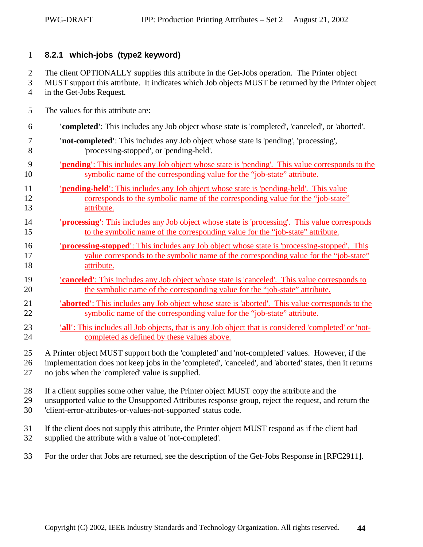#### <span id="page-43-0"></span>1 **8.2.1 which-jobs (type2 keyword)**

2 The client OPTIONALLY supplies this attribute in the Get-Jobs operation. The Printer object

- 3 MUST support this attribute. It indicates which Job objects MUST be returned by the Printer object 4 in the Get-Jobs Request.
- 5 The values for this attribute are:
- 6 **'completed'**: This includes any Job object whose state is 'completed', 'canceled', or 'aborted'. 7 **'not-completed'**: This includes any Job object whose state is 'pending', 'processing', 8 'processing-stopped', or 'pending-held'. 9 **'pending'**: This includes any Job object whose state is 'pending'. This value corresponds to the
- 10 symbolic name of the corresponding value for the "job-state" attribute.
- 11 **'pending-held'**: This includes any Job object whose state is 'pending-held'. This value 12 corresponds to the symbolic name of the corresponding value for the "job-state" 13 attribute.
- 14 **'processing'**: This includes any Job object whose state is 'processing'. This value corresponds 15 to the symbolic name of the corresponding value for the "job-state" attribute.
- 16 **'processing-stopped'**: This includes any Job object whose state is 'processing-stopped'. This 17 value corresponds to the symbolic name of the corresponding value for the "job-state" 18 attribute.
- 19 **'canceled'**: This includes any Job object whose state is 'canceled'. This value corresponds to 20 the symbolic name of the corresponding value for the "job-state" attribute.
- 21 **'aborted'**: This includes any Job object whose state is 'aborted'. This value corresponds to the 22 symbolic name of the corresponding value for the "job-state" attribute.
- 23 **'all'**: This includes all Job objects, that is any Job object that is considered 'completed' or 'not-24 completed as defined by these values above.
- 25 A Printer object MUST support both the 'completed' and 'not-completed' values. However, if the
- 26 implementation does not keep jobs in the 'completed', 'canceled', and 'aborted' states, then it returns
- 27 no jobs when the 'completed' value is supplied.
- 28 If a client supplies some other value, the Printer object MUST copy the attribute and the
- 29 unsupported value to the Unsupported Attributes response group, reject the request, and return the
- 30 'client-error-attributes-or-values-not-supported' status code.
- 31 If the client does not supply this attribute, the Printer object MUST respond as if the client had
- 32 supplied the attribute with a value of 'not-completed'.
- 33 For the order that Jobs are returned, see the description of the Get-Jobs Response in [RFC2911].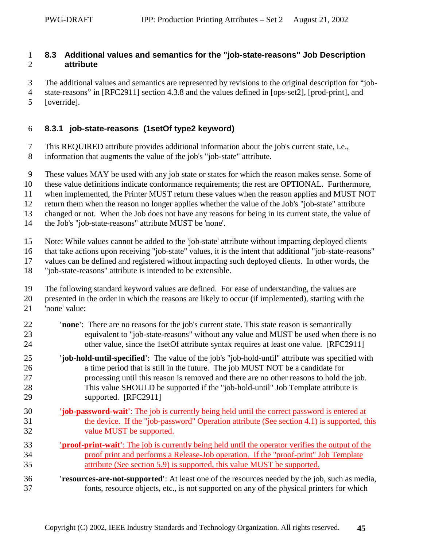### <span id="page-44-0"></span>1 **8.3 Additional values and semantics for the "job-state-reasons" Job Description**  2 **attribute**

- 3 The additional values and semantics are represented by revisions to the original description for "job-
- 4 state-reasons" in [RFC2911] section 4.3.8 and the values defined in [ops-set2], [prod-print], and
- 5 [override].

### 6 **8.3.1 job-state-reasons (1setOf type2 keyword)**

- 7 This REQUIRED attribute provides additional information about the job's current state, i.e.,
- 8 information that augments the value of the job's "job-state" attribute.
- 9 These values MAY be used with any job state or states for which the reason makes sense. Some of
- 10 these value definitions indicate conformance requirements; the rest are OPTIONAL. Furthermore,
- 11 when implemented, the Printer MUST return these values when the reason applies and MUST NOT
- 12 return them when the reason no longer applies whether the value of the Job's "job-state" attribute
- 13 changed or not. When the Job does not have any reasons for being in its current state, the value of
- 14 the Job's "job-state-reasons" attribute MUST be 'none'.
- 15 Note: While values cannot be added to the 'job-state' attribute without impacting deployed clients
- 16 that take actions upon receiving "job-state" values, it is the intent that additional "job-state-reasons"
- 17 values can be defined and registered without impacting such deployed clients. In other words, the
- 18 "job-state-reasons" attribute is intended to be extensible.
- 19 The following standard keyword values are defined. For ease of understanding, the values are
- 20 presented in the order in which the reasons are likely to occur (if implemented), starting with the
- 21 'none' value:
- 22 **'none'**: There are no reasons for the job's current state. This state reason is semantically 23 equivalent to "job-state-reasons" without any value and MUST be used when there is no 24 other value, since the 1setOf attribute syntax requires at least one value. [RFC2911]
- 25 **'job-hold-until-specified'**: The value of the job's "job-hold-until" attribute was specified with 26 a time period that is still in the future. The job MUST NOT be a candidate for 27 processing until this reason is removed and there are no other reasons to hold the job. 28 This value SHOULD be supported if the "job-hold-until" Job Template attribute is 29 supported. [RFC2911]
- 30 **'job-password-wait'**: The job is currently being held until the correct password is entered at 31 the device. If the "job-password" Operation attribute (See section [4.1\)](#page-13-0) is supported, this 32 value MUST be supported.
- 33 **'proof-print-wait'**: The job is currently being held until the operator verifies the output of the 34 proof print and performs a Release-Job operation. If the "proof-print" Job Template 35 attribute (See section [5.9\)](#page-32-0) is supported, this value MUST be supported.
- 36 **'resources-are-not-supported'**: At least one of the resources needed by the job, such as media, 37 fonts, resource objects, etc., is not supported on any of the physical printers for which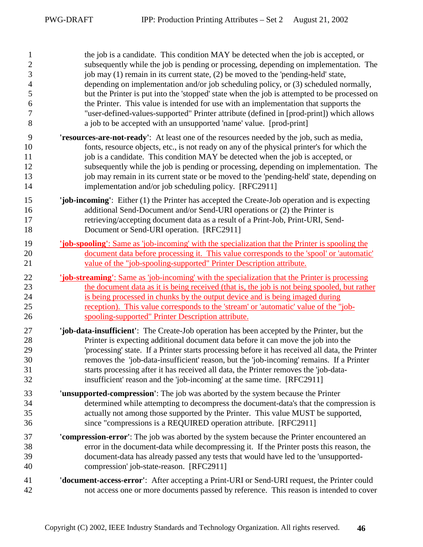| $\mathbf{1}$   | the job is a candidate. This condition MAY be detected when the job is accepted, or                          |
|----------------|--------------------------------------------------------------------------------------------------------------|
| $\overline{c}$ | subsequently while the job is pending or processing, depending on implementation. The                        |
| 3              | job may (1) remain in its current state, (2) be moved to the 'pending-held' state,                           |
| $\overline{4}$ | depending on implementation and/or job scheduling policy, or (3) scheduled normally,                         |
| 5              | but the Printer is put into the 'stopped' state when the job is attempted to be processed on                 |
| 6              | the Printer. This value is intended for use with an implementation that supports the                         |
| 7              | "user-defined-values-supported" Printer attribute (defined in [prod-print]) which allows                     |
| 8              | a job to be accepted with an unsupported 'name' value. [prod-print]                                          |
| 9              | 'resources-are-not-ready': At least one of the resources needed by the job, such as media,                   |
| 10             | fonts, resource objects, etc., is not ready on any of the physical printer's for which the                   |
| 11             | job is a candidate. This condition MAY be detected when the job is accepted, or                              |
| 12             | subsequently while the job is pending or processing, depending on implementation. The                        |
| 13             | job may remain in its current state or be moved to the 'pending-held' state, depending on                    |
| 14             | implementation and/or job scheduling policy. [RFC2911]                                                       |
| 15             | 'job-incoming': Either (1) the Printer has accepted the Create-Job operation and is expecting                |
| 16             | additional Send-Document and/or Send-URI operations or (2) the Printer is                                    |
| 17             | retrieving/accepting document data as a result of a Print-Job, Print-URI, Send-                              |
| 18             | Document or Send-URI operation. [RFC2911]                                                                    |
| 19             | <b><u>job-spooling': Same as 'job-incoming' with the specialization that the Printer is spooling the</u></b> |
| 20             | document data before processing it. This value corresponds to the 'spool' or 'automatic'                     |
| 21             | value of the "job-spooling-supported" Printer Description attribute.                                         |
| 22             | <b><u>job-streaming': Same as 'job-incoming' with the specialization that the Printer is processing</u></b>  |
| 23             | the document data as it is being received (that is, the job is not being spooled, but rather                 |
| 24             | is being processed in chunks by the output device and is being imaged during                                 |
| 25             | reception). This value corresponds to the 'stream' or 'automatic' value of the "job-                         |
| 26             | spooling-supported" Printer Description attribute.                                                           |
| 27             | 'job-data-insufficient': The Create-Job operation has been accepted by the Printer, but the                  |
| 28             | Printer is expecting additional document data before it can move the job into the                            |
| 29             | 'processing' state. If a Printer starts processing before it has received all data, the Printer              |
| 30             | removes the 'job-data-insufficient' reason, but the 'job-incoming' remains. If a Printer                     |
| 31             | starts processing after it has received all data, the Printer removes the 'job-data-                         |
| 32             | insufficient' reason and the 'job-incoming' at the same time. [RFC2911]                                      |
| 33             | 'unsupported-compression': The job was aborted by the system because the Printer                             |
| 34             | determined while attempting to decompress the document-data's that the compression is                        |
| 35             | actually not among those supported by the Printer. This value MUST be supported,                             |
| 36             | since "compressions is a REQUIRED operation attribute. [RFC2911]                                             |
| 37             | 'compression-error': The job was aborted by the system because the Printer encountered an                    |
| 38             | error in the document-data while decompressing it. If the Printer posts this reason, the                     |
| 39             | document-data has already passed any tests that would have led to the 'unsupported-                          |
| 40             | compression' job-state-reason. [RFC2911]                                                                     |
| 41             | <b>'document-access-error':</b> After accepting a Print-URI or Send-URI request, the Printer could           |
| 42             | not access one or more documents passed by reference. This reason is intended to cover                       |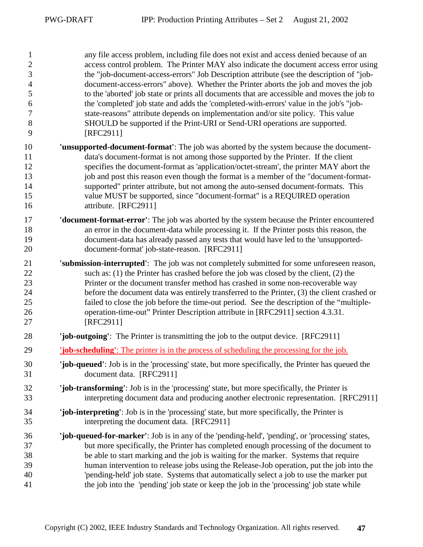1 any file access problem, including file does not exist and access denied because of an 2 access control problem. The Printer MAY also indicate the document access error using 3 the "job-document-access-errors" Job Description attribute (see the description of "job-4 document-access-errors" above). Whether the Printer aborts the job and moves the job 5 to the 'aborted' job state or prints all documents that are accessible and moves the job to 6 the 'completed' job state and adds the 'completed-with-errors' value in the job's "job-7 state-reasons" attribute depends on implementation and/or site policy. This value 8 SHOULD be supported if the Print-URI or Send-URI operations are supported. 9 [RFC2911] 10 **'unsupported-document-format'**: The job was aborted by the system because the document-11 data's document-format is not among those supported by the Printer. If the client 12 specifies the document-format as 'application/octet-stream', the printer MAY abort the 13 job and post this reason even though the format is a member of the "document-format-14 supported" printer attribute, but not among the auto-sensed document-formats. This 15 value MUST be supported, since "document-format" is a REQUIRED operation 16 attribute. [RFC2911] 17 **'document-format-error'**: The job was aborted by the system because the Printer encountered 18 an error in the document-data while processing it. If the Printer posts this reason, the 19 document-data has already passed any tests that would have led to the 'unsupported-20 document-format' job-state-reason. [RFC2911] 21 **'submission-interrupted'**: The job was not completely submitted for some unforeseen reason, 22 such as: (1) the Printer has crashed before the job was closed by the client, (2) the 23 Printer or the document transfer method has crashed in some non-recoverable way 24 before the document data was entirely transferred to the Printer, (3) the client crashed or 25 failed to close the job before the time-out period. See the description of the "multiple-26 operation-time-out" Printer Description attribute in [RFC2911] section 4.3.31. 27 [RFC2911] 28 **'job-outgoing'**: The Printer is transmitting the job to the output device. [RFC2911] 29 **'job-scheduling'**: The printer is in the process of scheduling the processing for the job. 30 **'job-queued'**: Job is in the 'processing' state, but more specifically, the Printer has queued the 31 document data. [RFC2911] 32 **'job-transforming'**: Job is in the 'processing' state, but more specifically, the Printer is 33 interpreting document data and producing another electronic representation. [RFC2911] 34 **'job-interpreting'**: Job is in the 'processing' state, but more specifically, the Printer is 35 interpreting the document data. [RFC2911] 36 **'job-queued-for-marker'**: Job is in any of the 'pending-held', 'pending', or 'processing' states, 37 but more specifically, the Printer has completed enough processing of the document to 38 be able to start marking and the job is waiting for the marker. Systems that require 39 human intervention to release jobs using the Release-Job operation, put the job into the 40 'pending-held' job state. Systems that automatically select a job to use the marker put 41 the job into the 'pending' job state or keep the job in the 'processing' job state while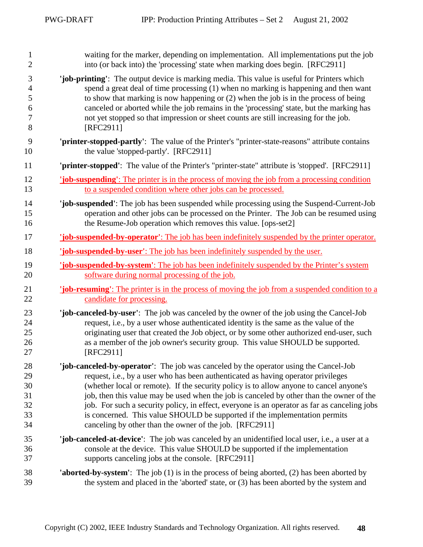| $\mathbf{1}$   | waiting for the marker, depending on implementation. All implementations put the job                         |
|----------------|--------------------------------------------------------------------------------------------------------------|
| $\overline{2}$ | into (or back into) the 'processing' state when marking does begin. [RFC2911]                                |
| 3              | 'job-printing': The output device is marking media. This value is useful for Printers which                  |
| $\overline{4}$ | spend a great deal of time processing (1) when no marking is happening and then want                         |
| 5              | to show that marking is now happening or (2) when the job is in the process of being                         |
| 6              | canceled or aborted while the job remains in the 'processing' state, but the marking has                     |
| 7              | not yet stopped so that impression or sheet counts are still increasing for the job.                         |
| 8              | [RFC2911]                                                                                                    |
| 9              | 'printer-stopped-partly': The value of the Printer's "printer-state-reasons" attribute contains              |
| 10             | the value 'stopped-partly'. [RFC2911]                                                                        |
| 11             | 'printer-stopped': The value of the Printer's "printer-state" attribute is 'stopped'. [RFC2911]              |
| 12             | <b>job-suspending</b> : The printer is in the process of moving the job from a processing condition          |
| 13             | to a suspended condition where other jobs can be processed.                                                  |
| 14             | "job-suspended": The job has been suspended while processing using the Suspend-Current-Job                   |
| 15             | operation and other jobs can be processed on the Printer. The Job can be resumed using                       |
| 16             | the Resume-Job operation which removes this value. [ops-set2]                                                |
| 17             | <b>job-suspended-by-operator'</b> : The job has been indefinitely suspended by the printer operator.         |
| 18             | <b>job-suspended-by-user':</b> The job has been indefinitely suspended by the user.                          |
| 19             | <b>The Super System</b> is The job has been indefinitely suspended by the Printer's system                   |
| 20             | software during normal processing of the job.                                                                |
| 21             | <b><u>job-resuming':</u></b> The printer is in the process of moving the job from a suspended condition to a |
| 22             | candidate for processing.                                                                                    |
| 23             | 'job-canceled-by-user': The job was canceled by the owner of the job using the Cancel-Job                    |
| 24             | request, i.e., by a user whose authenticated identity is the same as the value of the                        |
| 25             | originating user that created the Job object, or by some other authorized end-user, such                     |
| 26             | as a member of the job owner's security group. This value SHOULD be supported.                               |
| 27             | [RFC2911]                                                                                                    |
| 28             | 'job-canceled-by-operator': The job was canceled by the operator using the Cancel-Job                        |
| 29             | request, i.e., by a user who has been authenticated as having operator privileges                            |
| 30             | (whether local or remote). If the security policy is to allow anyone to cancel anyone's                      |
| 31             | job, then this value may be used when the job is canceled by other than the owner of the                     |
| 32             | job. For such a security policy, in effect, everyone is an operator as far as canceling jobs                 |
| 33             | is concerned. This value SHOULD be supported if the implementation permits                                   |
| 34             | canceling by other than the owner of the job. [RFC2911]                                                      |
| 35             | 'job-canceled-at-device': The job was canceled by an unidentified local user, i.e., a user at a              |
| 36             | console at the device. This value SHOULD be supported if the implementation                                  |
| 37             | supports canceling jobs at the console. [RFC2911]                                                            |
| 38             | <b>'aborted-by-system'</b> : The job (1) is in the process of being aborted, (2) has been aborted by         |
| 39             | the system and placed in the 'aborted' state, or (3) has been aborted by the system and                      |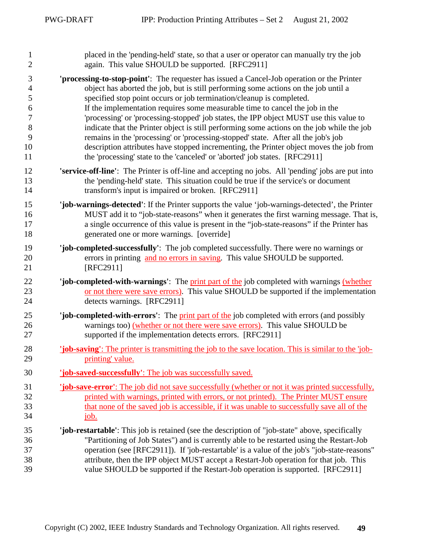| $\mathbf{1}$   | placed in the 'pending-held' state, so that a user or operator can manually try the job                      |
|----------------|--------------------------------------------------------------------------------------------------------------|
| $\mathfrak{2}$ | again. This value SHOULD be supported. [RFC2911]                                                             |
| 3              | 'processing-to-stop-point': The requester has issued a Cancel-Job operation or the Printer                   |
| $\overline{4}$ | object has aborted the job, but is still performing some actions on the job until a                          |
| 5              | specified stop point occurs or job termination/cleanup is completed.                                         |
| 6              | If the implementation requires some measurable time to cancel the job in the                                 |
| 7              | 'processing' or 'processing-stopped' job states, the IPP object MUST use this value to                       |
| 8              | indicate that the Printer object is still performing some actions on the job while the job                   |
| 9              | remains in the 'processing' or 'processing-stopped' state. After all the job's job                           |
| 10             | description attributes have stopped incrementing, the Printer object moves the job from                      |
| 11             | the 'processing' state to the 'canceled' or 'aborted' job states. [RFC2911]                                  |
| 12             | 'service-off-line': The Printer is off-line and accepting no jobs. All 'pending' jobs are put into           |
| 13             | the 'pending-held' state. This situation could be true if the service's or document                          |
| 14             | transform's input is impaired or broken. [RFC2911]                                                           |
| 15             | 'job-warnings-detected': If the Printer supports the value 'job-warnings-detected', the Printer              |
| 16             | MUST add it to "job-state-reasons" when it generates the first warning message. That is,                     |
| 17             | a single occurrence of this value is present in the "job-state-reasons" if the Printer has                   |
| 18             | generated one or more warnings. [override]                                                                   |
| 19             | 'job-completed-successfully': The job completed successfully. There were no warnings or                      |
| 20             | errors in printing and no errors in saving. This value SHOULD be supported.                                  |
| 21             | [RFC2911]                                                                                                    |
| 22             | 'job-completed-with-warnings': The print part of the job completed with warnings (whether                    |
| 23             | or not there were save errors). This value SHOULD be supported if the implementation                         |
| 24             | detects warnings. [RFC2911]                                                                                  |
| 25             | 'job-completed-with-errors': The print part of the job completed with errors (and possibly                   |
| 26             | warnings too) (whether or not there were save errors). This value SHOULD be                                  |
| 27             | supported if the implementation detects errors. [RFC2911]                                                    |
| 28             | <b>job-saving</b> : The printer is transmitting the job to the save location. This is similar to the 'job-   |
| 29             | printing' value.                                                                                             |
| 30             | 'job-saved-successfully': The job was successfully saved.                                                    |
| 31             | <b><u>job-save-error':</u></b> The job didnot save successfully (whether or not it was printed successfully, |
| 32             | printed with warnings, printed with errors, or not printed). The Printer MUST ensure                         |
| 33             | that none of the saved job is accessible, if it was unable to successfully save all of the                   |
| 34             | <u>job.</u>                                                                                                  |
| 35             | 'job-restartable': This job is retained (see the description of "job-state" above, specifically              |
| 36             | "Partitioning of Job States") and is currently able to be restarted using the Restart-Job                    |
| 37             | operation (see [RFC2911]). If 'job-restartable' is a value of the job's "job-state-reasons"                  |
| 38             | attribute, then the IPP object MUST accept a Restart-Job operation for that job. This                        |
| 39             | value SHOULD be supported if the Restart-Job operation is supported. [RFC2911]                               |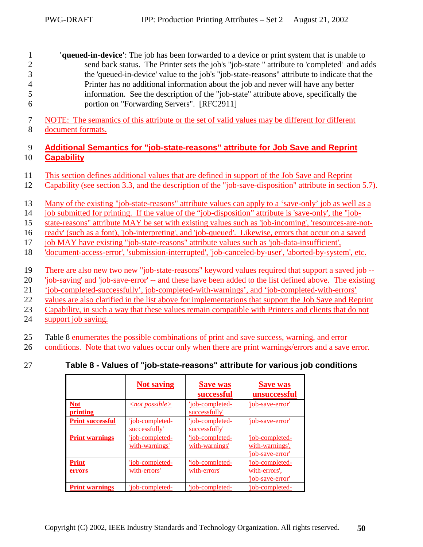<span id="page-49-0"></span>1 **'queued-in-device'**: The job has been forwarded to a device or print system that is unable to 2 send back status. The Printer sets the job's "job-state " attribute to 'completed' and adds 3 the 'queued-in-device' value to the job's "job-state-reasons" attribute to indicate that the 4 Printer has no additional information about the job and never will have any better 5 information. See the description of the "job-state" attribute above, specifically the 6 portion on "Forwarding Servers". [RFC2911]

7 NOTE: The semantics of this attribute or the set of valid values may be different for different 8 document formats.

#### 9 **Additional Semantics for "job-state-reasons" attribute for Job Save and Reprint**  10 **Capability**

- 11 This section defines additional values that are defined in support of the Job Save and Reprint
- 12 Capability (see section [3.3,](#page-12-0) and the description of the "job-save-disposition" attribute in section [5.7\)](#page-20-0).
- 13 Many of the existing "job-state-reasons" attribute values can apply to a 'save-only' job as well as a
- 14 job submitted for printing. If the value of the "job-disposition" attribute is 'save-only', the "job-
- 15 state-reasons" attribute MAY be set with existing values such as 'job-incoming', 'resources-are-not-
- 16 ready' (such as a font), 'job-interpreting', and 'job-queued'. Likewise, errors that occur on a saved
- 17 job MAY have existing "job-state-reasons" attribute values such as 'job-data-insufficient',
- 18 'document-access-error', 'submission-interrupted', 'job-canceled-by-user', 'aborted-by-system', etc.
- 19 There are also new two new "job-state-reasons" keyword values required that support a saved job --
- 20 'job-saving' and 'job-save-error' -- and these have been added to the list defined above. The existing
- 21 'job-completed-successfully', job-completed-with-warnings', and 'job-completed-with-errors'
- 22 values are also clarified in the list above for implementations that support the Job Save and Reprint
- 23 Capability, in such a way that these values remain compatible with Printers and clients that do not
- 24 support job saving.
- 25 Table 8 enumerates the possible combinations of print and save success, warning, and error
- 26 conditions. Note that two values occur only when there are print warnings/errors and a save error.
- 

# 27 **Table 8 - Values of "job-state-reasons" attribute for various job conditions**

|                         | <b>Not saving</b>                 | <b>Save was</b><br>successful     | <b>Save was</b><br>unsuccessful                        |
|-------------------------|-----------------------------------|-----------------------------------|--------------------------------------------------------|
| <b>Not</b><br>printing  | $\langle$ not possible $\rangle$  | 'job-completed-<br>successfully'  | 'job-save-error'                                       |
| <b>Print successful</b> | 'job-completed-<br>successfully'  | 'job-completed-<br>successfully   | 'iob-save-error'                                       |
| <b>Print warnings</b>   | 'job-completed-<br>with-warnings' | 'job-completed-<br>with-warnings' | 'job-completed-<br>with-warnings',<br>'job-save-error' |
| <b>Print</b><br>errors  | 'job-completed-<br>with-errors'   | 'job-completed-<br>with-errors'   | 'job-completed-<br>with-errors'.<br>'job-save-error'   |
| <b>Print warnings</b>   | 'iob-completed-                   | 'job-completed-                   | 'job-completed-                                        |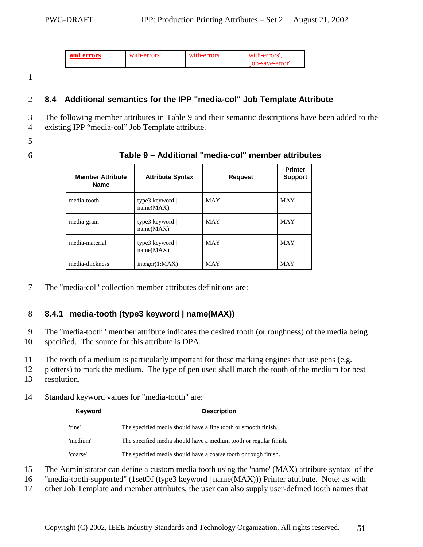| and errors<br>w |  | w1t<br>`Y'S |
|-----------------|--|-------------|
|-----------------|--|-------------|

1

### 2 **8.4 Additional semantics for the IPP "media-col" Job Template Attribute**

3 The following member attributes in Table 9 and their semantic descriptions have been added to the

- 4 existing IPP "media-col" Job Template attribute.
- 5
- 

#### 6 **Table 9 – Additional "media-col" member attributes**

| <b>Member Attribute</b><br><b>Name</b> | <b>Attribute Syntax</b>            | <b>Request</b> | <b>Printer</b><br><b>Support</b> |
|----------------------------------------|------------------------------------|----------------|----------------------------------|
| media-tooth                            | type3 keyword $\vert$<br>name(MAX) | <b>MAY</b>     | <b>MAY</b>                       |
| media-grain                            | type3 keyword $\vert$<br>name(MAX) | <b>MAY</b>     | <b>MAY</b>                       |
| media-material                         | type3 keyword $\vert$<br>name(MAX) | <b>MAY</b>     | <b>MAY</b>                       |
| media-thickness                        | integer(1:MAX)                     | <b>MAY</b>     | <b>MAY</b>                       |

7 The "media-col" collection member attributes definitions are:

# 8 **8.4.1 media-tooth (type3 keyword | name(MAX))**

9 The "media-tooth" member attribute indicates the desired tooth (or roughness) of the media being 10 specified. The source for this attribute is DPA.

11 The tooth of a medium is particularly important for those marking engines that use pens (e.g.

12 plotters) to mark the medium. The type of pen used shall match the tooth of the medium for best

13 resolution.

#### 14 Standard keyword values for "media-tooth" are:

| Keyword  | <b>Description</b>                                                |
|----------|-------------------------------------------------------------------|
| 'fine'   | The specified media should have a fine tooth or smooth finish.    |
| 'medium' | The specified media should have a medium tooth or regular finish. |
| 'coarse' | The specified media should have a coarse tooth or rough finish.   |

15 The Administrator can define a custom media tooth using the 'name' (MAX) attribute syntax of the

- 16 "media-tooth-supported" (1setOf (type3 keyword | name(MAX))) Printer attribute. Note: as with
- 17 other Job Template and member attributes, the user can also supply user-defined tooth names that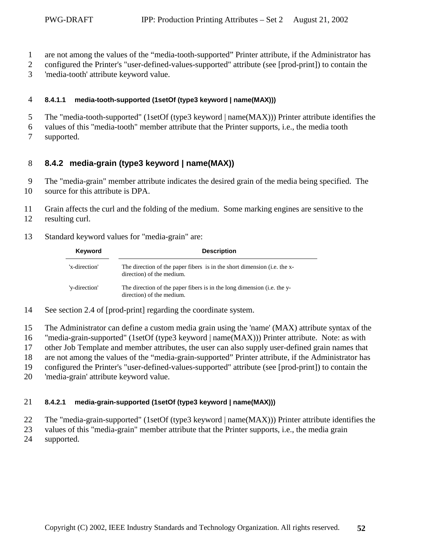- <span id="page-51-0"></span>1 are not among the values of the "media-tooth-supported" Printer attribute, if the Administrator has
- 2 configured the Printer's "user-defined-values-supported" attribute (see [prod-print]) to contain the
- 3 'media-tooth' attribute keyword value.

#### 4 **8.4.1.1 media-tooth-supported (1setOf (type3 keyword | name(MAX)))**

- 5 The "media-tooth-supported" (1setOf (type3 keyword | name(MAX))) Printer attribute identifies the
- 6 values of this "media-tooth" member attribute that the Printer supports, i.e., the media tooth 7 supported.

### 8 **8.4.2 media-grain (type3 keyword | name(MAX))**

- 9 The "media-grain" member attribute indicates the desired grain of the media being specified. The
- 10 source for this attribute is DPA.
- 11 Grain affects the curl and the folding of the medium. Some marking engines are sensitive to the
- 12 resulting curl.
- 13 Standard keyword values for "media-grain" are:

| Keyword       | <b>Description</b>                                                                                    |
|---------------|-------------------------------------------------------------------------------------------------------|
| 'x-direction' | The direction of the paper fibers is in the short dimension (i.e. the x-<br>direction) of the medium. |
| 'y-direction' | The direction of the paper fibers is in the long dimension (i.e. the y-<br>direction) of the medium.  |

- 14 See section 2.4 of [prod-print] regarding the coordinate system.
- 15 The Administrator can define a custom media grain using the 'name' (MAX) attribute syntax of the
- 16 "media-grain-supported" (1setOf (type3 keyword | name(MAX))) Printer attribute. Note: as with
- 17 other Job Template and member attributes, the user can also supply user-defined grain names that
- 18 are not among the values of the "media-grain-supported" Printer attribute, if the Administrator has
- 19 configured the Printer's "user-defined-values-supported" attribute (see [prod-print]) to contain the
- 20 'media-grain' attribute keyword value.

#### 21 **8.4.2.1 media-grain-supported (1setOf (type3 keyword | name(MAX)))**

- 22 The "media-grain-supported" (1setOf (type3 keyword | name(MAX))) Printer attribute identifies the
- 23 values of this "media-grain" member attribute that the Printer supports, i.e., the media grain
- 24 supported.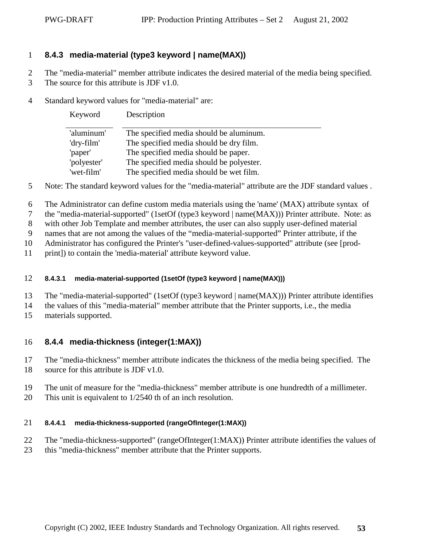### <span id="page-52-0"></span>1 **8.4.3 media-material (type3 keyword | name(MAX))**

2 The "media-material" member attribute indicates the desired material of the media being specified.

- 3 The source for this attribute is JDF v1.0.
- 4 Standard keyword values for "media-material" are:

| Keyword     | Description                              |
|-------------|------------------------------------------|
| 'aluminum'  | The specified media should be aluminum.  |
| 'dry-film'  | The specified media should be dry film.  |
| 'paper'     | The specified media should be paper.     |
| 'polyester' | The specified media should be polyester. |
| 'wet-film'  | The specified media should be wet film.  |

5 Note: The standard keyword values for the "media-material" attribute are the JDF standard values .

- 6 The Administrator can define custom media materials using the 'name' (MAX) attribute syntax of
- 7 the "media-material-supported" (1setOf (type3 keyword | name(MAX))) Printer attribute. Note: as

8 with other Job Template and member attributes, the user can also supply user-defined material

9 names that are not among the values of the "media-material-supported" Printer attribute, if the

10 Administrator has configured the Printer's "user-defined-values-supported" attribute (see [prod-

11 print]) to contain the 'media-material' attribute keyword value.

#### 12 **8.4.3.1 media-material-supported (1setOf (type3 keyword | name(MAX)))**

- 13 The "media-material-supported" (1setOf (type3 keyword | name(MAX))) Printer attribute identifies
- 14 the values of this "media-material" member attribute that the Printer supports, i.e., the media
- 15 materials supported.

# 16 **8.4.4 media-thickness (integer(1:MAX))**

17 The "media-thickness" member attribute indicates the thickness of the media being specified. The

- 18 source for this attribute is JDF v1.0.
- 19 The unit of measure for the "media-thickness" member attribute is one hundredth of a millimeter.
- 20 This unit is equivalent to 1/2540 th of an inch resolution.

#### 21 **8.4.4.1 media-thickness-supported (rangeOfInteger(1:MAX))**

- 22 The "media-thickness-supported" (rangeOfInteger(1:MAX)) Printer attribute identifies the values of
- 23 this "media-thickness" member attribute that the Printer supports.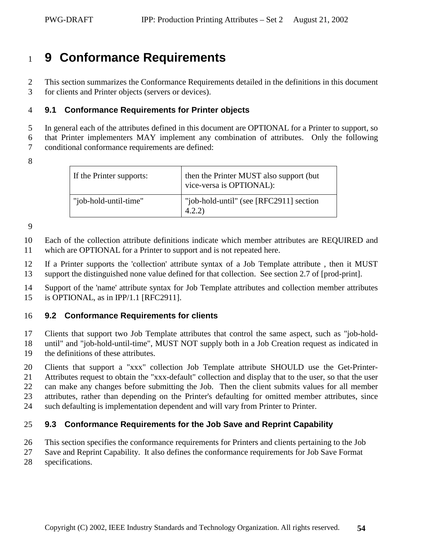# <span id="page-53-0"></span><sup>1</sup>**9 Conformance Requirements**

2 This section summarizes the Conformance Requirements detailed in the definitions in this document 3 for clients and Printer objects (servers or devices).

#### 4 **9.1 Conformance Requirements for Printer objects**

5 In general each of the attributes defined in this document are OPTIONAL for a Printer to support, so

6 that Printer implementers MAY implement any combination of attributes. Only the following

7 conditional conformance requirements are defined:

8

| If the Printer supports: | then the Printer MUST also support (but)<br>vice-versa is OPTIONAL): |
|--------------------------|----------------------------------------------------------------------|
| "job-hold-until-time"    | "job-hold-until" (see [RFC2911] section<br>4.2.2)                    |

9

10 Each of the collection attribute definitions indicate which member attributes are REQUIRED and 11 which are OPTIONAL for a Printer to support and is not repeated here.

12 If a Printer supports the 'collection' attribute syntax of a Job Template attribute , then it MUST 13 support the distinguished none value defined for that collection. See section 2.7 of [prod-print].

14 Support of the 'name' attribute syntax for Job Template attributes and collection member attributes 15 is OPTIONAL, as in IPP/1.1 [RFC2911].

### 16 **9.2 Conformance Requirements for clients**

17 Clients that support two Job Template attributes that control the same aspect, such as "job-hold-18 until" and "job-hold-until-time", MUST NOT supply both in a Job Creation request as indicated in 19 the definitions of these attributes.

20 Clients that support a "xxx" collection Job Template attribute SHOULD use the Get-Printer-21 Attributes request to obtain the "xxx-default" collection and display that to the user, so that the user 22 can make any changes before submitting the Job. Then the client submits values for all member 23 attributes, rather than depending on the Printer's defaulting for omitted member attributes, since 24 such defaulting is implementation dependent and will vary from Printer to Printer.

### 25 **9.3 Conformance Requirements for the Job Save and Reprint Capability**

26 This section specifies the conformance requirements for Printers and clients pertaining to the Job

- 27 Save and Reprint Capability. It also defines the conformance requirements for Job Save Format
- 28 specifications.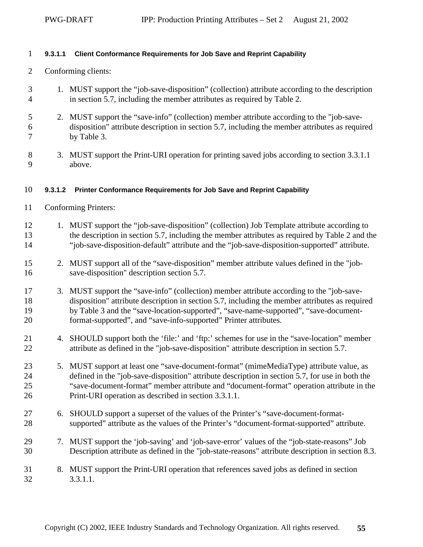#### <span id="page-54-0"></span>1 **9.3.1.1 Client Conformance Requirements for Job Save and Reprint Capability**

- 2 Conforming clients:
- 3 1. MUST support the "job-save-disposition" (collection) attribute according to the description 4 in section [5.7,](#page-20-0) including the member attributes as required by [Table 2.](#page-20-0)
- 5 2. MUST support the "save-info" (collection) member attribute according to the "job-save-6 disposition" attribute description in section [5.7,](#page-20-0) including the member attributes as required 7 by [Table 3.](#page-23-0)
- 8 3. MUST support the Print-URI operation for printing saved jobs according to section [3.3.1.1](#page-12-0)  9 above.

#### 10 **9.3.1.2 Printer Conformance Requirements for Job Save and Reprint Capability**

- 11 Conforming Printers:
- 12 1. MUST support the "job-save-disposition" (collection) Job Template attribute according to 13 the description in section [5.7,](#page-20-0) including the member attributes as required by [Table 2](#page-20-0) and the 14 "job-save-disposition-default" attribute and the "job-save-disposition-supported" attribute.
- 15 2. MUST support all of the "save-disposition" member attribute values defined in the "job-16 save-disposition" description section [5.7.](#page-20-0)
- 17 3. MUST support the "save-info" (collection) member attribute according to the "job-save-18 disposition" attribute description in section [5.7,](#page-20-0) including the member attributes as required 19 by [Table 3](#page-23-0) and the "save-location-supported", "save-name-supported", "save-document-20 format-supported", and "save-info-supported" Printer attributes.
- 21 4. SHOULD support both the 'file:' and 'ftp:' schemes for use in the "save-location" member 22 attribute as defined in the "job-save-disposition" attribute description in section [5.7.](#page-20-0)
- 23 5. MUST support at least one "save-document-format" (mimeMediaType) attribute value, as 24 defined in the "job-save-disposition" attribute description in section [5.7,](#page-20-0) for use in both the 25 "save-document-format" member attribute and "document-format" operation attribute in the 26 Print-URI operation as described in section [3.3.1.1.](#page-12-0)
- 27 6. SHOULD support a superset of the values of the Printer's "save-document-format-28 supported" attribute as the values of the Printer's "document-format-supported" attribute.
- 29 7. MUST support the 'job-saving' and 'job-save-error' values of the "job-state-reasons" Job 30 Description attribute as defined in the "job-state-reasons" attribute description in section [8.3.](#page-44-0)
- 31 8. MUST support the Print-URI operation that references saved jobs as defined in section 32 [3.3.1.1.](#page-12-0)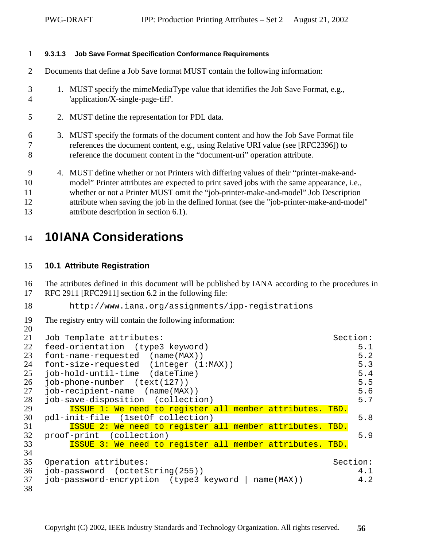#### <span id="page-55-0"></span>1 **9.3.1.3 Job Save Format Specification Conformance Requirements**

- 2 Documents that define a Job Save format MUST contain the following information:
- 3 1. MUST specify the mimeMediaType value that identifies the Job Save Format, e.g., 4 'application/X-single-page-tiff'.
- 5 2. MUST define the representation for PDL data.
- 6 3. MUST specify the formats of the document content and how the Job Save Format file 7 references the document content, e.g., using Relative URI value (see [RFC2396]) to 8 reference the document content in the "document-uri" operation attribute.
- 9 4. MUST define whether or not Printers with differing values of their "printer-make-and-10 model" Printer attributes are expected to print saved jobs with the same appearance, i.e., 11 whether or not a Printer MUST omit the "job-printer-make-and-model" Job Description 12 attribute when saving the job in the defined format (see the "job-printer-make-and-model" 13 attribute description in section [6.1\)](#page-35-0).

# <sup>14</sup>**10 IANA Considerations**

#### 15 **10.1 Attribute Registration**

16 The attributes defined in this document will be published by IANA according to the procedures in

17 RFC 2911 [RFC2911] section 6.2 in the following file:

```
18 http://www.iana.org/assignments/ipp-registrations
```
19 The registry entry will contain the following information:

```
20 
21 Job Template attributes: Section:
22 feed-orientation (type3 keyword) 5.1
23 font-name-requested (name(MAX)) 5.2
24 font-size-requested (integer (1:MAX))
25 job-hold-until-time (dateTime) 5.4
26 job-phone-number (text(127)) 5.5
27 job-recipient-name (name(MAX)) 5.6
28 job-save-disposition (collection) 5.7
29        <mark>ISSUE 1: We need to register all member attributes. TBD.</mark><br>30   pdl-init-file  (1setOf collection)
   5.8
31 ISSUE 2: We need to register all member attributes. TBD.
32 proof-print (collection) 5.9
33 ISSUE 3: We need to register all member attributes. TBD.
34 
35 Operation attributes: Section:
36 job-password (octetString(255)) 4.1
37 job-password-encryption (type3 keyword | name(MAX)) 4.2
38
```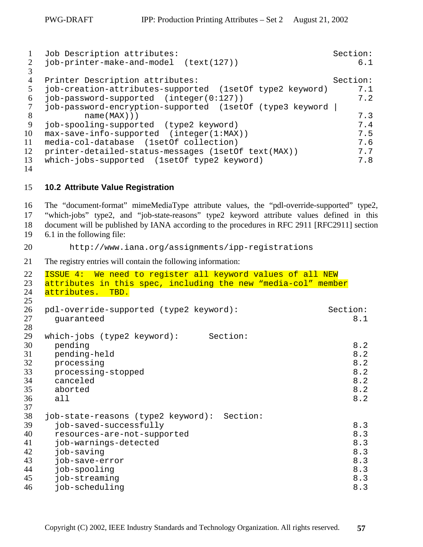<span id="page-56-0"></span>

|    | Job Description attributes:                              | Section: |
|----|----------------------------------------------------------|----------|
|    | job-printer-make-and-model (text(127))                   | 6.1      |
|    | Printer Description attributes:                          | Section: |
|    | job-creation-attributes-supported (1setOf type2 keyword) | 7.1      |
| 6  | job-password-supported (integer(0:127))                  | 7.2      |
|    | job-password-encryption-supported (1setOf (type3 keyword |          |
| -8 | name(MAX))                                               | 7.3      |
| -9 | job-spooling-supported (type2 keyword)                   | 7.4      |
| 10 | $max-save-info-supported (integer(1:MAX))$               | 7.5      |
| 11 | media-col-database (1set 0f collection)                  | 7.6      |
| 12 | printer-detailed-status-messages (lsetOf text(MAX))      | 7.7      |
| 13 | which-jobs-supported (1setOf type2 keyword)              | 7.8      |
|    |                                                          |          |

14

#### 15 **10.2 Attribute Value Registration**

16 The "document-format" mimeMediaType attribute values, the "pdl-override-supported" type2, 17 "which-jobs" type2, and "job-state-reasons" type2 keyword attribute values defined in this 18 document will be published by IANA according to the procedures in RFC 2911 [RFC2911] section 19 6.1 in the following file:

20 http://www.iana.org/assignments/ipp-registrations

21 The registry entries will contain the following information:

```
22 ISSUE 4: We need to register all keyword values of all NEW
23 attributes in this spec, including the new "media-col" member
24 attributes. TBD.
25 
26 pdl-override-supported (type2 keyword): Section:<br>27 quaranteed 8.1
  quaranteed
28 
29 which-jobs (type2 keyword): Section:
8.2
8.2
8.2
8.2<br>34 canceled 8.2
8.2
35 aborted 8.2
36 all 8.237 
38 job-state-reasons (type2 keyword): Section:
8.3
40 resources-are-not-supported
41 job-warnings-detected 8.3
8.3
8.3<br>44 job-spooling 8.3
44 job-spooling<br>45 job-streamin
  45 job-streaming 8.3
46 job-scheduling 8.3
```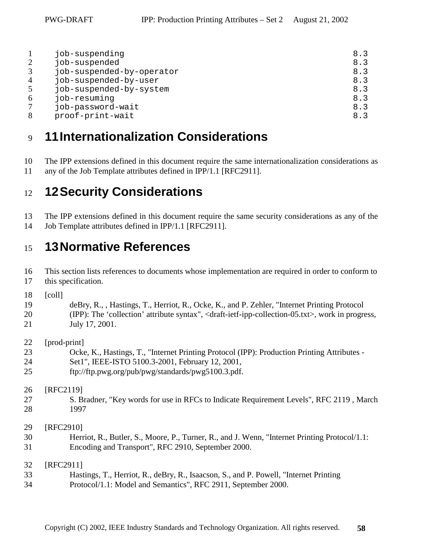<span id="page-57-0"></span>

|                | job-suspending            | 8.3 |
|----------------|---------------------------|-----|
| 2              | job-suspended             | 8.3 |
| 3              | job-suspended-by-operator | 8.3 |
| $\overline{4}$ | job-suspended-by-user     | 8.3 |
|                | job-suspended-by-system   | 8.3 |
| 6              | job-resuming              | 8.3 |
|                | job-password-wait         | 8.3 |
| 8              | proof-print-wait          | 8.3 |
|                |                           |     |

# <sup>9</sup>**11 Internationalization Considerations**

10 The IPP extensions defined in this document require the same internationalization considerations as

11 any of the Job Template attributes defined in IPP/1.1 [RFC2911].

# <sup>12</sup>**12 Security Considerations**

13 The IPP extensions defined in this document require the same security considerations as any of the 14 Job Template attributes defined in IPP/1.1 [RFC2911].

# <sup>15</sup>**13 Normative References**

16 This section lists references to documents whose implementation are required in order to conform to 17 this specification.

18 [coll]

19 deBry, R., , Hastings, T., Herriot, R., Ocke, K., and P. Zehler, "Internet Printing Protocol 20 (IPP): The 'collection' attribute syntax", <draft-ietf-ipp-collection-05.txt>, work in progress, 21 July 17, 2001.

22 [prod-print]

- 23 Ocke, K., Hastings, T., "Internet Printing Protocol (IPP): Production Printing Attributes -
- 24 Set1", IEEE-ISTO 5100.3-2001, February 12, 2001,
- 25 ftp://ftp.pwg.org/pub/pwg/standards/pwg5100.3.pdf.

26 [RFC2119]

27 S. Bradner, "Key words for use in RFCs to Indicate Requirement Levels", RFC 2119 , March 28 1997

29 [RFC2910]

30 Herriot, R., Butler, S., Moore, P., Turner, R., and J. Wenn, "Internet Printing Protocol/1.1: 31 Encoding and Transport", RFC 2910, September 2000.

32 [RFC2911]

33 Hastings, T., Herriot, R., deBry, R., Isaacson, S., and P. Powell, "Internet Printing 34 Protocol/1.1: Model and Semantics", RFC 2911, September 2000.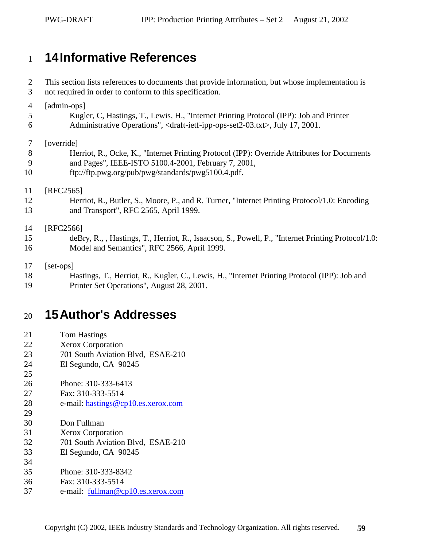# <span id="page-58-0"></span><sup>1</sup>**14 Informative References**

2 This section lists references to documents that provide information, but whose implementation is 3 not required in order to conform to this specification. 4 [admin-ops] 5 Kugler, C, Hastings, T., Lewis, H., "Internet Printing Protocol (IPP): Job and Printer 6 Administrative Operations", <draft-ietf-ipp-ops-set2-03.txt>, July 17, 2001. 7 [override] 8 Herriot, R., Ocke, K., "Internet Printing Protocol (IPP): Override Attributes for Documents 9 and Pages", IEEE-ISTO 5100.4-2001, February 7, 2001, 10 ftp://ftp.pwg.org/pub/pwg/standards/pwg5100.4.pdf. 11 [RFC2565] 12 Herriot, R., Butler, S., Moore, P., and R. Turner, "Internet Printing Protocol/1.0: Encoding 13 and Transport", RFC 2565, April 1999. 14 [RFC2566] 15 deBry, R., , Hastings, T., Herriot, R., Isaacson, S., Powell, P., "Internet Printing Protocol/1.0: 16 Model and Semantics", RFC 2566, April 1999. 17 [set-ops] 18 Hastings, T., Herriot, R., Kugler, C., Lewis, H., "Internet Printing Protocol (IPP): Job and 19 Printer Set Operations", August 28, 2001.

# <sup>20</sup>**15 Author's Addresses**

| 21 | <b>Tom Hastings</b> |
|----|---------------------|
|    |                     |

25

- 22 Xerox Corporation
- 23 701 South Aviation Blvd, ESAE-210
- 24 El Segundo, CA 90245
- 26 Phone: 310-333-6413
- 27 Fax: 310-333-5514
- 28 e-mail: [hastings@cp10.es.xerox.com](mailto:hastings@cp10.es.xerox.com)
- 29 30 Don Fullman
- 31 Xerox Corporation
- 32 701 South Aviation Blvd, ESAE-210
- 33 El Segundo, CA 90245
- 34
- 35 Phone: 310-333-8342
- 36 Fax: 310-333-5514
- 37 e-mail: [fullman@cp10.es.xerox.com](mailto:fullman@cp10.es.xerox.com)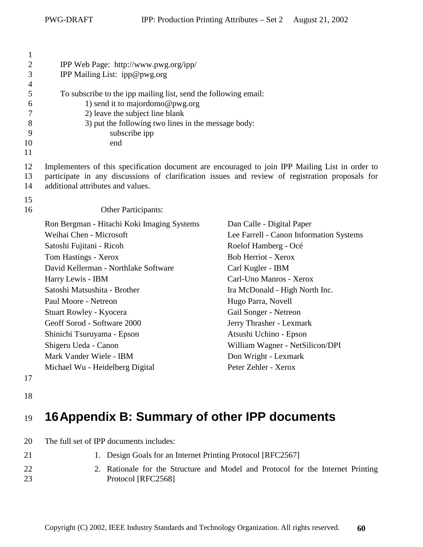<span id="page-59-0"></span>

| $\mathbf{1}$<br>$\overline{2}$<br>3<br>$\overline{4}$ | IPP Web Page: http://www.pwg.org/ipp/<br>IPP Mailing List: ipp@pwg.org                                                                                                                                                                  |                                         |  |
|-------------------------------------------------------|-----------------------------------------------------------------------------------------------------------------------------------------------------------------------------------------------------------------------------------------|-----------------------------------------|--|
| 5                                                     | To subscribe to the ipp mailing list, send the following email:                                                                                                                                                                         |                                         |  |
| 6                                                     | 1) send it to majordomo@pwg.org                                                                                                                                                                                                         |                                         |  |
| 7                                                     | 2) leave the subject line blank                                                                                                                                                                                                         |                                         |  |
| 8                                                     | 3) put the following two lines in the message body:                                                                                                                                                                                     |                                         |  |
| 9                                                     | subscribe ipp                                                                                                                                                                                                                           |                                         |  |
| 10<br>11                                              | end                                                                                                                                                                                                                                     |                                         |  |
| 12<br>13<br>14                                        | Implementers of this specification document are encouraged to join IPP Mailing List in order to<br>participate in any discussions of clarification issues and review of registration proposals for<br>additional attributes and values. |                                         |  |
| 15<br>16                                              | Other Participants:                                                                                                                                                                                                                     |                                         |  |
|                                                       | Ron Bergman - Hitachi Koki Imaging Systems                                                                                                                                                                                              | Dan Calle - Digital Paper               |  |
|                                                       | Weihai Chen - Microsoft                                                                                                                                                                                                                 | Lee Farrell - Canon Information Systems |  |
|                                                       | Satoshi Fujitani - Ricoh                                                                                                                                                                                                                | Roelof Hamberg - Océ                    |  |
|                                                       | Tom Hastings - Xerox                                                                                                                                                                                                                    | Bob Herriot - Xerox                     |  |
|                                                       | David Kellerman - Northlake Software                                                                                                                                                                                                    | Carl Kugler - IBM                       |  |
|                                                       | Harry Lewis - IBM                                                                                                                                                                                                                       | Carl-Uno Manros - Xerox                 |  |
|                                                       | Satoshi Matsushita - Brother                                                                                                                                                                                                            | Ira McDonald - High North Inc.          |  |
|                                                       | Paul Moore - Netreon                                                                                                                                                                                                                    | Hugo Parra, Novell                      |  |
|                                                       | Stuart Rowley - Kyocera                                                                                                                                                                                                                 | Gail Songer - Netreon                   |  |
|                                                       | Geoff Sorod - Software 2000                                                                                                                                                                                                             | Jerry Thrasher - Lexmark                |  |
|                                                       | Shinichi Tsuruyama - Epson                                                                                                                                                                                                              | Atsushi Uchino - Epson                  |  |
|                                                       | Shigeru Ueda - Canon                                                                                                                                                                                                                    | William Wagner - NetSilicon/DPI         |  |
|                                                       | Mark Vander Wiele - IBM                                                                                                                                                                                                                 | Don Wright - Lexmark                    |  |
|                                                       | Michael Wu - Heidelberg Digital                                                                                                                                                                                                         | Peter Zehler - Xerox                    |  |

17

18

# <sup>19</sup>**16 Appendix B: Summary of other IPP documents**

| -20 | The full set of IPP documents includes: |
|-----|-----------------------------------------|
|     |                                         |

- 21 1. Design Goals for an Internet Printing Protocol [RFC2567] 22 2. Rationale for the Structure and Model and Protocol for the Internet Printing
- 23 Protocol [RFC2568]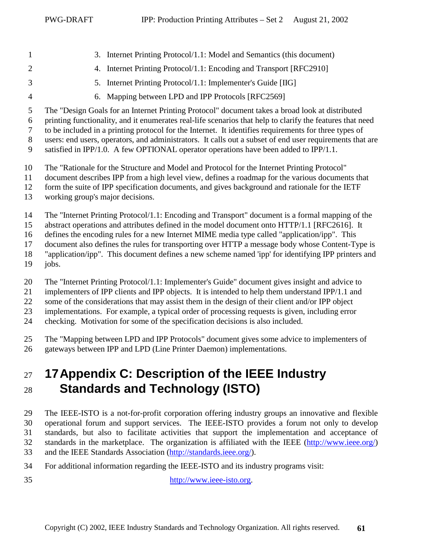- <span id="page-60-0"></span>1 3. Internet Printing Protocol/1.1: Model and Semantics (this document)
- 
- 
- 2 4. Internet Printing Protocol/1.1: Encoding and Transport [RFC2910]
- 
- 3 5. Internet Printing Protocol/1.1: Implementer's Guide [IIG]
- 4 6. Mapping between LPD and IPP Protocols [RFC2569]

5 The "Design Goals for an Internet Printing Protocol" document takes a broad look at distributed

6 printing functionality, and it enumerates real-life scenarios that help to clarify the features that need

7 to be included in a printing protocol for the Internet. It identifies requirements for three types of 8 users: end users, operators, and administrators. It calls out a subset of end user requirements that are

9 satisfied in IPP/1.0. A few OPTIONAL operator operations have been added to IPP/1.1.

- 10 The "Rationale for the Structure and Model and Protocol for the Internet Printing Protocol"
- 11 document describes IPP from a high level view, defines a roadmap for the various documents that
- 12 form the suite of IPP specification documents, and gives background and rationale for the IETF
- 13 working group's major decisions.

14 The "Internet Printing Protocol/1.1: Encoding and Transport" document is a formal mapping of the

15 abstract operations and attributes defined in the model document onto HTTP/1.1 [RFC2616]. It

16 defines the encoding rules for a new Internet MIME media type called "application/ipp". This

17 document also defines the rules for transporting over HTTP a message body whose Content-Type is

- 18 "application/ipp". This document defines a new scheme named 'ipp' for identifying IPP printers and
- $19$  iobs.

20 The "Internet Printing Protocol/1.1: Implementer's Guide" document gives insight and advice to

21 implementers of IPP clients and IPP objects. It is intended to help them understand IPP/1.1 and

22 some of the considerations that may assist them in the design of their client and/or IPP object

23 implementations. For example, a typical order of processing requests is given, including error

24 checking. Motivation for some of the specification decisions is also included.

25 The "Mapping between LPD and IPP Protocols" document gives some advice to implementers of 26 gateways between IPP and LPD (Line Printer Daemon) implementations.

# <sup>27</sup>**17 Appendix C: Description of the IEEE Industry**  <sup>28</sup>**Standards and Technology (ISTO)**

29 The IEEE-ISTO is a not-for-profit corporation offering industry groups an innovative and flexible 30 operational forum and support services. The IEEE-ISTO provides a forum not only to develop 31 standards, but also to facilitate activities that support the implementation and acceptance of 32 standards in the marketplace. The organization is affiliated with the IEEE (http://www.ieee.org/) 33 and the IEEE Standards Association (http://standards.ieee.org/).

- 34 For additional information regarding the IEEE-ISTO and its industry programs visit:
- 

35 http://www.ieee-isto.org.